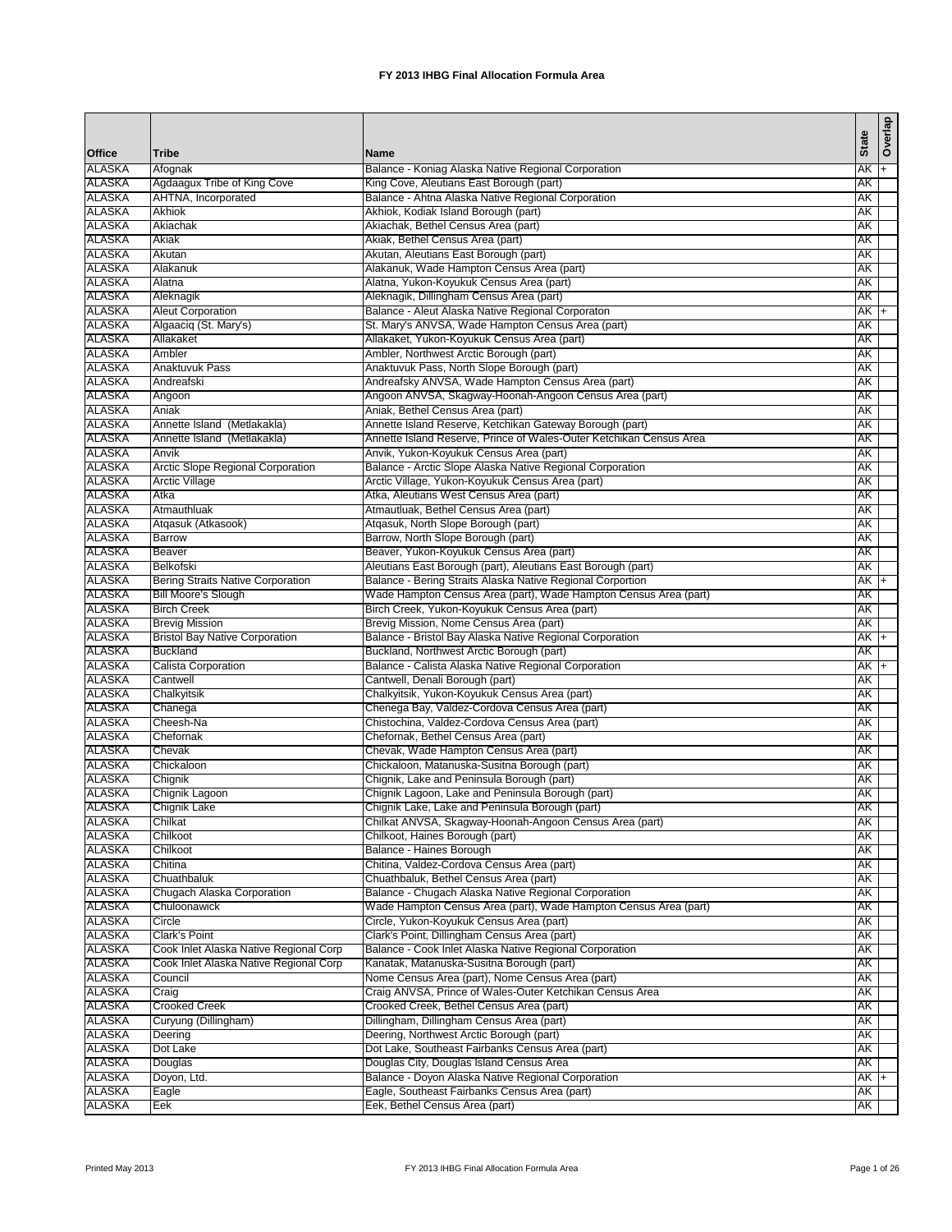| <b>Office</b>           | <b>Tribe</b>                                                   | <b>Name</b>                                                                                            | <b>State</b> | Overlap |
|-------------------------|----------------------------------------------------------------|--------------------------------------------------------------------------------------------------------|--------------|---------|
| ALASKA                  | Afognak                                                        | Balance - Koniag Alaska Native Regional Corporation                                                    | AK +         |         |
| <b>ALASKA</b>           | Agdaagux Tribe of King Cove                                    | King Cove, Aleutians East Borough (part)                                                               | AΚ           |         |
| ALASKA                  | AHTNA, Incorporated                                            | Balance - Ahtna Alaska Native Regional Corporation                                                     | AK           |         |
| ALASKA                  | Akhiok                                                         | Akhiok, Kodiak Island Borough (part)                                                                   | AΚ           |         |
| <b>ALASKA</b>           | Akiachak                                                       | Akiachak, Bethel Census Area (part)                                                                    | AK           |         |
| ALASKA                  | Akiak                                                          | Akiak, Bethel Census Area (part)                                                                       | АK           |         |
| ALASKA                  | Akutan                                                         | Akutan, Aleutians East Borough (part)                                                                  | АK           |         |
| <b>ALASKA</b>           | Alakanuk                                                       | Alakanuk, Wade Hampton Census Area (part)                                                              | AK           |         |
| ALASKA                  | Alatna                                                         | Alatna, Yukon-Koyukuk Census Area (part)                                                               | AΚ           |         |
| ALASKA                  | Aleknagik                                                      | Aleknagik, Dillingham Census Area (part)                                                               | АK           |         |
| <b>ALASKA</b><br>ALASKA | <b>Aleut Corporation</b><br>Algaaciq (St. Mary's)              | Balance - Aleut Alaska Native Regional Corporaton<br>St. Mary's ANVSA, Wade Hampton Census Area (part) | AK<br>AΚ     | $+$     |
| ALASKA                  | Allakaket                                                      | Allakaket, Yukon-Koyukuk Census Area (part)                                                            | ΑK           |         |
| <b>ALASKA</b>           | Ambler                                                         | Ambler, Northwest Arctic Borough (part)                                                                | AK           |         |
| <b>ALASKA</b>           | Anaktuvuk Pass                                                 | Anaktuvuk Pass, North Slope Borough (part)                                                             | AK           |         |
| ALASKA                  | Andreafski                                                     | Andreafsky ANVSA, Wade Hampton Census Area (part)                                                      | АK           |         |
| ALASKA                  | Angoon                                                         | Angoon ANVSA, Skagway-Hoonah-Angoon Census Area (part)                                                 | AΚ           |         |
| <b>ALASKA</b>           | Aniak                                                          | Aniak, Bethel Census Area (part)                                                                       | AK           |         |
| ALASKA                  | Annette Island (Metlakakla)                                    | Annette Island Reserve, Ketchikan Gateway Borough (part)                                               | AΚ           |         |
| <b>ALASKA</b>           | Annette Island (Metlakakla)                                    | Annette Island Reserve, Prince of Wales-Outer Ketchikan Census Area                                    | AΚ           |         |
| <b>ALASKA</b>           | Anvik                                                          | Anvik, Yukon-Koyukuk Census Area (part)                                                                | AΚ           |         |
| <b>ALASKA</b>           | <b>Arctic Slope Regional Corporation</b>                       | Balance - Arctic Slope Alaska Native Regional Corporation                                              | AΚ           |         |
| ALASKA                  | <b>Arctic Village</b>                                          | Arctic Village, Yukon-Koyukuk Census Area (part)                                                       | AΚ           |         |
| <b>ALASKA</b>           | Atka                                                           | Atka, Aleutians West Census Area (part)                                                                | AΚ           |         |
| ALASKA                  | Atmauthluak                                                    | Atmautluak, Bethel Census Area (part)                                                                  | AΚ           |         |
| ALASKA                  | Atgasuk (Atkasook)<br><b>Barrow</b>                            | Atgasuk, North Slope Borough (part)                                                                    | AΚ           |         |
| <b>ALASKA</b><br>ALASKA | <b>Beaver</b>                                                  | Barrow, North Slope Borough (part)<br>Beaver, Yukon-Koyukuk Census Area (part)                         | AK<br>АK     |         |
| <b>ALASKA</b>           | Belkofski                                                      | Aleutians East Borough (part), Aleutians East Borough (part)                                           | AK           |         |
| <b>ALASKA</b>           | <b>Bering Straits Native Corporation</b>                       | Balance - Bering Straits Alaska Native Regional Corportion                                             | $AK +$       |         |
| <b>ALASKA</b>           | <b>Bill Moore's Slough</b>                                     | Wade Hampton Census Area (part), Wade Hampton Census Area (part)                                       | АK           |         |
| ALASKA                  | <b>Birch Creek</b>                                             | Birch Creek, Yukon-Koyukuk Census Area (part)                                                          | АK           |         |
| <b>ALASKA</b>           | <b>Brevig Mission</b>                                          | Brevig Mission, Nome Census Area (part)                                                                | AK           |         |
| <b>ALASKA</b>           | <b>Bristol Bay Native Corporation</b>                          | Balance - Bristol Bay Alaska Native Regional Corporation                                               | AK +         |         |
| ALASKA                  | <b>Buckland</b>                                                | Buckland, Northwest Arctic Borough (part)                                                              | AΚ           |         |
| <b>ALASKA</b>           | Calista Corporation                                            | Balance - Calista Alaska Native Regional Corporation                                                   | AK           | $+$     |
| ALASKA                  | Cantwell                                                       | Cantwell, Denali Borough (part)                                                                        | AΚ           |         |
| ALASKA                  | Chalkyitsik                                                    | Chalkyitsik, Yukon-Koyukuk Census Area (part)                                                          | ΑK           |         |
| <b>ALASKA</b>           | Chanega                                                        | Chenega Bay, Valdez-Cordova Census Area (part)                                                         | AK           |         |
| ALASKA                  | Cheesh-Na                                                      | Chistochina, Valdez-Cordova Census Area (part)                                                         | AΚ           |         |
| ALASKA<br><b>ALASKA</b> | Chefornak<br>Chevak                                            | Chefornak, Bethel Census Area (part)                                                                   | АK<br>AK     |         |
| ALASKA                  | Chickaloon                                                     | Chevak, Wade Hampton Census Area (part)<br>Chickaloon, Matanuska-Susitna Borough (part)                | AΚ           |         |
| ALASKA                  | Chignik                                                        | Chignik, Lake and Peninsula Borough (part)                                                             | AΚ           |         |
| <b>ALASKA</b>           | Chignik Lagoon                                                 | Chignik Lagoon, Lake and Peninsula Borough (part)                                                      | AΚ           |         |
| ALASKA                  | Chignik Lake                                                   | Chignik Lake, Lake and Peninsula Borough (part)                                                        | AK           |         |
| ALASKA                  | Chilkat                                                        | Chilkat ANVSA, Skagway-Hoonah-Angoon Census Area (part)                                                | АK           |         |
| <b>ALASKA</b>           | Chilkoot                                                       | Chilkoot, Haines Borough (part)                                                                        | AΚ           |         |
| ALASKA                  | Chilkoot                                                       | Balance - Haines Borough                                                                               | AΚ           |         |
| ALASKA                  | Chitina                                                        | Chitina, Valdez-Cordova Census Area (part)                                                             | AΚ           |         |
| <b>ALASKA</b>           | Chuathbaluk                                                    | Chuathbaluk, Bethel Census Area (part)                                                                 | AΚ           |         |
| ALASKA                  | Chugach Alaska Corporation                                     | Balance - Chugach Alaska Native Regional Corporation                                                   | AK           |         |
| ALASKA                  | Chuloonawick                                                   | Wade Hampton Census Area (part), Wade Hampton Census Area (part)                                       | AK           |         |
| <b>ALASKA</b>           | Circle                                                         | Circle, Yukon-Koyukuk Census Area (part)                                                               | AK           |         |
| ALASKA<br>ALASKA        | <b>Clark's Point</b><br>Cook Inlet Alaska Native Regional Corp | Clark's Point, Dillingham Census Area (part)                                                           | АK<br>АK     |         |
| <b>ALASKA</b>           | Cook Inlet Alaska Native Regional Corp                         | Balance - Cook Inlet Alaska Native Regional Corporation<br>Kanatak, Matanuska-Susitna Borough (part)   | AK           |         |
| <b>ALASKA</b>           | Council                                                        | Nome Census Area (part), Nome Census Area (part)                                                       | AK           |         |
| ALASKA                  | Craig                                                          | Craig ANVSA, Prince of Wales-Outer Ketchikan Census Area                                               | АK           |         |
| ALASKA                  | <b>Crooked Creek</b>                                           | Crooked Creek, Bethel Census Area (part)                                                               | AΚ           |         |
| <b>ALASKA</b>           | Curyung (Dillingham)                                           | Dillingham, Dillingham Census Area (part)                                                              | AK           |         |
| ALASKA                  | Deering                                                        | Deering, Northwest Arctic Borough (part)                                                               | AΚ           |         |
| ALASKA                  | Dot Lake                                                       | Dot Lake, Southeast Fairbanks Census Area (part)                                                       | AΚ           |         |
| <b>ALASKA</b>           | Douglas                                                        | Douglas City, Douglas Island Census Area                                                               | AΚ           |         |
| ALASKA                  | Doyon, Ltd.                                                    | Balance - Doyon Alaska Native Regional Corporation                                                     | AK +         |         |
| ALASKA                  | Eagle                                                          | Eagle, Southeast Fairbanks Census Area (part)                                                          | AΚ           |         |
| <b>ALASKA</b>           | Eek                                                            | Eek, Bethel Census Area (part)                                                                         | AΚ           |         |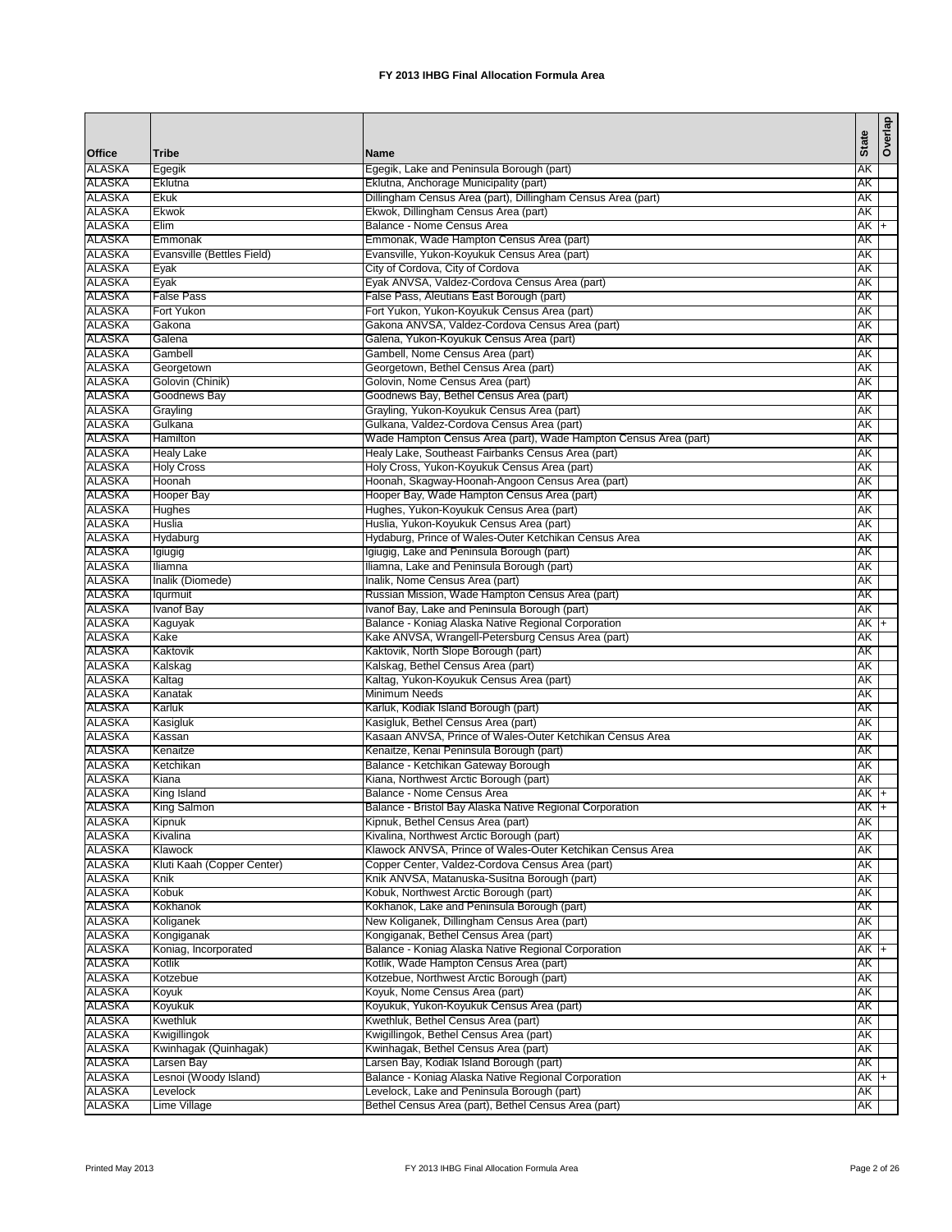|                                |                             |                                                                                                         | <b>State</b> | Overlap |
|--------------------------------|-----------------------------|---------------------------------------------------------------------------------------------------------|--------------|---------|
| <b>Office</b>                  | <b>Tribe</b>                | <b>Name</b>                                                                                             |              |         |
| ALASKA<br><b>ALASKA</b>        | Egegik<br>Eklutna           | Egegik, Lake and Peninsula Borough (part)<br>Eklutna, Anchorage Municipality (part)                     | AΚ<br>AΚ     |         |
| <b>ALASKA</b>                  | Ekuk                        | Dillingham Census Area (part), Dillingham Census Area (part)                                            | AK           |         |
| ALASKA                         | Ekwok                       | Ekwok, Dillingham Census Area (part)                                                                    | АK           |         |
| <b>ALASKA</b>                  | Elim                        | Balance - Nome Census Area                                                                              | $AK +$       |         |
| <b>ALASKA</b>                  | Emmonak                     | Emmonak, Wade Hampton Census Area (part)                                                                | АK           |         |
| ALASKA                         | Evansville (Bettles Field)  | Evansville, Yukon-Koyukuk Census Area (part)                                                            | АK           |         |
| <b>ALASKA</b>                  | Eyak                        | City of Cordova, City of Cordova                                                                        | AΚ           |         |
| <b>ALASKA</b>                  | Eyak                        | Eyak ANVSA, Valdez-Cordova Census Area (part)                                                           | AΚ           |         |
| ALASKA                         | <b>False Pass</b>           | False Pass, Aleutians East Borough (part)                                                               | АK           |         |
| <b>ALASKA</b>                  | Fort Yukon                  | Fort Yukon, Yukon-Koyukuk Census Area (part)                                                            | AΚ           |         |
| ALASKA<br>ALASKA               | Gakona<br>Galena            | Gakona ANVSA, Valdez-Cordova Census Area (part)<br>Galena, Yukon-Koyukuk Census Area (part)             | АK<br>AΚ     |         |
| <b>ALASKA</b>                  | Gambell                     | Gambell, Nome Census Area (part)                                                                        | AΚ           |         |
| <b>ALASKA</b>                  | Georgetown                  | Georgetown, Bethel Census Area (part)                                                                   | AΚ           |         |
| ALASKA                         | Golovin (Chinik)            | Golovin, Nome Census Area (part)                                                                        | АK           |         |
| ALASKA                         | Goodnews Bay                | Goodnews Bay, Bethel Census Area (part)                                                                 | AΚ           |         |
| <b>ALASKA</b>                  | Grayling                    | Grayling, Yukon-Koyukuk Census Area (part)                                                              | AΚ           |         |
| ALASKA                         | Gulkana                     | Gulkana, Valdez-Cordova Census Area (part)                                                              | AΚ           |         |
| <b>ALASKA</b>                  | Hamilton                    | Wade Hampton Census Area (part), Wade Hampton Census Area (part)                                        | AΚ           |         |
| <b>ALASKA</b>                  | <b>Healy Lake</b>           | Healy Lake, Southeast Fairbanks Census Area (part)                                                      | AΚ           |         |
| ALASKA                         | <b>Holy Cross</b>           | Holy Cross, Yukon-Koyukuk Census Area (part)                                                            | AΚ           |         |
| <b>ALASKA</b>                  | Hoonah                      | Hoonah, Skagway-Hoonah-Angoon Census Area (part)                                                        | AΚ           |         |
| <b>ALASKA</b><br>ALASKA        | Hooper Bay<br><b>Hughes</b> | Hooper Bay, Wade Hampton Census Area (part)<br>Hughes, Yukon-Koyukuk Census Area (part)                 | AΚ<br>AΚ     |         |
| ALASKA                         | Huslia                      | Huslia, Yukon-Koyukuk Census Area (part)                                                                | AΚ           |         |
| <b>ALASKA</b>                  | Hydaburg                    | Hydaburg, Prince of Wales-Outer Ketchikan Census Area                                                   | AΚ           |         |
| ALASKA                         | <b>Igiugig</b>              | Igiugig, Lake and Peninsula Borough (part)                                                              | AΚ           |         |
| ALASKA                         | Iliamna                     | Iliamna, Lake and Peninsula Borough (part)                                                              | AΚ           |         |
| <b>ALASKA</b>                  | Inalik (Diomede)            | Inalik, Nome Census Area (part)                                                                         | AΚ           |         |
| ALASKA                         | lqurmuit                    | Russian Mission, Wade Hampton Census Area (part)                                                        | АK           |         |
| ALASKA                         | <b>Ivanof Bay</b>           | Ivanof Bay, Lake and Peninsula Borough (part)                                                           | АK           |         |
| <b>ALASKA</b>                  | Kaguyak                     | Balance - Koniag Alaska Native Regional Corporation                                                     | $AK +$       |         |
| <b>ALASKA</b>                  | Kake                        | Kake ANVSA, Wrangell-Petersburg Census Area (part)                                                      | AΚ           |         |
| ALASKA                         | Kaktovik                    | Kaktovik, North Slope Borough (part)                                                                    | AΚ           |         |
| <b>ALASKA</b><br>ALASKA        | Kalskag                     | Kalskag, Bethel Census Area (part)<br>Kaltag, Yukon-Koyukuk Census Area (part)                          | AΚ<br>AΚ     |         |
| ALASKA                         | Kaltag<br>Kanatak           | Minimum Needs                                                                                           | AΚ           |         |
| <b>ALASKA</b>                  | Karluk                      | Karluk, Kodiak Island Borough (part)                                                                    | AΚ           |         |
| ALASKA                         | Kasigluk                    | Kasigluk, Bethel Census Area (part)                                                                     | АK           |         |
| ALASKA                         | Kassan                      | Kasaan ANVSA, Prince of Wales-Outer Ketchikan Census Area                                               | AΚ           |         |
| <b>ALASKA</b>                  | Kenaitze                    | Kenaitze, Kenai Peninsula Borough (part)                                                                | AΚ           |         |
| ALASKA                         | Ketchikan                   | Balance - Ketchikan Gateway Borough                                                                     | AΚ           |         |
| ALASKA                         | Kiana                       | Kiana, Northwest Arctic Borough (part)                                                                  | АK           |         |
| <b>ALASKA</b>                  | King Island                 | Balance - Nome Census Area                                                                              | AK +         |         |
| <b>ALASKA</b>                  | <b>King Salmon</b>          | Balance - Bristol Bay Alaska Native Regional Corporation                                                | $AK +$       |         |
| ALASKA                         | Kipnuk                      | Kipnuk, Bethel Census Area (part)                                                                       | АK           |         |
| <b>ALASKA</b><br>ALASKA        | Kivalina<br>Klawock         | Kivalina, Northwest Arctic Borough (part)<br>Klawock ANVSA, Prince of Wales-Outer Ketchikan Census Area | AΚ<br>AK     |         |
| ALASKA                         | Kluti Kaah (Copper Center)  | Copper Center, Valdez-Cordova Census Area (part)                                                        | AΚ           |         |
| <b>ALASKA</b>                  | Knik                        | Knik ANVSA, Matanuska-Susitna Borough (part)                                                            | AΚ           |         |
| ALASKA                         | Kobuk                       | Kobuk, Northwest Arctic Borough (part)                                                                  | AK           |         |
| <b>ALASKA</b>                  | Kokhanok                    | Kokhanok, Lake and Peninsula Borough (part)                                                             | AK           |         |
| <b>ALASKA</b>                  | Koliganek                   | New Koliganek, Dillingham Census Area (part)                                                            | АK           |         |
| <b>ALASKA</b>                  | Kongiganak                  | Kongiganak, Bethel Census Area (part)                                                                   | АK           |         |
| ALASKA                         | Koniag, Incorporated        | Balance - Koniag Alaska Native Regional Corporation                                                     | AK I+        |         |
| <b>ALASKA</b>                  | Kotlik                      | Kotlik, Wade Hampton Census Area (part)                                                                 | AΚ           |         |
| <b>ALASKA</b>                  | Kotzebue                    | Kotzebue, Northwest Arctic Borough (part)                                                               | AΚ           |         |
| <b>ALASKA</b><br><b>ALASKA</b> | Koyuk                       | Koyuk, Nome Census Area (part)                                                                          | АK<br>AΚ     |         |
| <b>ALASKA</b>                  | Koyukuk<br>Kwethluk         | Koyukuk, Yukon-Koyukuk Census Area (part)<br>Kwethluk, Bethel Census Area (part)                        | AΚ           |         |
| ALASKA                         | Kwigillingok                | Kwigillingok, Bethel Census Area (part)                                                                 | AΚ           |         |
| ALASKA                         | Kwinhagak (Quinhagak)       | Kwinhagak, Bethel Census Area (part)                                                                    | AΚ           |         |
| <b>ALASKA</b>                  | Larsen Bay                  | Larsen Bay, Kodiak Island Borough (part)                                                                | AΚ           |         |
| ALASKA                         | Lesnoi (Woody Island)       | Balance - Koniag Alaska Native Regional Corporation                                                     | AK I+        |         |
| ALASKA                         | Levelock                    | Levelock, Lake and Peninsula Borough (part)                                                             | АK           |         |
| <b>ALASKA</b>                  | Lime Village                | Bethel Census Area (part), Bethel Census Area (part)                                                    | АK           |         |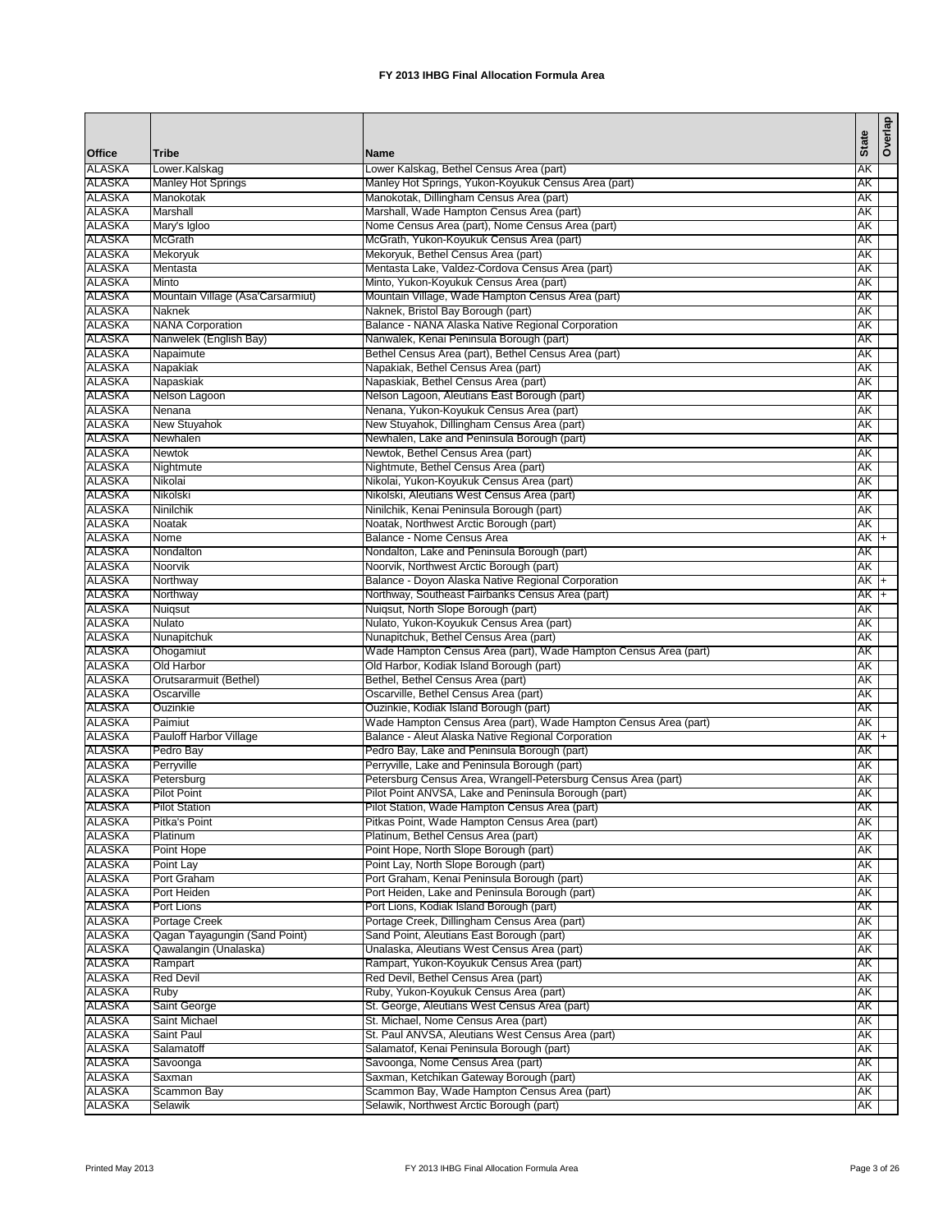| <b>Office</b>                  | <b>Tribe</b>                               | Name                                                                                                                   | <b>State</b>     | Overlap |
|--------------------------------|--------------------------------------------|------------------------------------------------------------------------------------------------------------------------|------------------|---------|
| <b>ALASKA</b>                  | Lower.Kalskag                              | Lower Kalskag, Bethel Census Area (part)                                                                               | AK               |         |
| <b>ALASKA</b>                  | <b>Manley Hot Springs</b>                  | Manley Hot Springs, Yukon-Koyukuk Census Area (part)                                                                   | AΚ               |         |
| ALASKA                         | Manokotak                                  | Manokotak, Dillingham Census Area (part)                                                                               | AΚ               |         |
| ALASKA                         | Marshall                                   | Marshall, Wade Hampton Census Area (part)                                                                              | AΚ               |         |
| <b>ALASKA</b>                  | Mary's Igloo                               | Nome Census Area (part), Nome Census Area (part)                                                                       | AK               |         |
| <b>ALASKA</b>                  | <b>McGrath</b>                             | McGrath, Yukon-Koyukuk Census Area (part)                                                                              | АK               |         |
| ALASKA                         | Mekoryuk                                   | Mekoryuk, Bethel Census Area (part)                                                                                    | АK               |         |
| <b>ALASKA</b>                  | Mentasta                                   | Mentasta Lake, Valdez-Cordova Census Area (part)                                                                       | AK               |         |
| <b>ALASKA</b>                  | Minto<br>Mountain Village (Asa'Carsarmiut) | Minto, Yukon-Koyukuk Census Area (part)                                                                                | AΚ               |         |
| ALASKA<br><b>ALASKA</b>        | Naknek                                     | Mountain Village, Wade Hampton Census Area (part)<br>Naknek, Bristol Bay Borough (part)                                | АK<br><b>AK</b>  |         |
| ALASKA                         | <b>NANA Corporation</b>                    | Balance - NANA Alaska Native Regional Corporation                                                                      | AΚ               |         |
| ALASKA                         | Nanwelek (English Bay)                     | Nanwalek, Kenai Peninsula Borough (part)                                                                               | AK               |         |
| <b>ALASKA</b>                  | Napaimute                                  | Bethel Census Area (part), Bethel Census Area (part)                                                                   | AK               |         |
| <b>ALASKA</b>                  | Napakiak                                   | Napakiak, Bethel Census Area (part)                                                                                    | <b>AK</b>        |         |
| ALASKA                         | Napaskiak                                  | Napaskiak, Bethel Census Area (part)                                                                                   | АK               |         |
| ALASKA                         | Nelson Lagoon                              | Nelson Lagoon, Aleutians East Borough (part)                                                                           | АK               |         |
| <b>ALASKA</b>                  | Nenana                                     | Nenana, Yukon-Koyukuk Census Area (part)                                                                               | AK               |         |
| ALASKA                         | <b>New Stuyahok</b>                        | New Stuyahok, Dillingham Census Area (part)                                                                            | АK               |         |
| <b>ALASKA</b><br><b>ALASKA</b> | Newhalen<br><b>Newtok</b>                  | Newhalen, Lake and Peninsula Borough (part)<br>Newtok, Bethel Census Area (part)                                       | AΚ<br>AΚ         |         |
| ALASKA                         | Nightmute                                  | Nightmute, Bethel Census Area (part)                                                                                   | AΚ               |         |
| ALASKA                         | Nikolai                                    | Nikolai, Yukon-Koyukuk Census Area (part)                                                                              | АK               |         |
| <b>ALASKA</b>                  | Nikolski                                   | Nikolski, Aleutians West Census Area (part)                                                                            | AΚ               |         |
| ALASKA                         | Ninilchik                                  | Ninilchik, Kenai Peninsula Borough (part)                                                                              | AΚ               |         |
| ALASKA                         | Noatak                                     | Noatak, Northwest Arctic Borough (part)                                                                                | AΚ               |         |
| <b>ALASKA</b>                  | Nome                                       | Balance - Nome Census Area                                                                                             | $AK +$           |         |
| ALASKA                         | Nondalton                                  | Nondalton, Lake and Peninsula Borough (part)                                                                           | AK               |         |
| ALASKA                         | Noorvik                                    | Noorvik, Northwest Arctic Borough (part)                                                                               | AK               |         |
| <b>ALASKA</b><br>ALASKA        | Northway<br>Northway                       | Balance - Doyon Alaska Native Regional Corporation                                                                     | $AK +$<br>$AK +$ |         |
| ALASKA                         | Nuiqsut                                    | Northway, Southeast Fairbanks Census Area (part)<br>Nuiqsut, North Slope Borough (part)                                | АK               |         |
| <b>ALASKA</b>                  | Nulato                                     | Nulato, Yukon-Koyukuk Census Area (part)                                                                               | AK               |         |
| <b>ALASKA</b>                  | Nunapitchuk                                | Nunapitchuk, Bethel Census Area (part)                                                                                 | АK               |         |
| ALASKA                         | Ohogamiut                                  | Wade Hampton Census Area (part), Wade Hampton Census Area (part)                                                       | AΚ               |         |
| <b>ALASKA</b>                  | Old Harbor                                 | Old Harbor, Kodiak Island Borough (part)                                                                               | <b>AK</b>        |         |
| ALASKA                         | Orutsararmuit (Bethel)                     | Bethel, Bethel Census Area (part)                                                                                      | AΚ               |         |
| ALASKA                         | Oscarville                                 | Oscarville, Bethel Census Area (part)                                                                                  | AΚ               |         |
| <b>ALASKA</b>                  | Ouzinkie                                   | Ouzinkie, Kodiak Island Borough (part)                                                                                 | AK               |         |
| ALASKA<br><b>ALASKA</b>        | Paimiut<br><b>Pauloff Harbor Village</b>   | Wade Hampton Census Area (part), Wade Hampton Census Area (part)<br>Balance - Aleut Alaska Native Regional Corporation | АK<br>AK +       |         |
| <b>ALASKA</b>                  | Pedro Bay                                  | Pedro Bay, Lake and Peninsula Borough (part)                                                                           | AK               |         |
| <b>ALASKA</b>                  | Perryville                                 | Perryville, Lake and Peninsula Borough (part)                                                                          | AΚ               |         |
| ALASKA                         | Petersburg                                 | Petersburg Census Area, Wrangell-Petersburg Census Area (part)                                                         | AΚ               |         |
| <b>ALASKA</b>                  | <b>Pilot Point</b>                         | Pilot Point ANVSA, Lake and Peninsula Borough (part)                                                                   | AΚ               |         |
| <b>ALASKA</b>                  | <b>Pilot Station</b>                       | Pilot Station, Wade Hampton Census Area (part)                                                                         | AK               |         |
| <b>ALASKA</b>                  | Pitka's Point                              | Pitkas Point, Wade Hampton Census Area (part)                                                                          | АK               |         |
| <b>ALASKA</b>                  | Platinum                                   | Platinum, Bethel Census Area (part)                                                                                    | AΚ               |         |
| ALASKA                         | Point Hope                                 | Point Hope, North Slope Borough (part)                                                                                 | AΚ               |         |
| ALASKA<br><b>ALASKA</b>        | Point Lay<br>Port Graham                   | Point Lay, North Slope Borough (part)<br>Port Graham, Kenai Peninsula Borough (part)                                   | AΚ<br>AΚ         |         |
| ALASKA                         | Port Heiden                                | Port Heiden, Lake and Peninsula Borough (part)                                                                         | AK               |         |
| ALASKA                         | Port Lions                                 | Port Lions, Kodiak Island Borough (part)                                                                               | AK               |         |
| <b>ALASKA</b>                  | Portage Creek                              | Portage Creek, Dillingham Census Area (part)                                                                           | AK               |         |
| ALASKA                         | Qagan Tayagungin (Sand Point)              | Sand Point, Aleutians East Borough (part)                                                                              | АK               |         |
| <b>ALASKA</b>                  | Qawalangin (Unalaska)                      | Unalaska, Aleutians West Census Area (part)                                                                            | АK               |         |
| <b>ALASKA</b>                  | Rampart                                    | Rampart, Yukon-Koyukuk Census Area (part)                                                                              | AK               |         |
| <b>ALASKA</b>                  | <b>Red Devil</b>                           | Red Devil, Bethel Census Area (part)                                                                                   | AK               |         |
| ALASKA                         | Ruby                                       | Ruby, Yukon-Koyukuk Census Area (part)                                                                                 | AΚ               |         |
| <b>ALASKA</b>                  | Saint George                               | St. George, Aleutians West Census Area (part)                                                                          | АK               |         |
| <b>ALASKA</b><br><b>ALASKA</b> | Saint Michael<br>Saint Paul                | St. Michael, Nome Census Area (part)<br>St. Paul ANVSA, Aleutians West Census Area (part)                              | AΚ<br>AΚ         |         |
| ALASKA                         | Salamatoff                                 | Salamatof, Kenai Peninsula Borough (part)                                                                              | AΚ               |         |
| <b>ALASKA</b>                  | Savoonga                                   | Savoonga, Nome Census Area (part)                                                                                      | AΚ               |         |
| ALASKA                         | Saxman                                     | Saxman, Ketchikan Gateway Borough (part)                                                                               | AΚ               |         |
| ALASKA                         | Scammon Bay                                | Scammon Bay, Wade Hampton Census Area (part)                                                                           | АK               |         |
| <b>ALASKA</b>                  | Selawik                                    | Selawik, Northwest Arctic Borough (part)                                                                               | AK               |         |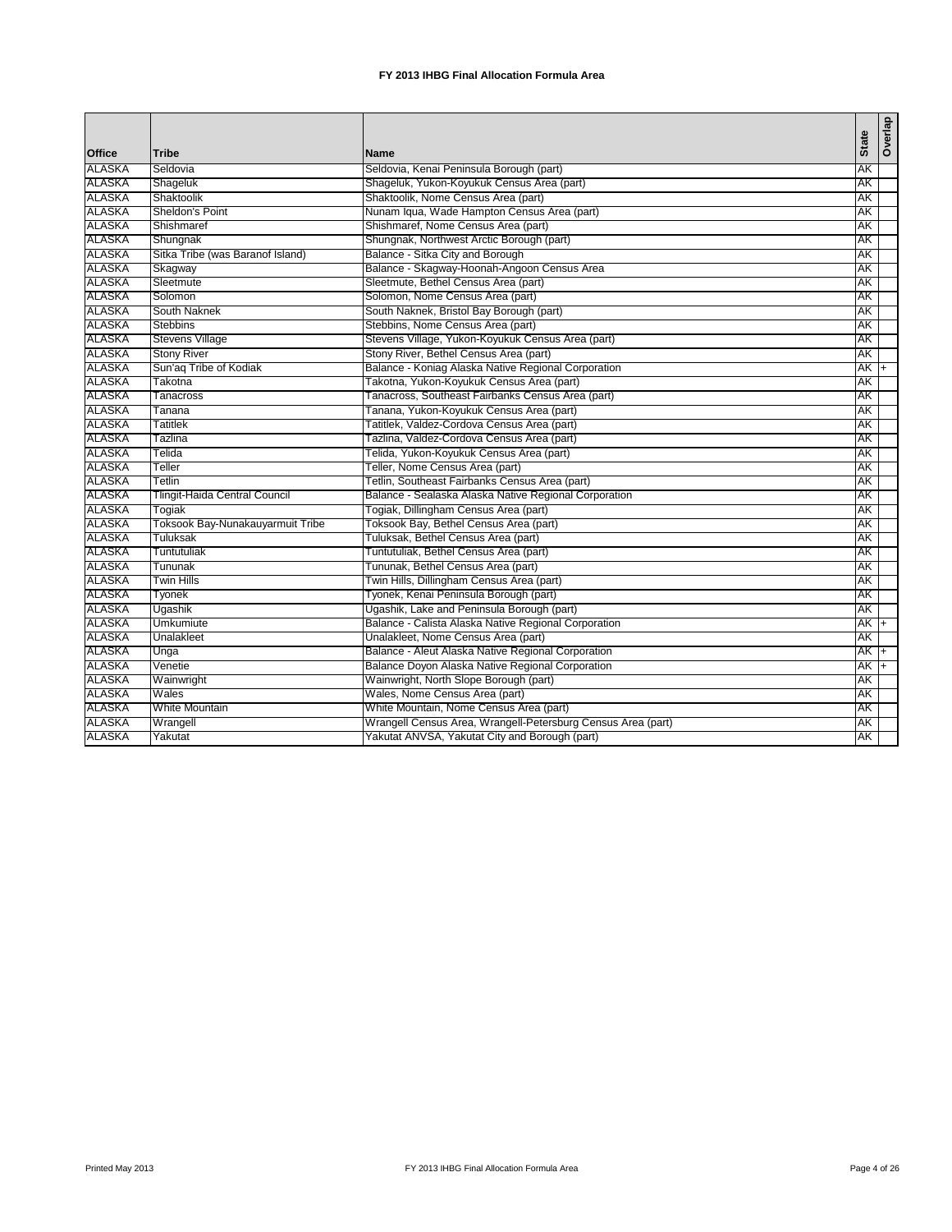| Office<br><b>Tribe</b><br><b>Name</b><br><b>ALASKA</b><br><b>AK</b><br>Seldovia<br>Seldovia, Kenai Peninsula Borough (part)<br><b>ALASKA</b><br>Shageluk, Yukon-Koyukuk Census Area (part)<br>Shageluk<br><b>AK</b><br>Shaktoolik, Nome Census Area (part)<br>Shaktoolik<br>ΆK<br><b>ALASKA</b><br>Sheldon's Point<br>Nunam Iqua, Wade Hampton Census Area (part)<br>AΚ<br><b>ALASKA</b><br>Shishmaref, Nome Census Area (part)<br>AK<br>Shishmaref<br>Shungnak, Northwest Arctic Borough (part)<br>Shungnak<br>ΆK<br><b>ALASKA</b><br>Sitka Tribe (was Baranof Island)<br>Balance - Sitka City and Borough<br>АK<br>Balance - Skagway-Hoonah-Angoon Census Area<br><b>ALASKA</b><br>AK<br>Skagway<br>Sleetmute, Bethel Census Area (part)<br>Sleetmute<br>ΆK<br><b>ALASKA</b><br>Solomon, Nome Census Area (part)<br>AΚ<br>Solomon<br><b>ALASKA</b><br>South Naknek, Bristol Bay Borough (part)<br>AK<br>South Naknek<br>Stebbins, Nome Census Area (part)<br><b>Stebbins</b><br>ΆK<br><b>ALASKA</b><br><b>Stevens Village</b><br>Stevens Village, Yukon-Koyukuk Census Area (part)<br>АK<br>Stony River, Bethel Census Area (part)<br><b>ALASKA</b><br><b>Stony River</b><br>AΚ<br><b>ALASKA</b><br>Sun'ag Tribe of Kodiak<br>Balance - Koniag Alaska Native Regional Corporation<br>$AK +$<br>ALASKA<br>Takotna<br>Takotna, Yukon-Koyukuk Census Area (part)<br>AΚ<br>Tanacross, Southeast Fairbanks Census Area (part)<br>AK<br>Tanacross<br><b>ALASKA</b><br>Tanana, Yukon-Koyukuk Census Area (part)<br>ΑK<br>Tanana<br>Tatitlek, Valdez-Cordova Census Area (part)<br>ALASKA<br><b>Tatitlek</b><br>AΚ<br><b>ALASKA</b><br>Tazlina, Valdez-Cordova Census Area (part)<br>AK<br>Tazlina<br><b>ALASKA</b><br>Telida, Yukon-Koyukuk Census Area (part)<br>AK<br>Telida<br><b>ALASKA</b><br>Teller, Nome Census Area (part)<br>AΚ<br>Teller<br>Tetlin, Southeast Fairbanks Census Area (part)<br>AK<br>Tetlin<br><b>ALASKA</b><br>Balance - Sealaska Alaska Native Regional Corporation<br>Tlingit-Haida Central Council<br>AK<br><b>ALASKA</b><br>Togiak, Dillingham Census Area (part)<br>AΚ<br>Togiak<br>Toksook Bay-Nunakauyarmuit Tribe<br>Toksook Bay, Bethel Census Area (part)<br>AK<br><b>ALASKA</b><br>Tuluksak, Bethel Census Area (part)<br>Tuluksak<br>ΑK<br>Tuntutuliak, Bethel Census Area (part)<br>ALASKA<br>Tuntutuliak<br>АK<br>Tununak, Bethel Census Area (part)<br>AK<br>Tununak<br><b>ALASKA</b><br>Twin Hills, Dillingham Census Area (part)<br><b>Twin Hills</b><br>АK<br>ALASKA<br>Tyonek, Kenai Peninsula Borough (part)<br>АK<br>Tyonek<br>Ugashik, Lake and Peninsula Borough (part)<br>AK<br>Ugashik<br><b>ALASKA</b><br>Balance - Calista Alaska Native Regional Corporation<br><b>Umkumiute</b><br>$AK +$<br>ALASKA<br>Unalakleet, Nome Census Area (part)<br>AΚ<br>Unalakleet<br>Balance - Aleut Alaska Native Regional Corporation<br>AK +<br>Unga<br><b>ALASKA</b><br>Balance Doyon Alaska Native Regional Corporation<br>$AK +$<br>Venetie<br>ALASKA<br>Wainwright, North Slope Borough (part)<br>AΚ<br>Wainwright<br>Wales, Nome Census Area (part)<br>Wales<br>AΚ<br>White Mountain, Nome Census Area (part)<br><b>ALASKA</b><br><b>White Mountain</b><br>ΑK<br>ALASKA<br>Wrangell Census Area, Wrangell-Petersburg Census Area (part)<br>Wrangell<br>AΚ<br>Yakutat ANVSA, Yakutat City and Borough (part)<br>AK<br>Yakutat |               |  |              |         |
|---------------------------------------------------------------------------------------------------------------------------------------------------------------------------------------------------------------------------------------------------------------------------------------------------------------------------------------------------------------------------------------------------------------------------------------------------------------------------------------------------------------------------------------------------------------------------------------------------------------------------------------------------------------------------------------------------------------------------------------------------------------------------------------------------------------------------------------------------------------------------------------------------------------------------------------------------------------------------------------------------------------------------------------------------------------------------------------------------------------------------------------------------------------------------------------------------------------------------------------------------------------------------------------------------------------------------------------------------------------------------------------------------------------------------------------------------------------------------------------------------------------------------------------------------------------------------------------------------------------------------------------------------------------------------------------------------------------------------------------------------------------------------------------------------------------------------------------------------------------------------------------------------------------------------------------------------------------------------------------------------------------------------------------------------------------------------------------------------------------------------------------------------------------------------------------------------------------------------------------------------------------------------------------------------------------------------------------------------------------------------------------------------------------------------------------------------------------------------------------------------------------------------------------------------------------------------------------------------------------------------------------------------------------------------------------------------------------------------------------------------------------------------------------------------------------------------------------------------------------------------------------------------------------------------------------------------------------------------------------------------------------------------------------------------------------------------------------------------------------------------------------------------------------------------------------------------------------------------------------------------------------------------------------------------------------------------------------------------------------------|---------------|--|--------------|---------|
|                                                                                                                                                                                                                                                                                                                                                                                                                                                                                                                                                                                                                                                                                                                                                                                                                                                                                                                                                                                                                                                                                                                                                                                                                                                                                                                                                                                                                                                                                                                                                                                                                                                                                                                                                                                                                                                                                                                                                                                                                                                                                                                                                                                                                                                                                                                                                                                                                                                                                                                                                                                                                                                                                                                                                                                                                                                                                                                                                                                                                                                                                                                                                                                                                                                                                                                                                                     |               |  | <b>State</b> | Overlap |
|                                                                                                                                                                                                                                                                                                                                                                                                                                                                                                                                                                                                                                                                                                                                                                                                                                                                                                                                                                                                                                                                                                                                                                                                                                                                                                                                                                                                                                                                                                                                                                                                                                                                                                                                                                                                                                                                                                                                                                                                                                                                                                                                                                                                                                                                                                                                                                                                                                                                                                                                                                                                                                                                                                                                                                                                                                                                                                                                                                                                                                                                                                                                                                                                                                                                                                                                                                     |               |  |              |         |
|                                                                                                                                                                                                                                                                                                                                                                                                                                                                                                                                                                                                                                                                                                                                                                                                                                                                                                                                                                                                                                                                                                                                                                                                                                                                                                                                                                                                                                                                                                                                                                                                                                                                                                                                                                                                                                                                                                                                                                                                                                                                                                                                                                                                                                                                                                                                                                                                                                                                                                                                                                                                                                                                                                                                                                                                                                                                                                                                                                                                                                                                                                                                                                                                                                                                                                                                                                     |               |  |              |         |
|                                                                                                                                                                                                                                                                                                                                                                                                                                                                                                                                                                                                                                                                                                                                                                                                                                                                                                                                                                                                                                                                                                                                                                                                                                                                                                                                                                                                                                                                                                                                                                                                                                                                                                                                                                                                                                                                                                                                                                                                                                                                                                                                                                                                                                                                                                                                                                                                                                                                                                                                                                                                                                                                                                                                                                                                                                                                                                                                                                                                                                                                                                                                                                                                                                                                                                                                                                     | <b>ALASKA</b> |  |              |         |
|                                                                                                                                                                                                                                                                                                                                                                                                                                                                                                                                                                                                                                                                                                                                                                                                                                                                                                                                                                                                                                                                                                                                                                                                                                                                                                                                                                                                                                                                                                                                                                                                                                                                                                                                                                                                                                                                                                                                                                                                                                                                                                                                                                                                                                                                                                                                                                                                                                                                                                                                                                                                                                                                                                                                                                                                                                                                                                                                                                                                                                                                                                                                                                                                                                                                                                                                                                     |               |  |              |         |
|                                                                                                                                                                                                                                                                                                                                                                                                                                                                                                                                                                                                                                                                                                                                                                                                                                                                                                                                                                                                                                                                                                                                                                                                                                                                                                                                                                                                                                                                                                                                                                                                                                                                                                                                                                                                                                                                                                                                                                                                                                                                                                                                                                                                                                                                                                                                                                                                                                                                                                                                                                                                                                                                                                                                                                                                                                                                                                                                                                                                                                                                                                                                                                                                                                                                                                                                                                     |               |  |              |         |
|                                                                                                                                                                                                                                                                                                                                                                                                                                                                                                                                                                                                                                                                                                                                                                                                                                                                                                                                                                                                                                                                                                                                                                                                                                                                                                                                                                                                                                                                                                                                                                                                                                                                                                                                                                                                                                                                                                                                                                                                                                                                                                                                                                                                                                                                                                                                                                                                                                                                                                                                                                                                                                                                                                                                                                                                                                                                                                                                                                                                                                                                                                                                                                                                                                                                                                                                                                     | <b>ALASKA</b> |  |              |         |
|                                                                                                                                                                                                                                                                                                                                                                                                                                                                                                                                                                                                                                                                                                                                                                                                                                                                                                                                                                                                                                                                                                                                                                                                                                                                                                                                                                                                                                                                                                                                                                                                                                                                                                                                                                                                                                                                                                                                                                                                                                                                                                                                                                                                                                                                                                                                                                                                                                                                                                                                                                                                                                                                                                                                                                                                                                                                                                                                                                                                                                                                                                                                                                                                                                                                                                                                                                     |               |  |              |         |
|                                                                                                                                                                                                                                                                                                                                                                                                                                                                                                                                                                                                                                                                                                                                                                                                                                                                                                                                                                                                                                                                                                                                                                                                                                                                                                                                                                                                                                                                                                                                                                                                                                                                                                                                                                                                                                                                                                                                                                                                                                                                                                                                                                                                                                                                                                                                                                                                                                                                                                                                                                                                                                                                                                                                                                                                                                                                                                                                                                                                                                                                                                                                                                                                                                                                                                                                                                     |               |  |              |         |
|                                                                                                                                                                                                                                                                                                                                                                                                                                                                                                                                                                                                                                                                                                                                                                                                                                                                                                                                                                                                                                                                                                                                                                                                                                                                                                                                                                                                                                                                                                                                                                                                                                                                                                                                                                                                                                                                                                                                                                                                                                                                                                                                                                                                                                                                                                                                                                                                                                                                                                                                                                                                                                                                                                                                                                                                                                                                                                                                                                                                                                                                                                                                                                                                                                                                                                                                                                     | <b>ALASKA</b> |  |              |         |
|                                                                                                                                                                                                                                                                                                                                                                                                                                                                                                                                                                                                                                                                                                                                                                                                                                                                                                                                                                                                                                                                                                                                                                                                                                                                                                                                                                                                                                                                                                                                                                                                                                                                                                                                                                                                                                                                                                                                                                                                                                                                                                                                                                                                                                                                                                                                                                                                                                                                                                                                                                                                                                                                                                                                                                                                                                                                                                                                                                                                                                                                                                                                                                                                                                                                                                                                                                     |               |  |              |         |
|                                                                                                                                                                                                                                                                                                                                                                                                                                                                                                                                                                                                                                                                                                                                                                                                                                                                                                                                                                                                                                                                                                                                                                                                                                                                                                                                                                                                                                                                                                                                                                                                                                                                                                                                                                                                                                                                                                                                                                                                                                                                                                                                                                                                                                                                                                                                                                                                                                                                                                                                                                                                                                                                                                                                                                                                                                                                                                                                                                                                                                                                                                                                                                                                                                                                                                                                                                     |               |  |              |         |
|                                                                                                                                                                                                                                                                                                                                                                                                                                                                                                                                                                                                                                                                                                                                                                                                                                                                                                                                                                                                                                                                                                                                                                                                                                                                                                                                                                                                                                                                                                                                                                                                                                                                                                                                                                                                                                                                                                                                                                                                                                                                                                                                                                                                                                                                                                                                                                                                                                                                                                                                                                                                                                                                                                                                                                                                                                                                                                                                                                                                                                                                                                                                                                                                                                                                                                                                                                     | <b>ALASKA</b> |  |              |         |
|                                                                                                                                                                                                                                                                                                                                                                                                                                                                                                                                                                                                                                                                                                                                                                                                                                                                                                                                                                                                                                                                                                                                                                                                                                                                                                                                                                                                                                                                                                                                                                                                                                                                                                                                                                                                                                                                                                                                                                                                                                                                                                                                                                                                                                                                                                                                                                                                                                                                                                                                                                                                                                                                                                                                                                                                                                                                                                                                                                                                                                                                                                                                                                                                                                                                                                                                                                     |               |  |              |         |
|                                                                                                                                                                                                                                                                                                                                                                                                                                                                                                                                                                                                                                                                                                                                                                                                                                                                                                                                                                                                                                                                                                                                                                                                                                                                                                                                                                                                                                                                                                                                                                                                                                                                                                                                                                                                                                                                                                                                                                                                                                                                                                                                                                                                                                                                                                                                                                                                                                                                                                                                                                                                                                                                                                                                                                                                                                                                                                                                                                                                                                                                                                                                                                                                                                                                                                                                                                     |               |  |              |         |
|                                                                                                                                                                                                                                                                                                                                                                                                                                                                                                                                                                                                                                                                                                                                                                                                                                                                                                                                                                                                                                                                                                                                                                                                                                                                                                                                                                                                                                                                                                                                                                                                                                                                                                                                                                                                                                                                                                                                                                                                                                                                                                                                                                                                                                                                                                                                                                                                                                                                                                                                                                                                                                                                                                                                                                                                                                                                                                                                                                                                                                                                                                                                                                                                                                                                                                                                                                     |               |  |              |         |
|                                                                                                                                                                                                                                                                                                                                                                                                                                                                                                                                                                                                                                                                                                                                                                                                                                                                                                                                                                                                                                                                                                                                                                                                                                                                                                                                                                                                                                                                                                                                                                                                                                                                                                                                                                                                                                                                                                                                                                                                                                                                                                                                                                                                                                                                                                                                                                                                                                                                                                                                                                                                                                                                                                                                                                                                                                                                                                                                                                                                                                                                                                                                                                                                                                                                                                                                                                     |               |  |              |         |
|                                                                                                                                                                                                                                                                                                                                                                                                                                                                                                                                                                                                                                                                                                                                                                                                                                                                                                                                                                                                                                                                                                                                                                                                                                                                                                                                                                                                                                                                                                                                                                                                                                                                                                                                                                                                                                                                                                                                                                                                                                                                                                                                                                                                                                                                                                                                                                                                                                                                                                                                                                                                                                                                                                                                                                                                                                                                                                                                                                                                                                                                                                                                                                                                                                                                                                                                                                     | <b>ALASKA</b> |  |              |         |
|                                                                                                                                                                                                                                                                                                                                                                                                                                                                                                                                                                                                                                                                                                                                                                                                                                                                                                                                                                                                                                                                                                                                                                                                                                                                                                                                                                                                                                                                                                                                                                                                                                                                                                                                                                                                                                                                                                                                                                                                                                                                                                                                                                                                                                                                                                                                                                                                                                                                                                                                                                                                                                                                                                                                                                                                                                                                                                                                                                                                                                                                                                                                                                                                                                                                                                                                                                     |               |  |              |         |
|                                                                                                                                                                                                                                                                                                                                                                                                                                                                                                                                                                                                                                                                                                                                                                                                                                                                                                                                                                                                                                                                                                                                                                                                                                                                                                                                                                                                                                                                                                                                                                                                                                                                                                                                                                                                                                                                                                                                                                                                                                                                                                                                                                                                                                                                                                                                                                                                                                                                                                                                                                                                                                                                                                                                                                                                                                                                                                                                                                                                                                                                                                                                                                                                                                                                                                                                                                     |               |  |              |         |
|                                                                                                                                                                                                                                                                                                                                                                                                                                                                                                                                                                                                                                                                                                                                                                                                                                                                                                                                                                                                                                                                                                                                                                                                                                                                                                                                                                                                                                                                                                                                                                                                                                                                                                                                                                                                                                                                                                                                                                                                                                                                                                                                                                                                                                                                                                                                                                                                                                                                                                                                                                                                                                                                                                                                                                                                                                                                                                                                                                                                                                                                                                                                                                                                                                                                                                                                                                     |               |  |              |         |
|                                                                                                                                                                                                                                                                                                                                                                                                                                                                                                                                                                                                                                                                                                                                                                                                                                                                                                                                                                                                                                                                                                                                                                                                                                                                                                                                                                                                                                                                                                                                                                                                                                                                                                                                                                                                                                                                                                                                                                                                                                                                                                                                                                                                                                                                                                                                                                                                                                                                                                                                                                                                                                                                                                                                                                                                                                                                                                                                                                                                                                                                                                                                                                                                                                                                                                                                                                     |               |  |              |         |
|                                                                                                                                                                                                                                                                                                                                                                                                                                                                                                                                                                                                                                                                                                                                                                                                                                                                                                                                                                                                                                                                                                                                                                                                                                                                                                                                                                                                                                                                                                                                                                                                                                                                                                                                                                                                                                                                                                                                                                                                                                                                                                                                                                                                                                                                                                                                                                                                                                                                                                                                                                                                                                                                                                                                                                                                                                                                                                                                                                                                                                                                                                                                                                                                                                                                                                                                                                     |               |  |              |         |
|                                                                                                                                                                                                                                                                                                                                                                                                                                                                                                                                                                                                                                                                                                                                                                                                                                                                                                                                                                                                                                                                                                                                                                                                                                                                                                                                                                                                                                                                                                                                                                                                                                                                                                                                                                                                                                                                                                                                                                                                                                                                                                                                                                                                                                                                                                                                                                                                                                                                                                                                                                                                                                                                                                                                                                                                                                                                                                                                                                                                                                                                                                                                                                                                                                                                                                                                                                     | <b>ALASKA</b> |  |              |         |
|                                                                                                                                                                                                                                                                                                                                                                                                                                                                                                                                                                                                                                                                                                                                                                                                                                                                                                                                                                                                                                                                                                                                                                                                                                                                                                                                                                                                                                                                                                                                                                                                                                                                                                                                                                                                                                                                                                                                                                                                                                                                                                                                                                                                                                                                                                                                                                                                                                                                                                                                                                                                                                                                                                                                                                                                                                                                                                                                                                                                                                                                                                                                                                                                                                                                                                                                                                     |               |  |              |         |
|                                                                                                                                                                                                                                                                                                                                                                                                                                                                                                                                                                                                                                                                                                                                                                                                                                                                                                                                                                                                                                                                                                                                                                                                                                                                                                                                                                                                                                                                                                                                                                                                                                                                                                                                                                                                                                                                                                                                                                                                                                                                                                                                                                                                                                                                                                                                                                                                                                                                                                                                                                                                                                                                                                                                                                                                                                                                                                                                                                                                                                                                                                                                                                                                                                                                                                                                                                     |               |  |              |         |
|                                                                                                                                                                                                                                                                                                                                                                                                                                                                                                                                                                                                                                                                                                                                                                                                                                                                                                                                                                                                                                                                                                                                                                                                                                                                                                                                                                                                                                                                                                                                                                                                                                                                                                                                                                                                                                                                                                                                                                                                                                                                                                                                                                                                                                                                                                                                                                                                                                                                                                                                                                                                                                                                                                                                                                                                                                                                                                                                                                                                                                                                                                                                                                                                                                                                                                                                                                     | <b>ALASKA</b> |  |              |         |
|                                                                                                                                                                                                                                                                                                                                                                                                                                                                                                                                                                                                                                                                                                                                                                                                                                                                                                                                                                                                                                                                                                                                                                                                                                                                                                                                                                                                                                                                                                                                                                                                                                                                                                                                                                                                                                                                                                                                                                                                                                                                                                                                                                                                                                                                                                                                                                                                                                                                                                                                                                                                                                                                                                                                                                                                                                                                                                                                                                                                                                                                                                                                                                                                                                                                                                                                                                     |               |  |              |         |
|                                                                                                                                                                                                                                                                                                                                                                                                                                                                                                                                                                                                                                                                                                                                                                                                                                                                                                                                                                                                                                                                                                                                                                                                                                                                                                                                                                                                                                                                                                                                                                                                                                                                                                                                                                                                                                                                                                                                                                                                                                                                                                                                                                                                                                                                                                                                                                                                                                                                                                                                                                                                                                                                                                                                                                                                                                                                                                                                                                                                                                                                                                                                                                                                                                                                                                                                                                     |               |  |              |         |
|                                                                                                                                                                                                                                                                                                                                                                                                                                                                                                                                                                                                                                                                                                                                                                                                                                                                                                                                                                                                                                                                                                                                                                                                                                                                                                                                                                                                                                                                                                                                                                                                                                                                                                                                                                                                                                                                                                                                                                                                                                                                                                                                                                                                                                                                                                                                                                                                                                                                                                                                                                                                                                                                                                                                                                                                                                                                                                                                                                                                                                                                                                                                                                                                                                                                                                                                                                     | <b>ALASKA</b> |  |              |         |
|                                                                                                                                                                                                                                                                                                                                                                                                                                                                                                                                                                                                                                                                                                                                                                                                                                                                                                                                                                                                                                                                                                                                                                                                                                                                                                                                                                                                                                                                                                                                                                                                                                                                                                                                                                                                                                                                                                                                                                                                                                                                                                                                                                                                                                                                                                                                                                                                                                                                                                                                                                                                                                                                                                                                                                                                                                                                                                                                                                                                                                                                                                                                                                                                                                                                                                                                                                     |               |  |              |         |
|                                                                                                                                                                                                                                                                                                                                                                                                                                                                                                                                                                                                                                                                                                                                                                                                                                                                                                                                                                                                                                                                                                                                                                                                                                                                                                                                                                                                                                                                                                                                                                                                                                                                                                                                                                                                                                                                                                                                                                                                                                                                                                                                                                                                                                                                                                                                                                                                                                                                                                                                                                                                                                                                                                                                                                                                                                                                                                                                                                                                                                                                                                                                                                                                                                                                                                                                                                     |               |  |              |         |
|                                                                                                                                                                                                                                                                                                                                                                                                                                                                                                                                                                                                                                                                                                                                                                                                                                                                                                                                                                                                                                                                                                                                                                                                                                                                                                                                                                                                                                                                                                                                                                                                                                                                                                                                                                                                                                                                                                                                                                                                                                                                                                                                                                                                                                                                                                                                                                                                                                                                                                                                                                                                                                                                                                                                                                                                                                                                                                                                                                                                                                                                                                                                                                                                                                                                                                                                                                     | <b>ALASKA</b> |  |              |         |
|                                                                                                                                                                                                                                                                                                                                                                                                                                                                                                                                                                                                                                                                                                                                                                                                                                                                                                                                                                                                                                                                                                                                                                                                                                                                                                                                                                                                                                                                                                                                                                                                                                                                                                                                                                                                                                                                                                                                                                                                                                                                                                                                                                                                                                                                                                                                                                                                                                                                                                                                                                                                                                                                                                                                                                                                                                                                                                                                                                                                                                                                                                                                                                                                                                                                                                                                                                     |               |  |              |         |
|                                                                                                                                                                                                                                                                                                                                                                                                                                                                                                                                                                                                                                                                                                                                                                                                                                                                                                                                                                                                                                                                                                                                                                                                                                                                                                                                                                                                                                                                                                                                                                                                                                                                                                                                                                                                                                                                                                                                                                                                                                                                                                                                                                                                                                                                                                                                                                                                                                                                                                                                                                                                                                                                                                                                                                                                                                                                                                                                                                                                                                                                                                                                                                                                                                                                                                                                                                     |               |  |              |         |
|                                                                                                                                                                                                                                                                                                                                                                                                                                                                                                                                                                                                                                                                                                                                                                                                                                                                                                                                                                                                                                                                                                                                                                                                                                                                                                                                                                                                                                                                                                                                                                                                                                                                                                                                                                                                                                                                                                                                                                                                                                                                                                                                                                                                                                                                                                                                                                                                                                                                                                                                                                                                                                                                                                                                                                                                                                                                                                                                                                                                                                                                                                                                                                                                                                                                                                                                                                     | <b>ALASKA</b> |  |              |         |
|                                                                                                                                                                                                                                                                                                                                                                                                                                                                                                                                                                                                                                                                                                                                                                                                                                                                                                                                                                                                                                                                                                                                                                                                                                                                                                                                                                                                                                                                                                                                                                                                                                                                                                                                                                                                                                                                                                                                                                                                                                                                                                                                                                                                                                                                                                                                                                                                                                                                                                                                                                                                                                                                                                                                                                                                                                                                                                                                                                                                                                                                                                                                                                                                                                                                                                                                                                     |               |  |              |         |
|                                                                                                                                                                                                                                                                                                                                                                                                                                                                                                                                                                                                                                                                                                                                                                                                                                                                                                                                                                                                                                                                                                                                                                                                                                                                                                                                                                                                                                                                                                                                                                                                                                                                                                                                                                                                                                                                                                                                                                                                                                                                                                                                                                                                                                                                                                                                                                                                                                                                                                                                                                                                                                                                                                                                                                                                                                                                                                                                                                                                                                                                                                                                                                                                                                                                                                                                                                     |               |  |              |         |
|                                                                                                                                                                                                                                                                                                                                                                                                                                                                                                                                                                                                                                                                                                                                                                                                                                                                                                                                                                                                                                                                                                                                                                                                                                                                                                                                                                                                                                                                                                                                                                                                                                                                                                                                                                                                                                                                                                                                                                                                                                                                                                                                                                                                                                                                                                                                                                                                                                                                                                                                                                                                                                                                                                                                                                                                                                                                                                                                                                                                                                                                                                                                                                                                                                                                                                                                                                     | <b>ALASKA</b> |  |              |         |
|                                                                                                                                                                                                                                                                                                                                                                                                                                                                                                                                                                                                                                                                                                                                                                                                                                                                                                                                                                                                                                                                                                                                                                                                                                                                                                                                                                                                                                                                                                                                                                                                                                                                                                                                                                                                                                                                                                                                                                                                                                                                                                                                                                                                                                                                                                                                                                                                                                                                                                                                                                                                                                                                                                                                                                                                                                                                                                                                                                                                                                                                                                                                                                                                                                                                                                                                                                     |               |  |              |         |
|                                                                                                                                                                                                                                                                                                                                                                                                                                                                                                                                                                                                                                                                                                                                                                                                                                                                                                                                                                                                                                                                                                                                                                                                                                                                                                                                                                                                                                                                                                                                                                                                                                                                                                                                                                                                                                                                                                                                                                                                                                                                                                                                                                                                                                                                                                                                                                                                                                                                                                                                                                                                                                                                                                                                                                                                                                                                                                                                                                                                                                                                                                                                                                                                                                                                                                                                                                     |               |  |              |         |
|                                                                                                                                                                                                                                                                                                                                                                                                                                                                                                                                                                                                                                                                                                                                                                                                                                                                                                                                                                                                                                                                                                                                                                                                                                                                                                                                                                                                                                                                                                                                                                                                                                                                                                                                                                                                                                                                                                                                                                                                                                                                                                                                                                                                                                                                                                                                                                                                                                                                                                                                                                                                                                                                                                                                                                                                                                                                                                                                                                                                                                                                                                                                                                                                                                                                                                                                                                     | <b>ALASKA</b> |  |              |         |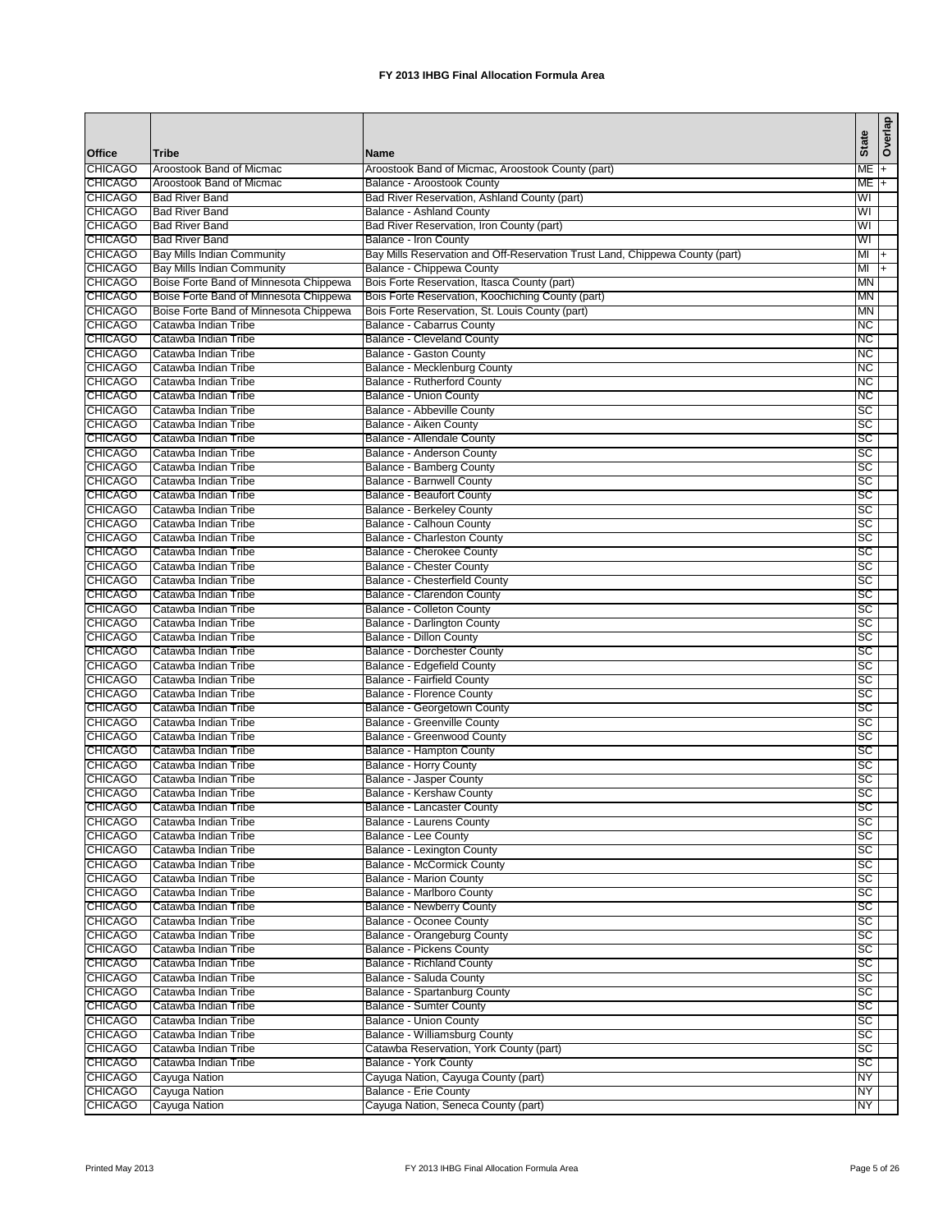|                                  |                                                   |                                                                              | <b>State</b> | Overlap        |
|----------------------------------|---------------------------------------------------|------------------------------------------------------------------------------|--------------|----------------|
| <b>Office</b>                    | <b>Tribe</b>                                      | Name                                                                         |              |                |
| <b>CHICAGO</b>                   | Aroostook Band of Micmac                          | Aroostook Band of Micmac, Aroostook County (part)                            | ME           | $+$            |
| <b>CHICAGO</b><br><b>CHICAGO</b> | Aroostook Band of Micmac<br><b>Bad River Band</b> | Balance - Aroostook County<br>Bad River Reservation, Ashland County (part)   | ME<br>WI     | $\overline{+}$ |
| <b>CHICAGO</b>                   | <b>Bad River Band</b>                             | <b>Balance - Ashland County</b>                                              | WI           |                |
| <b>CHICAGO</b>                   | <b>Bad River Band</b>                             | Bad River Reservation, Iron County (part)                                    | WI           |                |
| <b>CHICAGO</b>                   | <b>Bad River Band</b>                             | Balance - Iron County                                                        | WI           |                |
| <b>CHICAGO</b>                   | Bay Mills Indian Community                        | Bay Mills Reservation and Off-Reservation Trust Land, Chippewa County (part) | MI           | $+$            |
| <b>CHICAGO</b>                   | Bay Mills Indian Community                        | Balance - Chippewa County                                                    | MI           | $\ddot{}$      |
| <b>CHICAGO</b>                   | Boise Forte Band of Minnesota Chippewa            | Bois Forte Reservation, Itasca County (part)                                 | <b>MN</b>    |                |
| <b>CHICAGO</b>                   | Boise Forte Band of Minnesota Chippewa            | Bois Forte Reservation, Koochiching County (part)                            | <b>MN</b>    |                |
| <b>CHICAGO</b>                   | Boise Forte Band of Minnesota Chippewa            | Bois Forte Reservation, St. Louis County (part)                              | <b>MN</b>    |                |
| <b>CHICAGO</b><br><b>CHICAGO</b> | Catawba Indian Tribe<br>Catawba Indian Tribe      | Balance - Cabarrus County<br><b>Balance - Cleveland County</b>               | NC<br>NC     |                |
| <b>CHICAGO</b>                   | Catawba Indian Tribe                              | <b>Balance - Gaston County</b>                                               | NC           |                |
| <b>CHICAGO</b>                   | Catawba Indian Tribe                              | Balance - Mecklenburg County                                                 | NC           |                |
| <b>CHICAGO</b>                   | Catawba Indian Tribe                              | <b>Balance - Rutherford County</b>                                           | NС           |                |
| <b>CHICAGO</b>                   | Catawba Indian Tribe                              | <b>Balance - Union County</b>                                                | NC           |                |
| <b>CHICAGO</b>                   | Catawba Indian Tribe                              | Balance - Abbeville County                                                   | SC           |                |
| <b>CHICAGO</b>                   | Catawba Indian Tribe                              | Balance - Aiken County                                                       | SC           |                |
| <b>CHICAGO</b>                   | Catawba Indian Tribe                              | Balance - Allendale County                                                   | <b>SC</b>    |                |
| <b>CHICAGO</b>                   | Catawba Indian Tribe                              | Balance - Anderson County                                                    | SC           |                |
| <b>CHICAGO</b>                   | Catawba Indian Tribe                              | Balance - Bamberg County                                                     | SC           |                |
| <b>CHICAGO</b>                   | Catawba Indian Tribe                              | <b>Balance - Barnwell County</b>                                             | SC           |                |
| <b>CHICAGO</b>                   | Catawba Indian Tribe                              | <b>Balance - Beaufort County</b>                                             | SC           |                |
| <b>CHICAGO</b><br><b>CHICAGO</b> | Catawba Indian Tribe<br>Catawba Indian Tribe      | <b>Balance - Berkeley County</b><br>Balance - Calhoun County                 | SC<br>SC     |                |
| <b>CHICAGO</b>                   | Catawba Indian Tribe                              | Balance - Charleston County                                                  | SC           |                |
| <b>CHICAGO</b>                   | Catawba Indian Tribe                              | Balance - Cherokee County                                                    | SC           |                |
| <b>CHICAGO</b>                   | Catawba Indian Tribe                              | <b>Balance - Chester County</b>                                              | SC           |                |
| <b>CHICAGO</b>                   | Catawba Indian Tribe                              | Balance - Chesterfield County                                                | <b>SC</b>    |                |
| <b>CHICAGO</b>                   | Catawba Indian Tribe                              | Balance - Clarendon County                                                   | SC           |                |
| <b>CHICAGO</b>                   | Catawba Indian Tribe                              | <b>Balance - Colleton County</b>                                             | SC           |                |
| <b>CHICAGO</b>                   | Catawba Indian Tribe                              | Balance - Darlington County                                                  | SC           |                |
| <b>CHICAGO</b>                   | Catawba Indian Tribe                              | Balance - Dillon County                                                      | SC           |                |
| <b>CHICAGO</b>                   | Catawba Indian Tribe                              | <b>Balance - Dorchester County</b>                                           | SC           |                |
| <b>CHICAGO</b><br><b>CHICAGO</b> | Catawba Indian Tribe                              | Balance - Edgefield County                                                   | SC           |                |
| <b>CHICAGO</b>                   | Catawba Indian Tribe<br>Catawba Indian Tribe      | <b>Balance - Fairfield County</b><br><b>Balance - Florence County</b>        | SC<br>SC     |                |
| <b>CHICAGO</b>                   | Catawba Indian Tribe                              | Balance - Georgetown County                                                  | SC           |                |
| <b>CHICAGO</b>                   | Catawba Indian Tribe                              | Balance - Greenville County                                                  | SC           |                |
| <b>CHICAGO</b>                   | Catawba Indian Tribe                              | Balance - Greenwood County                                                   | SC           |                |
| <b>CHICAGO</b>                   | Catawba Indian Tribe                              | Balance - Hampton County                                                     | SC           |                |
| <b>CHICAGO</b>                   | Catawba Indian Tribe                              | <b>Balance - Horry County</b>                                                | SC           |                |
| <b>CHICAGO</b>                   | Catawba Indian Tribe                              | <b>Balance - Jasper County</b>                                               | SC           |                |
| <b>CHICAGO</b>                   | Catawba Indian Tribe                              | Balance - Kershaw County                                                     | SC           |                |
| <b>CHICAGO</b>                   | Catawba Indian Tribe                              | Balance - Lancaster County                                                   | <b>SC</b>    |                |
| <b>CHICAGO</b>                   | Catawba Indian Tribe                              | Balance - Laurens County                                                     | SC<br>SC     |                |
| <b>CHICAGO</b><br><b>CHICAGO</b> | Catawba Indian Tribe<br>Catawba Indian Tribe      | Balance - Lee County<br>Balance - Lexington County                           | SC           |                |
| <b>CHICAGO</b>                   | Catawba Indian Tribe                              | Balance - McCormick County                                                   | SC           |                |
| <b>CHICAGO</b>                   | Catawba Indian Tribe                              | <b>Balance - Marion County</b>                                               | SC           |                |
| <b>CHICAGO</b>                   | Catawba Indian Tribe                              | Balance - Marlboro County                                                    | SC           |                |
| <b>CHICAGO</b>                   | Catawba Indian Tribe                              | <b>Balance - Newberry County</b>                                             | SC           |                |
| <b>CHICAGO</b>                   | Catawba Indian Tribe                              | Balance - Oconee County                                                      | SC           |                |
| <b>CHICAGO</b>                   | Catawba Indian Tribe                              | Balance - Orangeburg County                                                  | SC           |                |
| <b>CHICAGO</b>                   | Catawba Indian Tribe                              | Balance - Pickens County                                                     | SC           |                |
| <b>CHICAGO</b>                   | Catawba Indian Tribe                              | <b>Balance - Richland County</b>                                             | <b>SC</b>    |                |
| <b>CHICAGO</b>                   | Catawba Indian Tribe                              | Balance - Saluda County                                                      | <b>SC</b>    |                |
| <b>CHICAGO</b><br><b>CHICAGO</b> | Catawba Indian Tribe<br>Catawba Indian Tribe      | Balance - Spartanburg County<br><b>Balance - Sumter County</b>               | SC<br>SC     |                |
| <b>CHICAGO</b>                   | Catawba Indian Tribe                              | Balance - Union County                                                       | <b>SC</b>    |                |
| <b>CHICAGO</b>                   | Catawba Indian Tribe                              | Balance - Williamsburg County                                                | SC           |                |
| <b>CHICAGO</b>                   | Catawba Indian Tribe                              | Catawba Reservation, York County (part)                                      | SC           |                |
| <b>CHICAGO</b>                   | Catawba Indian Tribe                              | Balance - York County                                                        | <b>SC</b>    |                |
| <b>CHICAGO</b>                   | Cayuga Nation                                     | Cayuga Nation, Cayuga County (part)                                          | NΥ           |                |
| <b>CHICAGO</b>                   | Cayuga Nation                                     | Balance - Erie County                                                        | NY           |                |
| <b>CHICAGO</b>                   | Cayuga Nation                                     | Cayuga Nation, Seneca County (part)                                          | NY           |                |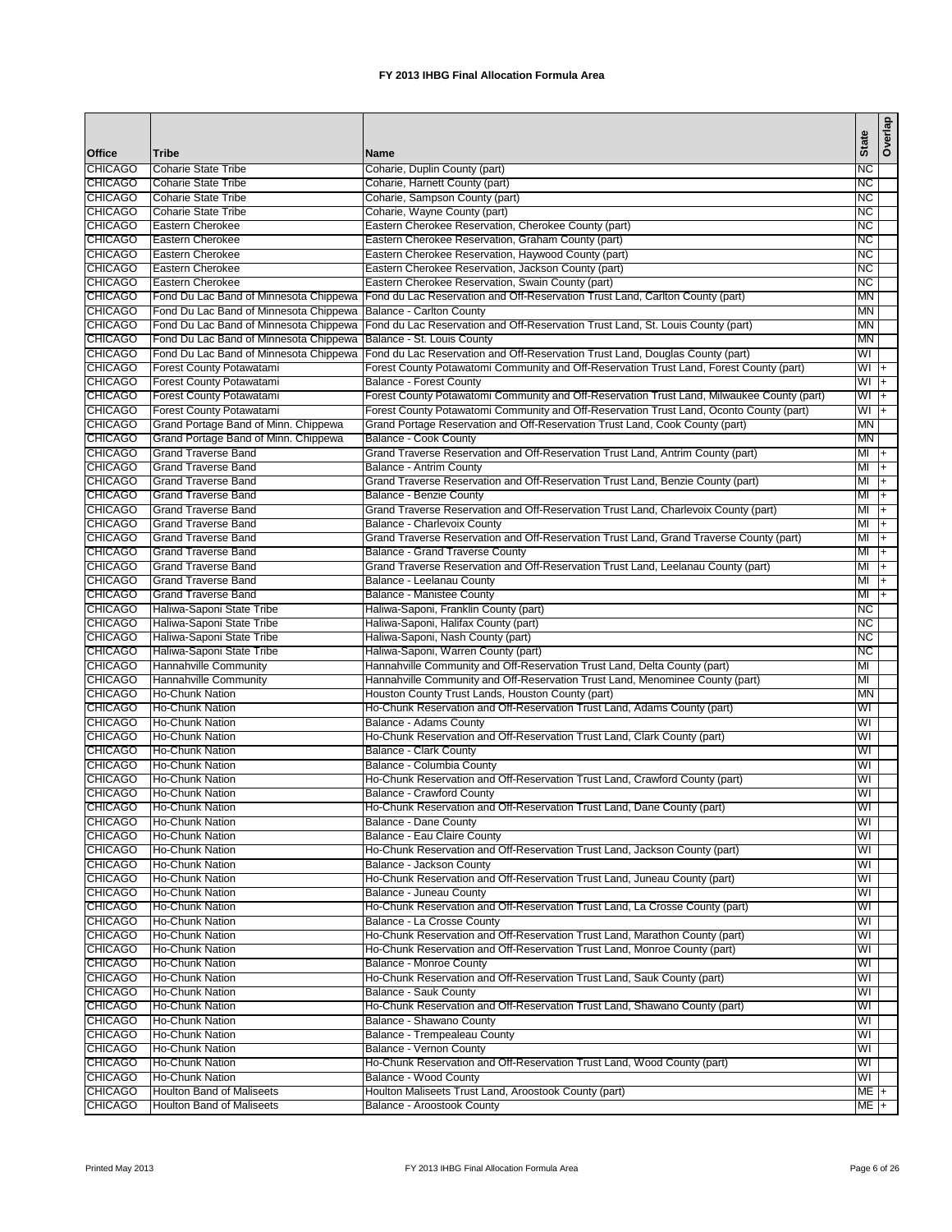| Office                           | <b>Tribe</b>                                               | <b>Name</b>                                                                                                                        | <b>State</b>      | Overlap        |
|----------------------------------|------------------------------------------------------------|------------------------------------------------------------------------------------------------------------------------------------|-------------------|----------------|
| <b>CHICAGO</b>                   | <b>Coharie State Tribe</b>                                 | Coharie, Duplin County (part)                                                                                                      | NС                |                |
| <b>CHICAGO</b>                   | <b>Coharie State Tribe</b>                                 | Coharie, Harnett County (part)                                                                                                     | <b>NC</b>         |                |
| <b>CHICAGO</b>                   | <b>Coharie State Tribe</b>                                 | Coharie, Sampson County (part)                                                                                                     | NC                |                |
| <b>CHICAGO</b>                   | <b>Coharie State Tribe</b>                                 | Coharie, Wayne County (part)                                                                                                       | ИC                |                |
| <b>CHICAGO</b>                   | Eastern Cherokee                                           | Eastern Cherokee Reservation, Cherokee County (part)                                                                               | <b>NC</b>         |                |
| <b>CHICAGO</b>                   | <b>Eastern Cherokee</b>                                    | Eastern Cherokee Reservation, Graham County (part)                                                                                 | NС                |                |
| <b>CHICAGO</b>                   | Eastern Cherokee                                           | Eastern Cherokee Reservation, Haywood County (part)                                                                                | NС                |                |
| <b>CHICAGO</b>                   | <b>Eastern Cherokee</b>                                    | Eastern Cherokee Reservation, Jackson County (part)                                                                                | <b>NC</b>         |                |
| <b>CHICAGO</b><br><b>CHICAGO</b> | Eastern Cherokee<br>Fond Du Lac Band of Minnesota Chippewa | Eastern Cherokee Reservation, Swain County (part)<br>Fond du Lac Reservation and Off-Reservation Trust Land, Carlton County (part) | NС<br><b>MN</b>   |                |
| <b>CHICAGO</b>                   | Fond Du Lac Band of Minnesota Chippewa                     | Balance - Carlton County                                                                                                           | <b>MN</b>         |                |
| <b>CHICAGO</b>                   | Fond Du Lac Band of Minnesota Chippewa                     | Fond du Lac Reservation and Off-Reservation Trust Land, St. Louis County (part)                                                    | ΜN                |                |
| <b>CHICAGO</b>                   | Fond Du Lac Band of Minnesota Chippewa                     | Balance - St. Louis County                                                                                                         | ΜN                |                |
| <b>CHICAGO</b>                   | Fond Du Lac Band of Minnesota Chippewa                     | Fond du Lac Reservation and Off-Reservation Trust Land, Douglas County (part)                                                      | WI                |                |
| <b>CHICAGO</b>                   | Forest County Potawatami                                   | Forest County Potawatomi Community and Off-Reservation Trust Land, Forest County (part)                                            | WI                | $+$            |
| <b>CHICAGO</b>                   | <b>Forest County Potawatami</b>                            | Balance - Forest County                                                                                                            | $WI +$            |                |
| <b>CHICAGO</b>                   | <b>Forest County Potawatami</b>                            | Forest County Potawatomi Community and Off-Reservation Trust Land, Milwaukee County (part)                                         | WI                | T+             |
| <b>CHICAGO</b>                   | Forest County Potawatami                                   | Forest County Potawatomi Community and Off-Reservation Trust Land, Oconto County (part)                                            | $W1 +$            |                |
| <b>CHICAGO</b>                   | Grand Portage Band of Minn. Chippewa                       | Grand Portage Reservation and Off-Reservation Trust Land, Cook County (part)                                                       | MN                |                |
| <b>CHICAGO</b>                   | Grand Portage Band of Minn. Chippewa                       | Balance - Cook County                                                                                                              | <b>MN</b>         |                |
| <b>CHICAGO</b>                   | <b>Grand Traverse Band</b>                                 | Grand Traverse Reservation and Off-Reservation Trust Land, Antrim County (part)                                                    | MI                | l+             |
| <b>CHICAGO</b><br><b>CHICAGO</b> | <b>Grand Traverse Band</b><br><b>Grand Traverse Band</b>   | Balance - Antrim County<br>Grand Traverse Reservation and Off-Reservation Trust Land, Benzie County (part)                         | MI<br>MI          | $ +$           |
| <b>CHICAGO</b>                   | <b>Grand Traverse Band</b>                                 | Balance - Benzie County                                                                                                            | MI                | I+<br>l+       |
| <b>CHICAGO</b>                   | <b>Grand Traverse Band</b>                                 | Grand Traverse Reservation and Off-Reservation Trust Land, Charlevoix County (part)                                                | MI                | $\overline{+}$ |
| <b>CHICAGO</b>                   | <b>Grand Traverse Band</b>                                 | Balance - Charlevoix County                                                                                                        | MI                | $ +$           |
| <b>CHICAGO</b>                   | <b>Grand Traverse Band</b>                                 | Grand Traverse Reservation and Off-Reservation Trust Land, Grand Traverse County (part)                                            | MI                | $ + $          |
| <b>CHICAGO</b>                   | <b>Grand Traverse Band</b>                                 | <b>Balance - Grand Traverse County</b>                                                                                             | MI                | $\overline{+}$ |
| <b>CHICAGO</b>                   | <b>Grand Traverse Band</b>                                 | Grand Traverse Reservation and Off-Reservation Trust Land, Leelanau County (part)                                                  | MI                | ᡏᠮ             |
| <b>CHICAGO</b>                   | <b>Grand Traverse Band</b>                                 | Balance - Leelanau County                                                                                                          | MI                | $ + $          |
| <b>CHICAGO</b>                   | <b>Grand Traverse Band</b>                                 | <b>Balance - Manistee County</b>                                                                                                   | MI                | T+             |
| <b>CHICAGO</b>                   | Haliwa-Saponi State Tribe                                  | Haliwa-Saponi, Franklin County (part)                                                                                              | ИC                |                |
| <b>CHICAGO</b>                   | Haliwa-Saponi State Tribe                                  | Haliwa-Saponi, Halifax County (part)                                                                                               | <b>NC</b>         |                |
| <b>CHICAGO</b>                   | Haliwa-Saponi State Tribe                                  | Haliwa-Saponi, Nash County (part)                                                                                                  | NС                |                |
| <b>CHICAGO</b><br><b>CHICAGO</b> | Haliwa-Saponi State Tribe<br>Hannahville Community         | Haliwa-Saponi, Warren County (part)<br>Hannahville Community and Off-Reservation Trust Land, Delta County (part)                   | NС<br>MI          |                |
| <b>CHICAGO</b>                   | <b>Hannahville Community</b>                               | Hannahville Community and Off-Reservation Trust Land, Menominee County (part)                                                      | MI                |                |
| <b>CHICAGO</b>                   | <b>Ho-Chunk Nation</b>                                     | Houston County Trust Lands, Houston County (part)                                                                                  | <b>MN</b>         |                |
| <b>CHICAGO</b>                   | <b>Ho-Chunk Nation</b>                                     | Ho-Chunk Reservation and Off-Reservation Trust Land, Adams County (part)                                                           | WI                |                |
| <b>CHICAGO</b>                   | <b>Ho-Chunk Nation</b>                                     | Balance - Adams County                                                                                                             | WI                |                |
| <b>CHICAGO</b>                   | <b>Ho-Chunk Nation</b>                                     | Ho-Chunk Reservation and Off-Reservation Trust Land, Clark County (part)                                                           | WI                |                |
| <b>CHICAGO</b>                   | <b>Ho-Chunk Nation</b>                                     | Balance - Clark County                                                                                                             | WI                |                |
| <b>CHICAGO</b>                   | <b>Ho-Chunk Nation</b>                                     | Balance - Columbia County                                                                                                          | WI                |                |
| <b>CHICAGO</b>                   | <b>Ho-Chunk Nation</b>                                     | Ho-Chunk Reservation and Off-Reservation Trust Land, Crawford County (part)                                                        | WI                |                |
| <b>CHICAGO</b>                   | <b>Ho-Chunk Nation</b>                                     | Balance - Crawford County                                                                                                          | WI                |                |
| <b>CHICAGO</b>                   | Ho-Chunk Nation                                            | Ho-Chunk Reservation and Off-Reservation Trust Land, Dane County (part)                                                            | WI                |                |
| <b>CHICAGO</b><br><b>CHICAGO</b> | Ho-Chunk Nation<br>Ho-Chunk Nation                         | Balance - Dane County<br>Balance - Eau Claire County                                                                               | WI<br>WI          |                |
| <b>CHICAGO</b>                   | Ho-Chunk Nation                                            | Ho-Chunk Reservation and Off-Reservation Trust Land, Jackson County (part)                                                         | WI                |                |
| <b>CHICAGO</b>                   | Ho-Chunk Nation                                            | Balance - Jackson County                                                                                                           | WI                |                |
| <b>CHICAGO</b>                   | <b>Ho-Chunk Nation</b>                                     | Ho-Chunk Reservation and Off-Reservation Trust Land, Juneau County (part)                                                          | WI                |                |
| <b>CHICAGO</b>                   | Ho-Chunk Nation                                            | Balance - Juneau County                                                                                                            | WI                |                |
| <b>CHICAGO</b>                   | Ho-Chunk Nation                                            | Ho-Chunk Reservation and Off-Reservation Trust Land, La Crosse County (part)                                                       | WI                |                |
| <b>CHICAGO</b>                   | Ho-Chunk Nation                                            | Balance - La Crosse County                                                                                                         | WI                |                |
| <b>CHICAGO</b>                   | <b>Ho-Chunk Nation</b>                                     | Ho-Chunk Reservation and Off-Reservation Trust Land, Marathon County (part)                                                        | WI                |                |
| <b>CHICAGO</b>                   | <b>Ho-Chunk Nation</b>                                     | Ho-Chunk Reservation and Off-Reservation Trust Land, Monroe County (part)                                                          | WI                |                |
| <b>CHICAGO</b>                   | <b>Ho-Chunk Nation</b>                                     | Balance - Monroe County                                                                                                            | WI                |                |
| <b>CHICAGO</b>                   | <b>Ho-Chunk Nation</b>                                     | Ho-Chunk Reservation and Off-Reservation Trust Land, Sauk County (part)                                                            | WI                |                |
| <b>CHICAGO</b>                   | <b>Ho-Chunk Nation</b>                                     | Balance - Sauk County                                                                                                              | WI                |                |
| <b>CHICAGO</b><br><b>CHICAGO</b> | <b>Ho-Chunk Nation</b><br><b>Ho-Chunk Nation</b>           | Ho-Chunk Reservation and Off-Reservation Trust Land, Shawano County (part)<br>Balance - Shawano County                             | WI<br>WI          |                |
| <b>CHICAGO</b>                   | <b>Ho-Chunk Nation</b>                                     | Balance - Trempealeau County                                                                                                       | WI                |                |
| <b>CHICAGO</b>                   | <b>Ho-Chunk Nation</b>                                     | <b>Balance - Vernon County</b>                                                                                                     | WI                |                |
| <b>CHICAGO</b>                   | <b>Ho-Chunk Nation</b>                                     | Ho-Chunk Reservation and Off-Reservation Trust Land, Wood County (part)                                                            | WI                |                |
| <b>CHICAGO</b>                   | <b>Ho-Chunk Nation</b>                                     | Balance - Wood County                                                                                                              | WI                |                |
| <b>CHICAGO</b>                   | <b>Houlton Band of Maliseets</b>                           | Houlton Maliseets Trust Land, Aroostook County (part)                                                                              | ME <sub>1</sub> + |                |
| <b>CHICAGO</b>                   | <b>Houlton Band of Maliseets</b>                           | Balance - Aroostook County                                                                                                         | $ME +$            |                |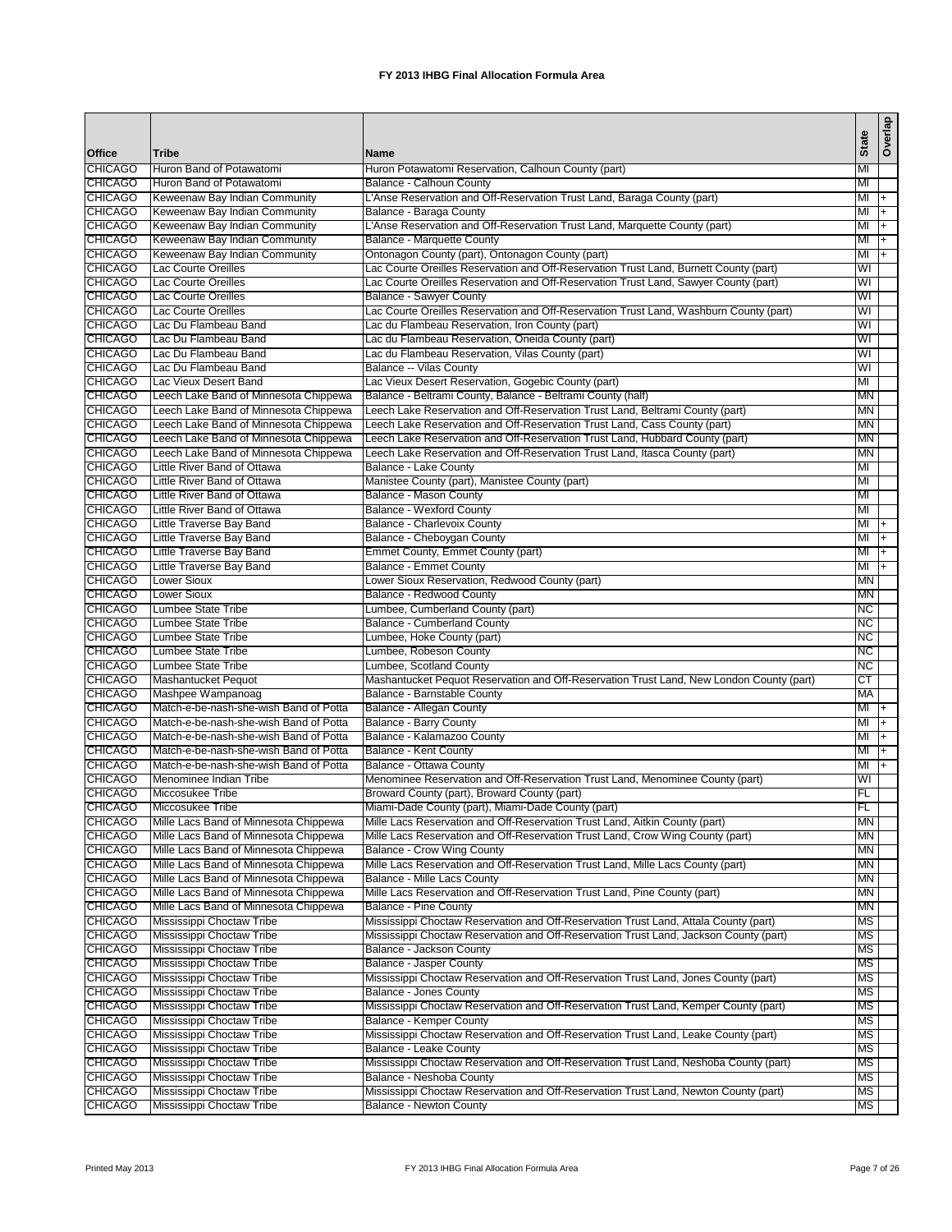|                                  |                                                                                |                                                                                                              |              | Overlap        |
|----------------------------------|--------------------------------------------------------------------------------|--------------------------------------------------------------------------------------------------------------|--------------|----------------|
| Office                           | <b>Tribe</b>                                                                   | <b>Name</b>                                                                                                  | <b>State</b> |                |
| <b>CHICAGO</b>                   | Huron Band of Potawatomi                                                       | Huron Potawatomi Reservation, Calhoun County (part)                                                          | MI           |                |
| <b>CHICAGO</b>                   | Huron Band of Potawatomi                                                       | Balance - Calhoun County                                                                                     | MI           |                |
| <b>CHICAGO</b>                   | Keweenaw Bay Indian Community                                                  | L'Anse Reservation and Off-Reservation Trust Land, Baraga County (part)                                      | $M +$        |                |
| <b>CHICAGO</b>                   | Keweenaw Bay Indian Community                                                  | Balance - Baraga County                                                                                      | $M +$        |                |
| <b>CHICAGO</b>                   | Keweenaw Bay Indian Community                                                  | L'Anse Reservation and Off-Reservation Trust Land, Marquette County (part)                                   | MI           | $ +$           |
| <b>CHICAGO</b>                   | Keweenaw Bay Indian Community                                                  | Balance - Marquette County                                                                                   | MI           | $\overline{+}$ |
| <b>CHICAGO</b>                   | Keweenaw Bay Indian Community                                                  | Ontonagon County (part), Ontonagon County (part)                                                             | MI           | $\overline{+}$ |
| <b>CHICAGO</b>                   | Lac Courte Oreilles                                                            | Lac Courte Oreilles Reservation and Off-Reservation Trust Land, Burnett County (part)                        | WI           |                |
| <b>CHICAGO</b>                   | Lac Courte Oreilles                                                            | Lac Courte Oreilles Reservation and Off-Reservation Trust Land, Sawyer County (part)                         | WI           |                |
| <b>CHICAGO</b>                   | Lac Courte Oreilles                                                            | <b>Balance - Sawyer County</b>                                                                               | WI           |                |
| <b>CHICAGO</b>                   | Lac Courte Oreilles                                                            | Lac Courte Oreilles Reservation and Off-Reservation Trust Land, Washburn County (part)                       | WI           |                |
| <b>CHICAGO</b>                   | Lac Du Flambeau Band                                                           | Lac du Flambeau Reservation, Iron County (part)                                                              | WI           |                |
| <b>CHICAGO</b>                   | Lac Du Flambeau Band                                                           | Lac du Flambeau Reservation, Oneida County (part)                                                            | WI           |                |
| <b>CHICAGO</b>                   | Lac Du Flambeau Band                                                           | Lac du Flambeau Reservation, Vilas County (part)                                                             | WI           |                |
| <b>CHICAGO</b>                   | Lac Du Flambeau Band                                                           | Balance -- Vilas County                                                                                      | WI           |                |
| <b>CHICAGO</b>                   | Lac Vieux Desert Band                                                          | Lac Vieux Desert Reservation, Gogebic County (part)                                                          | MI           |                |
| <b>CHICAGO</b>                   | Leech Lake Band of Minnesota Chippewa                                          | Balance - Beltrami County, Balance - Beltrami County (half)                                                  | <b>MN</b>    |                |
| <b>CHICAGO</b>                   | Leech Lake Band of Minnesota Chippewa                                          | Leech Lake Reservation and Off-Reservation Trust Land, Beltrami County (part)                                | MN           |                |
| <b>CHICAGO</b>                   | Leech Lake Band of Minnesota Chippewa                                          | Leech Lake Reservation and Off-Reservation Trust Land, Cass County (part)                                    | ΜN           |                |
| <b>CHICAGO</b>                   | Leech Lake Band of Minnesota Chippewa                                          | Leech Lake Reservation and Off-Reservation Trust Land, Hubbard County (part)                                 | MN           |                |
| <b>CHICAGO</b>                   | Leech Lake Band of Minnesota Chippewa                                          | Leech Lake Reservation and Off-Reservation Trust Land, Itasca County (part)                                  | MN           |                |
| <b>CHICAGO</b>                   | Little River Band of Ottawa                                                    | Balance - Lake County                                                                                        | MI           |                |
| <b>CHICAGO</b>                   | Little River Band of Ottawa                                                    | Manistee County (part), Manistee County (part)                                                               | MI           |                |
| <b>CHICAGO</b>                   | Little River Band of Ottawa                                                    | Balance - Mason County                                                                                       | MI           |                |
| <b>CHICAGO</b>                   | Little River Band of Ottawa                                                    | <b>Balance - Wexford County</b>                                                                              | MI           |                |
| <b>CHICAGO</b>                   | Little Traverse Bay Band                                                       | Balance - Charlevoix County                                                                                  | MI           | $ +$           |
| <b>CHICAGO</b>                   | Little Traverse Bay Band                                                       | Balance - Cheboygan County                                                                                   | MI           | l+             |
| <b>CHICAGO</b>                   | Little Traverse Bay Band                                                       | Emmet County, Emmet County (part)                                                                            | $M +$        |                |
| <b>CHICAGO</b>                   | Little Traverse Bay Band                                                       | Balance - Emmet County                                                                                       | ΜI           | $ +$           |
| <b>CHICAGO</b>                   | <b>Lower Sioux</b>                                                             | Lower Sioux Reservation, Redwood County (part)                                                               | <b>MN</b>    |                |
| <b>CHICAGO</b>                   | <b>Lower Sioux</b>                                                             | Balance - Redwood County                                                                                     | <b>MN</b>    |                |
| <b>CHICAGO</b>                   | <b>Lumbee State Tribe</b>                                                      | Lumbee, Cumberland County (part)                                                                             | NС           |                |
| <b>CHICAGO</b>                   | Lumbee State Tribe                                                             | Balance - Cumberland County                                                                                  | <b>NC</b>    |                |
| <b>CHICAGO</b>                   | Lumbee State Tribe                                                             | Lumbee, Hoke County (part)                                                                                   | NС           |                |
| <b>CHICAGO</b>                   | Lumbee State Tribe                                                             | Lumbee, Robeson County                                                                                       | ИC           |                |
| <b>CHICAGO</b>                   | Lumbee State Tribe                                                             | Lumbee, Scotland County                                                                                      | <b>NC</b>    |                |
| <b>CHICAGO</b>                   | <b>Mashantucket Pequot</b>                                                     | Mashantucket Pequot Reservation and Off-Reservation Trust Land, New London County (part)                     | СT           |                |
| <b>CHICAGO</b>                   | Mashpee Wampanoag                                                              | Balance - Barnstable County                                                                                  | MA           |                |
| <b>CHICAGO</b>                   | Match-e-be-nash-she-wish Band of Potta                                         | Balance - Allegan County                                                                                     | MI           | l+             |
| <b>CHICAGO</b>                   | Match-e-be-nash-she-wish Band of Potta                                         | <b>Balance - Barry County</b>                                                                                | MI           | Ŧ              |
| <b>CHICAGO</b>                   | Match-e-be-nash-she-wish Band of Potta                                         | Balance - Kalamazoo County                                                                                   | MI           | $ + $          |
| <b>CHICAGO</b>                   | Match-e-be-nash-she-wish Band of Potta                                         | Balance - Kent County                                                                                        | MI           | $+$            |
| <b>CHICAGO</b>                   | Match-e-be-nash-she-wish Band of Potta                                         | Balance - Ottawa County                                                                                      | MI           | $ + $          |
| <b>CHICAGO</b>                   | Menominee Indian Tribe                                                         | Menominee Reservation and Off-Reservation Trust Land, Menominee County (part)                                | WI           |                |
| <b>CHICAGO</b>                   | Miccosukee Tribe                                                               | Broward County (part), Broward County (part)                                                                 | FL           |                |
| <b>CHICAGO</b>                   | Miccosukee Tribe                                                               | Miami-Dade County (part), Miami-Dade County (part)                                                           | FL           |                |
| <b>CHICAGO</b>                   | Mille Lacs Band of Minnesota Chippewa                                          | Mille Lacs Reservation and Off-Reservation Trust Land, Aitkin County (part)                                  | <b>MN</b>    |                |
|                                  |                                                                                |                                                                                                              |              |                |
| <b>CHICAGO</b><br><b>CHICAGO</b> | Mille Lacs Band of Minnesota Chippewa<br>Mille Lacs Band of Minnesota Chippewa | Mille Lacs Reservation and Off-Reservation Trust Land, Crow Wing County (part)<br>Balance - Crow Wing County | MN<br>MN     |                |
|                                  |                                                                                |                                                                                                              |              |                |
| <b>CHICAGO</b>                   | Mille Lacs Band of Minnesota Chippewa                                          | Mille Lacs Reservation and Off-Reservation Trust Land, Mille Lacs County (part)                              | MN           |                |
| <b>CHICAGO</b>                   | Mille Lacs Band of Minnesota Chippewa                                          | Balance - Mille Lacs County                                                                                  | <b>MN</b>    |                |
| <b>CHICAGO</b>                   | Mille Lacs Band of Minnesota Chippewa                                          | Mille Lacs Reservation and Off-Reservation Trust Land, Pine County (part)                                    | MΝ           |                |
| <b>CHICAGO</b>                   | Mille Lacs Band of Minnesota Chippewa                                          | Balance - Pine County                                                                                        | <b>MN</b>    |                |
| <b>CHICAGO</b>                   | Mississippi Choctaw Tribe                                                      | Mississippi Choctaw Reservation and Off-Reservation Trust Land, Attala County (part)                         | <b>MS</b>    |                |
| <b>CHICAGO</b>                   | Mississippi Choctaw Tribe                                                      | Mississippi Choctaw Reservation and Off-Reservation Trust Land, Jackson County (part)                        | ΜS           |                |
| <b>CHICAGO</b>                   | Mississippi Choctaw Tribe                                                      | Balance - Jackson County                                                                                     | ΜS           |                |
| <b>CHICAGO</b>                   | Mississippi Choctaw Tribe                                                      | <b>Balance - Jasper County</b>                                                                               | MS           |                |
| <b>CHICAGO</b>                   | Mississippi Choctaw Tribe                                                      | Mississippi Choctaw Reservation and Off-Reservation Trust Land, Jones County (part)                          | <b>MS</b>    |                |
| <b>CHICAGO</b>                   | Mississippi Choctaw Tribe                                                      | Balance - Jones County                                                                                       | ΜS           |                |
| <b>CHICAGO</b>                   | Mississippi Choctaw Tribe                                                      | Mississippi Choctaw Reservation and Off-Reservation Trust Land, Kemper County (part)                         | ΜS           |                |
| <b>CHICAGO</b>                   | Mississippi Choctaw Tribe                                                      | Balance - Kemper County                                                                                      | MS           |                |
| <b>CHICAGO</b>                   | Mississippi Choctaw Tribe                                                      | Mississippi Choctaw Reservation and Off-Reservation Trust Land, Leake County (part)                          | ΜS           |                |
| <b>CHICAGO</b>                   | Mississippi Choctaw Tribe                                                      | Balance - Leake County                                                                                       | ΜS           |                |
| <b>CHICAGO</b>                   | Mississippi Choctaw Tribe                                                      | Mississippi Choctaw Reservation and Off-Reservation Trust Land, Neshoba County (part)                        | <b>MS</b>    |                |
| <b>CHICAGO</b>                   | Mississippi Choctaw Tribe                                                      | Balance - Neshoba County                                                                                     | ΜS           |                |
| <b>CHICAGO</b>                   | Mississippi Choctaw Tribe                                                      | Mississippi Choctaw Reservation and Off-Reservation Trust Land, Newton County (part)                         | МS           |                |
| <b>CHICAGO</b>                   | Mississippi Choctaw Tribe                                                      | Balance - Newton County                                                                                      | <b>MS</b>    |                |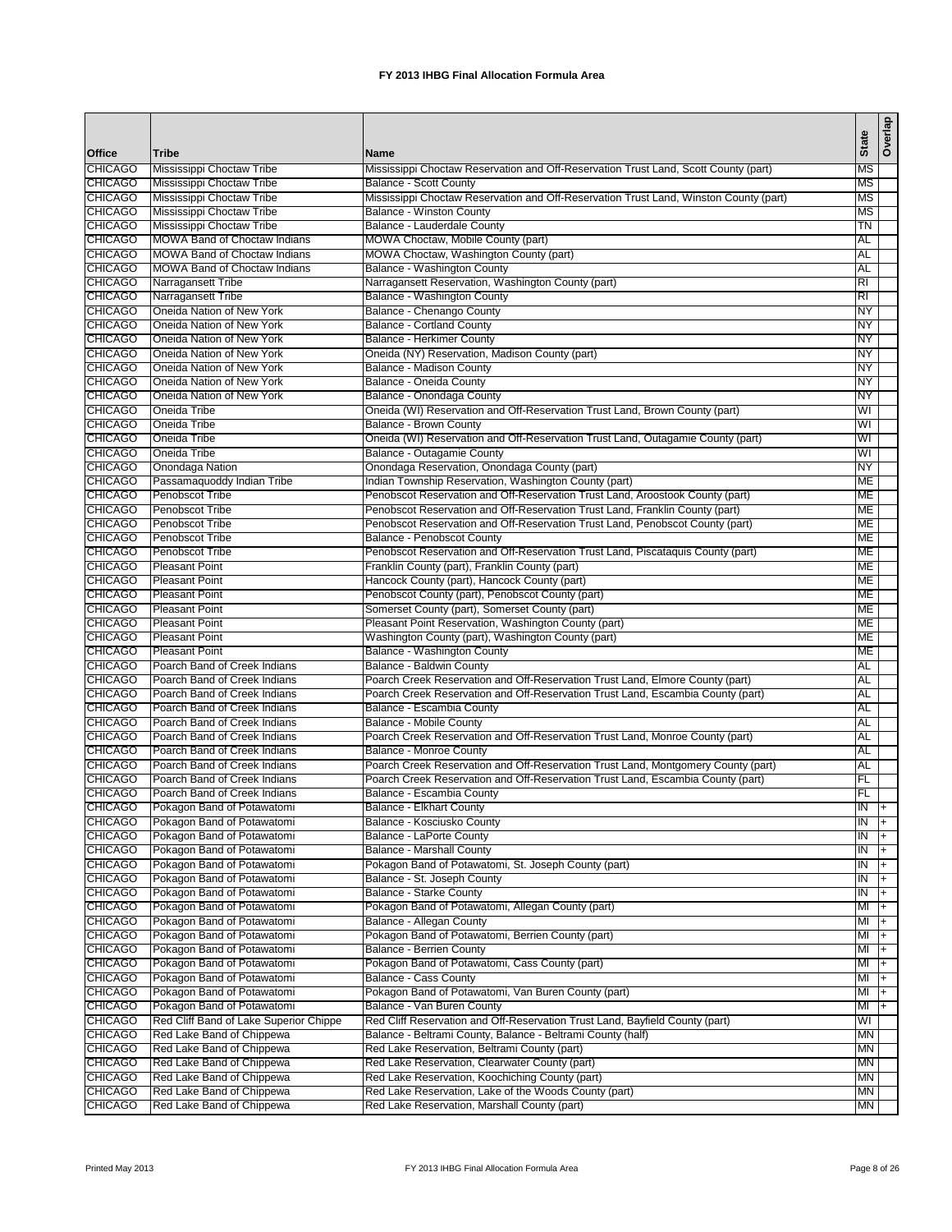|                                  |                                                              |                                                                                                                                                               | <b>State</b>    | Overlap |
|----------------------------------|--------------------------------------------------------------|---------------------------------------------------------------------------------------------------------------------------------------------------------------|-----------------|---------|
| Office                           | <b>Tribe</b>                                                 | Name                                                                                                                                                          |                 |         |
| <b>CHICAGO</b>                   | Mississippi Choctaw Tribe                                    | Mississippi Choctaw Reservation and Off-Reservation Trust Land, Scott County (part)                                                                           | ΜS              |         |
| <b>CHICAGO</b>                   | Mississippi Choctaw Tribe                                    | <b>Balance - Scott County</b>                                                                                                                                 | MS              |         |
| <b>CHICAGO</b><br><b>CHICAGO</b> | Mississippi Choctaw Tribe<br>Mississippi Choctaw Tribe       | Mississippi Choctaw Reservation and Off-Reservation Trust Land, Winston County (part)<br><b>Balance - Winston County</b>                                      | ΜS<br>MS        |         |
| <b>CHICAGO</b>                   | Mississippi Choctaw Tribe                                    | Balance - Lauderdale County                                                                                                                                   | TN              |         |
| <b>CHICAGO</b>                   | <b>MOWA Band of Choctaw Indians</b>                          | MOWA Choctaw, Mobile County (part)                                                                                                                            | AL              |         |
| <b>CHICAGO</b>                   | <b>MOWA Band of Choctaw Indians</b>                          | MOWA Choctaw, Washington County (part)                                                                                                                        | AL              |         |
| <b>CHICAGO</b>                   | <b>MOWA Band of Choctaw Indians</b>                          | Balance - Washington County                                                                                                                                   | AL              |         |
| <b>CHICAGO</b>                   | Narragansett Tribe                                           | Narragansett Reservation, Washington County (part)                                                                                                            | RI              |         |
| <b>CHICAGO</b>                   | Narragansett Tribe                                           | Balance - Washington County                                                                                                                                   | RI              |         |
| <b>CHICAGO</b>                   | Oneida Nation of New York                                    | Balance - Chenango County                                                                                                                                     | NY              |         |
| <b>CHICAGO</b><br><b>CHICAGO</b> | Oneida Nation of New York                                    | <b>Balance - Cortland County</b>                                                                                                                              | NY              |         |
| <b>CHICAGO</b>                   | Oneida Nation of New York<br>Oneida Nation of New York       | Balance - Herkimer County                                                                                                                                     | NY<br>NY        |         |
| <b>CHICAGO</b>                   | Oneida Nation of New York                                    | Oneida (NY) Reservation, Madison County (part)<br>Balance - Madison County                                                                                    | NY              |         |
| <b>CHICAGO</b>                   | Oneida Nation of New York                                    | Balance - Oneida County                                                                                                                                       | NY              |         |
| <b>CHICAGO</b>                   | Oneida Nation of New York                                    | Balance - Onondaga County                                                                                                                                     | NY              |         |
| <b>CHICAGO</b>                   | Oneida Tribe                                                 | Oneida (WI) Reservation and Off-Reservation Trust Land, Brown County (part)                                                                                   | WI              |         |
| <b>CHICAGO</b>                   | Oneida Tribe                                                 | <b>Balance - Brown County</b>                                                                                                                                 | WI              |         |
| <b>CHICAGO</b>                   | Oneida Tribe                                                 | Oneida (WI) Reservation and Off-Reservation Trust Land, Outagamie County (part)                                                                               | WI              |         |
| <b>CHICAGO</b>                   | Oneida Tribe                                                 | Balance - Outagamie County                                                                                                                                    | WI              |         |
| <b>CHICAGO</b>                   | Onondaga Nation                                              | Onondaga Reservation, Onondaga County (part)                                                                                                                  | NY              |         |
| <b>CHICAGO</b>                   | Passamaquoddy Indian Tribe                                   | Indian Township Reservation, Washington County (part)                                                                                                         | ME              |         |
| <b>CHICAGO</b>                   | Penobscot Tribe                                              | Penobscot Reservation and Off-Reservation Trust Land, Aroostook County (part)                                                                                 | ME              |         |
| <b>CHICAGO</b><br><b>CHICAGO</b> | <b>Penobscot Tribe</b><br><b>Penobscot Tribe</b>             | Penobscot Reservation and Off-Reservation Trust Land, Franklin County (part)<br>Penobscot Reservation and Off-Reservation Trust Land, Penobscot County (part) | ME<br>ME        |         |
| <b>CHICAGO</b>                   | Penobscot Tribe                                              | Balance - Penobscot County                                                                                                                                    | ME              |         |
| <b>CHICAGO</b>                   | <b>Penobscot Tribe</b>                                       | Penobscot Reservation and Off-Reservation Trust Land, Piscataquis County (part)                                                                               | ME              |         |
| <b>CHICAGO</b>                   | <b>Pleasant Point</b>                                        | Franklin County (part), Franklin County (part)                                                                                                                | ME              |         |
| <b>CHICAGO</b>                   | <b>Pleasant Point</b>                                        | Hancock County (part), Hancock County (part)                                                                                                                  | ME              |         |
| <b>CHICAGO</b>                   | <b>Pleasant Point</b>                                        | Penobscot County (part), Penobscot County (part)                                                                                                              | ME              |         |
| <b>CHICAGO</b>                   | <b>Pleasant Point</b>                                        | Somerset County (part), Somerset County (part)                                                                                                                | ME              |         |
| <b>CHICAGO</b>                   | <b>Pleasant Point</b>                                        | Pleasant Point Reservation, Washington County (part)                                                                                                          | <b>ME</b>       |         |
| <b>CHICAGO</b>                   | <b>Pleasant Point</b>                                        | Washington County (part), Washington County (part)                                                                                                            | ME              |         |
| <b>CHICAGO</b><br><b>CHICAGO</b> | <b>Pleasant Point</b>                                        | Balance - Washington County                                                                                                                                   | ME              |         |
| <b>CHICAGO</b>                   | Poarch Band of Creek Indians<br>Poarch Band of Creek Indians | Balance - Baldwin County<br>Poarch Creek Reservation and Off-Reservation Trust Land, Elmore County (part)                                                     | AL<br>AL        |         |
| <b>CHICAGO</b>                   | Poarch Band of Creek Indians                                 | Poarch Creek Reservation and Off-Reservation Trust Land, Escambia County (part)                                                                               | AL              |         |
| <b>CHICAGO</b>                   | Poarch Band of Creek Indians                                 | Balance - Escambia County                                                                                                                                     | AL              |         |
| <b>CHICAGO</b>                   | Poarch Band of Creek Indians                                 | Balance - Mobile County                                                                                                                                       | AL              |         |
| <b>CHICAGO</b>                   | Poarch Band of Creek Indians                                 | Poarch Creek Reservation and Off-Reservation Trust Land, Monroe County (part)                                                                                 | AL              |         |
| <b>CHICAGO</b>                   | Poarch Band of Creek Indians                                 | <b>Balance - Monroe County</b>                                                                                                                                | <b>AL</b>       |         |
| <b>CHICAGO</b>                   | Poarch Band of Creek Indians                                 | Poarch Creek Reservation and Off-Reservation Trust Land, Montgomery County (part)                                                                             | AL              |         |
| <b>CHICAGO</b>                   | Poarch Band of Creek Indians                                 | Poarch Creek Reservation and Off-Reservation Trust Land, Escambia County (part)                                                                               | FL              |         |
| <b>CHICAGO</b>                   | Poarch Band of Creek Indians                                 | Balance - Escambia County                                                                                                                                     | FL              |         |
| <b>CHICAGO</b><br><b>CHICAGO</b> | Pokagon Band of Potawatomi<br>Pokagon Band of Potawatomi     | <b>Balance - Elkhart County</b><br>Balance - Kosciusko County                                                                                                 | $IN +$<br>IN    | $ + $   |
| <b>CHICAGO</b>                   | Pokagon Band of Potawatomi                                   | Balance - LaPorte County                                                                                                                                      | IN              | $ + $   |
| <b>CHICAGO</b>                   | Pokagon Band of Potawatomi                                   | <b>Balance - Marshall County</b>                                                                                                                              | IN              | I+      |
| <b>CHICAGO</b>                   | Pokagon Band of Potawatomi                                   | Pokagon Band of Potawatomi, St. Joseph County (part)                                                                                                          | IN              | l+      |
| <b>CHICAGO</b>                   | Pokagon Band of Potawatomi                                   | Balance - St. Joseph County                                                                                                                                   | IN              | $ +$    |
| <b>CHICAGO</b>                   | Pokagon Band of Potawatomi                                   | <b>Balance - Starke County</b>                                                                                                                                | IN              | $ + $   |
| <b>CHICAGO</b>                   | Pokagon Band of Potawatomi                                   | Pokagon Band of Potawatomi, Allegan County (part)                                                                                                             | $M +$           |         |
| <b>CHICAGO</b>                   | Pokagon Band of Potawatomi                                   | Balance - Allegan County                                                                                                                                      | MI              | $ +$    |
| <b>CHICAGO</b>                   | Pokagon Band of Potawatomi                                   | Pokagon Band of Potawatomi, Berrien County (part)                                                                                                             | $M +$           |         |
| <b>CHICAGO</b><br><b>CHICAGO</b> | Pokagon Band of Potawatomi                                   | <b>Balance - Berrien County</b><br>Pokagon Band of Potawatomi, Cass County (part)                                                                             | $M$ +<br>$M +$  |         |
| <b>CHICAGO</b>                   | Pokagon Band of Potawatomi<br>Pokagon Band of Potawatomi     | Balance - Cass County                                                                                                                                         | $M$ +           |         |
| <b>CHICAGO</b>                   | Pokagon Band of Potawatomi                                   | Pokagon Band of Potawatomi, Van Buren County (part)                                                                                                           | $M +$           |         |
| <b>CHICAGO</b>                   | Pokagon Band of Potawatomi                                   | Balance - Van Buren County                                                                                                                                    | MI <sub>+</sub> |         |
| <b>CHICAGO</b>                   | Red Cliff Band of Lake Superior Chippe                       | Red Cliff Reservation and Off-Reservation Trust Land, Bayfield County (part)                                                                                  | WI              |         |
| <b>CHICAGO</b>                   | Red Lake Band of Chippewa                                    | Balance - Beltrami County, Balance - Beltrami County (half)                                                                                                   | МN              |         |
| <b>CHICAGO</b>                   | Red Lake Band of Chippewa                                    | Red Lake Reservation, Beltrami County (part)                                                                                                                  | МN              |         |
| <b>CHICAGO</b>                   | Red Lake Band of Chippewa                                    | Red Lake Reservation, Clearwater County (part)                                                                                                                | MN              |         |
| <b>CHICAGO</b>                   | Red Lake Band of Chippewa                                    | Red Lake Reservation, Koochiching County (part)                                                                                                               | МN              |         |
| <b>CHICAGO</b>                   | Red Lake Band of Chippewa                                    | Red Lake Reservation, Lake of the Woods County (part)                                                                                                         | ΜN              |         |
| <b>CHICAGO</b>                   | Red Lake Band of Chippewa                                    | Red Lake Reservation, Marshall County (part)                                                                                                                  | MN              |         |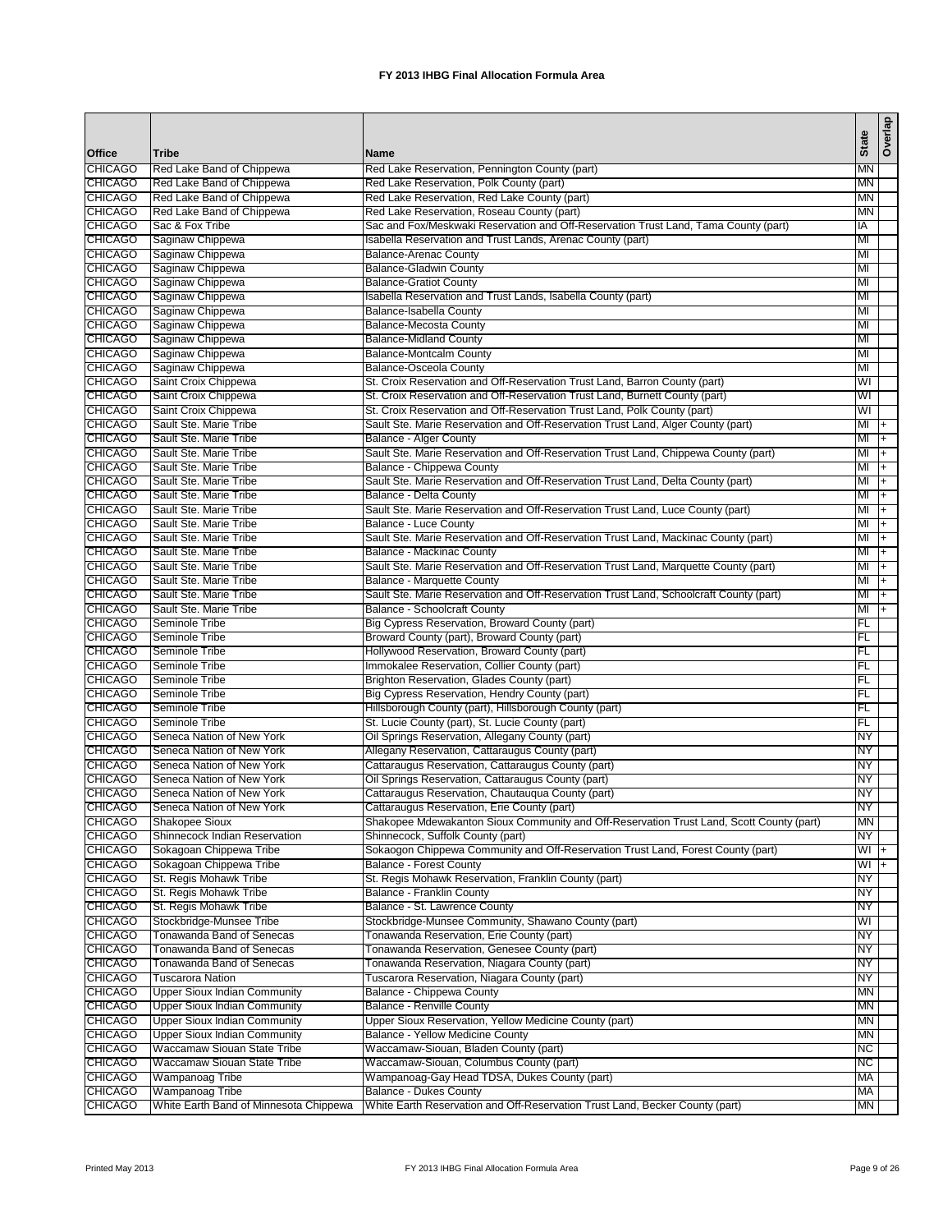|                                  |                                                    |                                                                                                                                         | <b>State</b> | Overlap        |
|----------------------------------|----------------------------------------------------|-----------------------------------------------------------------------------------------------------------------------------------------|--------------|----------------|
| Office<br><b>CHICAGO</b>         | <b>Tribe</b><br>Red Lake Band of Chippewa          | <b>Name</b><br>Red Lake Reservation, Pennington County (part)                                                                           | MN           |                |
| <b>CHICAGO</b>                   | Red Lake Band of Chippewa                          | Red Lake Reservation, Polk County (part)                                                                                                | <b>MN</b>    |                |
| <b>CHICAGO</b>                   | Red Lake Band of Chippewa                          | Red Lake Reservation, Red Lake County (part)                                                                                            | ΜN           |                |
| <b>CHICAGO</b>                   | Red Lake Band of Chippewa                          | Red Lake Reservation, Roseau County (part)                                                                                              | ΜN           |                |
| <b>CHICAGO</b>                   | Sac & Fox Tribe                                    | Sac and Fox/Meskwaki Reservation and Off-Reservation Trust Land, Tama County (part)                                                     | IA           |                |
| <b>CHICAGO</b>                   | Saginaw Chippewa                                   | Isabella Reservation and Trust Lands, Arenac County (part)                                                                              | MI           |                |
| <b>CHICAGO</b>                   | Saginaw Chippewa                                   | <b>Balance-Arenac County</b>                                                                                                            | MI           |                |
| <b>CHICAGO</b>                   | Saginaw Chippewa                                   | <b>Balance-Gladwin County</b>                                                                                                           | MI           |                |
| <b>CHICAGO</b>                   | Saginaw Chippewa                                   | <b>Balance-Gratiot County</b>                                                                                                           | MI           |                |
| <b>CHICAGO</b>                   | Saginaw Chippewa                                   | Isabella Reservation and Trust Lands, Isabella County (part)                                                                            | MI           |                |
| <b>CHICAGO</b>                   | Saginaw Chippewa                                   | Balance-Isabella County                                                                                                                 | MI           |                |
| <b>CHICAGO</b>                   | Saginaw Chippewa                                   | <b>Balance-Mecosta County</b>                                                                                                           | MI           |                |
| <b>CHICAGO</b>                   | Saginaw Chippewa                                   | <b>Balance-Midland County</b>                                                                                                           | MI           |                |
| <b>CHICAGO</b>                   | Saginaw Chippewa                                   | <b>Balance-Montcalm County</b>                                                                                                          | MI           |                |
| <b>CHICAGO</b>                   | Saginaw Chippewa                                   | <b>Balance-Osceola County</b>                                                                                                           | MI           |                |
| <b>CHICAGO</b>                   | Saint Croix Chippewa                               | St. Croix Reservation and Off-Reservation Trust Land, Barron County (part)                                                              | WI           |                |
| <b>CHICAGO</b>                   | Saint Croix Chippewa                               | St. Croix Reservation and Off-Reservation Trust Land, Burnett County (part)                                                             | WI           |                |
| <b>CHICAGO</b>                   | Saint Croix Chippewa                               | St. Croix Reservation and Off-Reservation Trust Land, Polk County (part)                                                                | WI           |                |
| <b>CHICAGO</b>                   | Sault Ste. Marie Tribe                             | Sault Ste. Marie Reservation and Off-Reservation Trust Land, Alger County (part)                                                        | MI           | $\overline{+}$ |
| <b>CHICAGO</b>                   | Sault Ste. Marie Tribe                             | Balance - Alger County                                                                                                                  | MI           | l+             |
| <b>CHICAGO</b><br><b>CHICAGO</b> | Sault Ste. Marie Tribe<br>Sault Ste. Marie Tribe   | Sault Ste. Marie Reservation and Off-Reservation Trust Land, Chippewa County (part)                                                     | MI<br>MI     | l+             |
| <b>CHICAGO</b>                   | Sault Ste. Marie Tribe                             | Balance - Chippewa County<br>Sault Ste. Marie Reservation and Off-Reservation Trust Land, Delta County (part)                           | MI           | $ +$<br>I+     |
| <b>CHICAGO</b>                   | Sault Ste. Marie Tribe                             | Balance - Delta County                                                                                                                  | MI           | l+             |
| <b>CHICAGO</b>                   | Sault Ste. Marie Tribe                             | Sault Ste. Marie Reservation and Off-Reservation Trust Land, Luce County (part)                                                         | MI           | $\overline{+}$ |
| <b>CHICAGO</b>                   | Sault Ste. Marie Tribe                             | Balance - Luce County                                                                                                                   | MI           | $ +$           |
| <b>CHICAGO</b>                   | Sault Ste. Marie Tribe                             | Sault Ste. Marie Reservation and Off-Reservation Trust Land, Mackinac County (part)                                                     | MI           | F              |
| <b>CHICAGO</b>                   | Sault Ste. Marie Tribe                             | Balance - Mackinac County                                                                                                               | MI           | $\overline{+}$ |
| <b>CHICAGO</b>                   | Sault Ste. Marie Tribe                             | Sault Ste. Marie Reservation and Off-Reservation Trust Land, Marquette County (part)                                                    | MI           | ᡏᠮ             |
| <b>CHICAGO</b>                   | Sault Ste. Marie Tribe                             | <b>Balance - Marquette County</b>                                                                                                       | MI           | $ + $          |
| <b>CHICAGO</b>                   | Sault Ste. Marie Tribe                             | Sault Ste. Marie Reservation and Off-Reservation Trust Land, Schoolcraft County (part)                                                  | MI           | $ + $          |
| <b>CHICAGO</b>                   | Sault Ste. Marie Tribe                             | <b>Balance - Schoolcraft County</b>                                                                                                     | MI           | $\overline{+}$ |
| <b>CHICAGO</b>                   | Seminole Tribe                                     | Big Cypress Reservation, Broward County (part)                                                                                          | FL           |                |
| <b>CHICAGO</b>                   | Seminole Tribe                                     | Broward County (part), Broward County (part)                                                                                            | FL           |                |
| <b>CHICAGO</b>                   | Seminole Tribe                                     | Hollywood Reservation, Broward County (part)                                                                                            | FL           |                |
| <b>CHICAGO</b>                   | Seminole Tribe                                     | Immokalee Reservation, Collier County (part)                                                                                            | FL           |                |
| <b>CHICAGO</b>                   | Seminole Tribe                                     | Brighton Reservation, Glades County (part)                                                                                              | FL           |                |
| <b>CHICAGO</b>                   | Seminole Tribe                                     | Big Cypress Reservation, Hendry County (part)                                                                                           | FL           |                |
| <b>CHICAGO</b>                   | Seminole Tribe                                     | Hillsborough County (part), Hillsborough County (part)                                                                                  | FL           |                |
| <b>CHICAGO</b>                   | Seminole Tribe                                     | St. Lucie County (part), St. Lucie County (part)                                                                                        | FL           |                |
| <b>CHICAGO</b>                   | Seneca Nation of New York                          | Oil Springs Reservation, Allegany County (part)                                                                                         | ΝY           |                |
| <b>CHICAGO</b>                   | Seneca Nation of New York                          | Allegany Reservation, Cattaraugus County (part)                                                                                         | ΝY           |                |
| <b>CHICAGO</b>                   | Seneca Nation of New York                          | Cattaraugus Reservation, Cattaraugus County (part)                                                                                      | NY           |                |
| <b>CHICAGO</b>                   | Seneca Nation of New York                          | Oil Springs Reservation, Cattaraugus County (part)                                                                                      | ΝY           |                |
| <b>CHICAGO</b>                   | Seneca Nation of New York                          | Cattaraugus Reservation, Chautauqua County (part)                                                                                       | NY           |                |
| <b>CHICAGO</b>                   | Seneca Nation of New York<br><b>Shakopee Sioux</b> | Cattaraugus Reservation, Erie County (part)<br>Shakopee Mdewakanton Sioux Community and Off-Reservation Trust Land, Scott County (part) | NY<br>MN     |                |
| <b>CHICAGO</b><br><b>CHICAGO</b> | Shinnecock Indian Reservation                      | Shinnecock, Suffolk County (part)                                                                                                       | NY           |                |
| <b>CHICAGO</b>                   | Sokagoan Chippewa Tribe                            | Sokaogon Chippewa Community and Off-Reservation Trust Land, Forest County (part)                                                        | WI +         |                |
| <b>CHICAGO</b>                   | Sokagoan Chippewa Tribe                            | Balance - Forest County                                                                                                                 | WI +         |                |
| <b>CHICAGO</b>                   | St. Regis Mohawk Tribe                             | St. Regis Mohawk Reservation, Franklin County (part)                                                                                    | NY           |                |
| <b>CHICAGO</b>                   | St. Regis Mohawk Tribe                             | Balance - Franklin County                                                                                                               | NY           |                |
| <b>CHICAGO</b>                   | St. Regis Mohawk Tribe                             | Balance - St. Lawrence County                                                                                                           | NY           |                |
| <b>CHICAGO</b>                   | Stockbridge-Munsee Tribe                           | Stockbridge-Munsee Community, Shawano County (part)                                                                                     | WI           |                |
| <b>CHICAGO</b>                   | Tonawanda Band of Senecas                          | Tonawanda Reservation, Erie County (part)                                                                                               | ΝY           |                |
| <b>CHICAGO</b>                   | Tonawanda Band of Senecas                          | Tonawanda Reservation, Genesee County (part)                                                                                            | ΝY           |                |
| <b>CHICAGO</b>                   | Tonawanda Band of Senecas                          | Tonawanda Reservation, Niagara County (part)                                                                                            | NY           |                |
| <b>CHICAGO</b>                   | <b>Tuscarora Nation</b>                            | Tuscarora Reservation, Niagara County (part)                                                                                            | NY           |                |
| <b>CHICAGO</b>                   | <b>Upper Sioux Indian Community</b>                | Balance - Chippewa County                                                                                                               | MN           |                |
| <b>CHICAGO</b>                   | <b>Upper Sioux Indian Community</b>                | <b>Balance - Renville County</b>                                                                                                        | МN           |                |
| <b>CHICAGO</b>                   | <b>Upper Sioux Indian Community</b>                | Upper Sioux Reservation, Yellow Medicine County (part)                                                                                  | <b>MN</b>    |                |
| <b>CHICAGO</b>                   | Upper Sioux Indian Community                       | Balance - Yellow Medicine County                                                                                                        | МN           |                |
| <b>CHICAGO</b>                   | Waccamaw Siouan State Tribe                        | Waccamaw-Siouan, Bladen County (part)                                                                                                   | NС           |                |
| <b>CHICAGO</b>                   | Waccamaw Siouan State Tribe                        | Waccamaw-Siouan, Columbus County (part)                                                                                                 | <b>NC</b>    |                |
| <b>CHICAGO</b>                   | Wampanoag Tribe                                    | Wampanoag-Gay Head TDSA, Dukes County (part)                                                                                            | МA           |                |
| <b>CHICAGO</b>                   | Wampanoag Tribe                                    | Balance - Dukes County                                                                                                                  | МA           |                |
| <b>CHICAGO</b>                   | White Earth Band of Minnesota Chippewa             | White Earth Reservation and Off-Reservation Trust Land, Becker County (part)                                                            | MN           |                |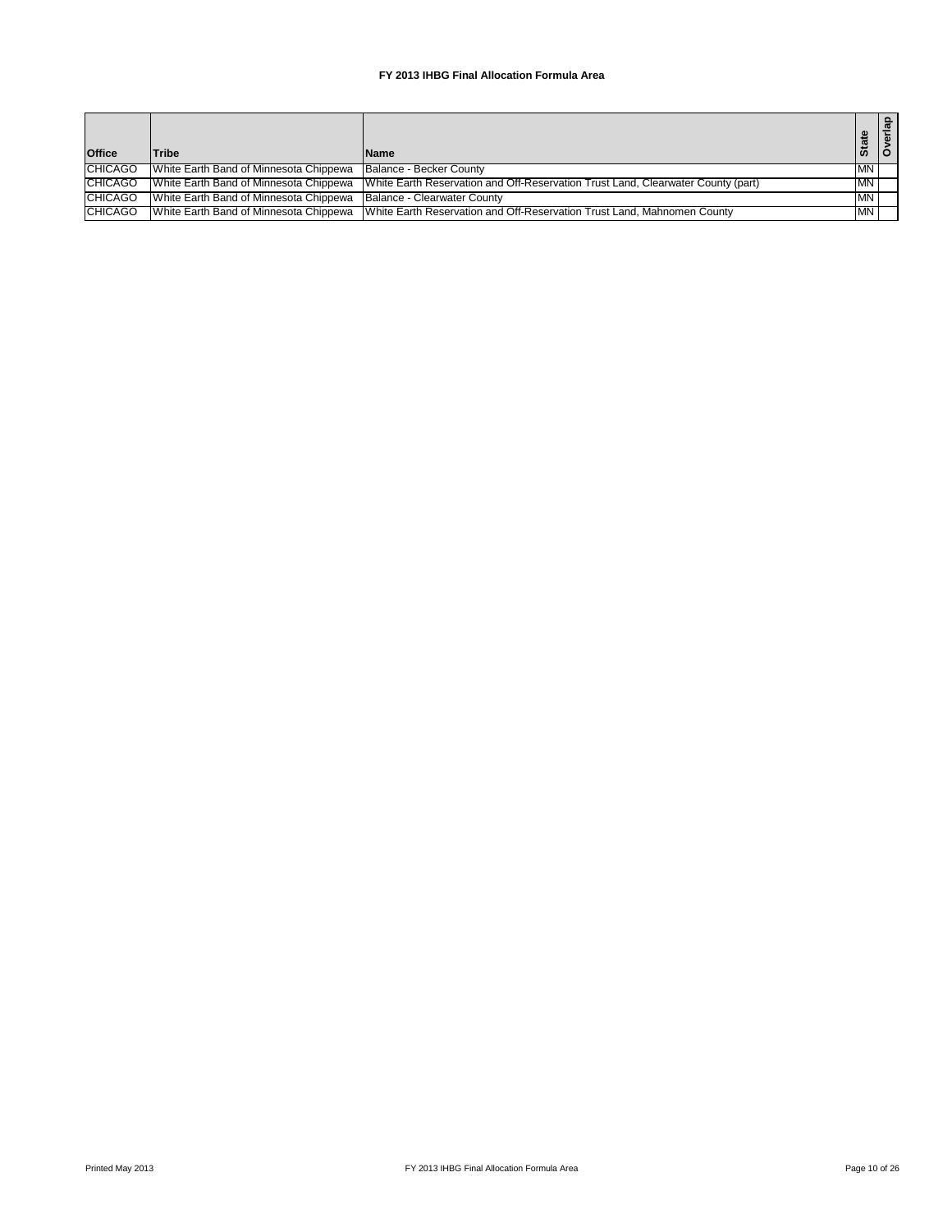| <b>Office</b>  | Tribe                                                              | <b>Name</b>                                                                                                             | <b>State</b> | ൦ |
|----------------|--------------------------------------------------------------------|-------------------------------------------------------------------------------------------------------------------------|--------------|---|
| <b>CHICAGO</b> | White Earth Band of Minnesota Chippewa                             | Balance - Becker County                                                                                                 | <b>IMN</b>   |   |
| <b>CHICAGO</b> |                                                                    | White Earth Band of Minnesota Chippewa White Earth Reservation and Off-Reservation Trust Land, Clearwater County (part) | <b>MN</b>    |   |
| <b>CHICAGO</b> | White Earth Band of Minnesota Chippewa Balance - Clearwater County |                                                                                                                         | MN           |   |
| <b>CHICAGO</b> |                                                                    | White Earth Band of Minnesota Chippewa   White Earth Reservation and Off-Reservation Trust Land, Mahnomen County        | <b>IMN</b>   |   |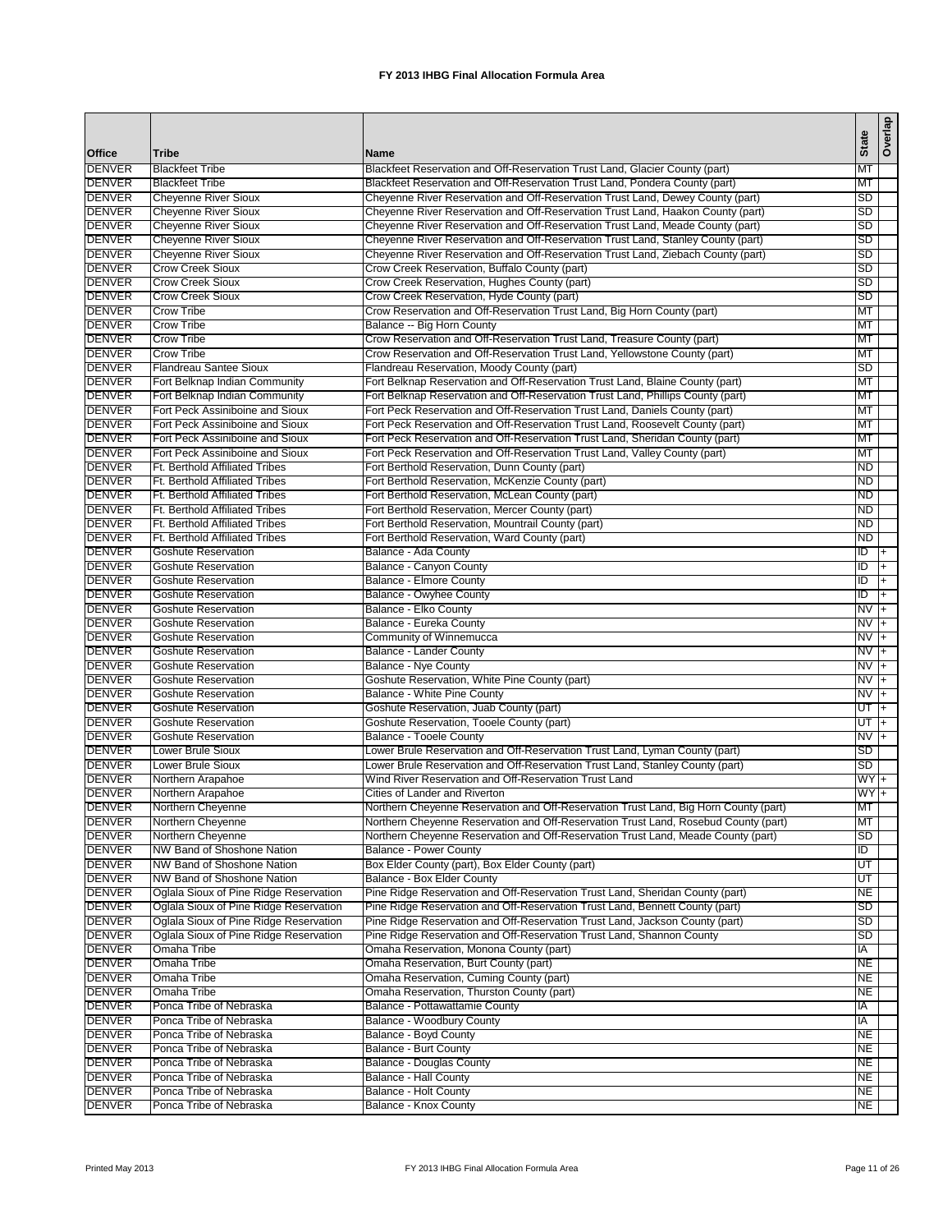|                                |                                                                                  |                                                                                                                                                               | <b>State</b>     | Overlap        |
|--------------------------------|----------------------------------------------------------------------------------|---------------------------------------------------------------------------------------------------------------------------------------------------------------|------------------|----------------|
| <b>Office</b>                  | <b>Tribe</b>                                                                     | <b>Name</b>                                                                                                                                                   |                  |                |
| <b>DENVER</b>                  | <b>Blackfeet Tribe</b>                                                           | Blackfeet Reservation and Off-Reservation Trust Land, Glacier County (part)                                                                                   | МT               |                |
| <b>DENVER</b><br><b>DENVER</b> | <b>Blackfeet Tribe</b><br><b>Cheyenne River Sioux</b>                            | Blackfeet Reservation and Off-Reservation Trust Land, Pondera County (part)<br>Cheyenne River Reservation and Off-Reservation Trust Land, Dewey County (part) | MT<br>SD         |                |
| <b>DENVER</b>                  | <b>Cheyenne River Sioux</b>                                                      | Cheyenne River Reservation and Off-Reservation Trust Land, Haakon County (part)                                                                               | SD               |                |
| <b>DENVER</b>                  | <b>Cheyenne River Sioux</b>                                                      | Cheyenne River Reservation and Off-Reservation Trust Land, Meade County (part)                                                                                | SD               |                |
| <b>DENVER</b>                  | <b>Cheyenne River Sioux</b>                                                      | Cheyenne River Reservation and Off-Reservation Trust Land, Stanley County (part)                                                                              | SD               |                |
| <b>DENVER</b>                  | <b>Cheyenne River Sioux</b>                                                      | Cheyenne River Reservation and Off-Reservation Trust Land, Ziebach County (part)                                                                              | SD               |                |
| <b>DENVER</b>                  | <b>Crow Creek Sioux</b>                                                          | Crow Creek Reservation, Buffalo County (part)                                                                                                                 | SD               |                |
| <b>DENVER</b>                  | <b>Crow Creek Sioux</b>                                                          | Crow Creek Reservation, Hughes County (part)                                                                                                                  | SD               |                |
| <b>DENVER</b>                  | <b>Crow Creek Sioux</b>                                                          | Crow Creek Reservation, Hyde County (part)                                                                                                                    | SD               |                |
| <b>DENVER</b>                  | <b>Crow Tribe</b>                                                                | Crow Reservation and Off-Reservation Trust Land, Big Horn County (part)                                                                                       | MT               |                |
| <b>DENVER</b><br><b>DENVER</b> | <b>Crow Tribe</b><br><b>Crow Tribe</b>                                           | Balance -- Big Horn County<br>Crow Reservation and Off-Reservation Trust Land, Treasure County (part)                                                         | МT<br>МT         |                |
| <b>DENVER</b>                  | <b>Crow Tribe</b>                                                                | Crow Reservation and Off-Reservation Trust Land, Yellowstone County (part)                                                                                    | МT               |                |
| <b>DENVER</b>                  | <b>Flandreau Santee Sioux</b>                                                    | Flandreau Reservation, Moody County (part)                                                                                                                    | SD               |                |
| <b>DENVER</b>                  | Fort Belknap Indian Community                                                    | Fort Belknap Reservation and Off-Reservation Trust Land, Blaine County (part)                                                                                 | MT               |                |
| <b>DENVER</b>                  | Fort Belknap Indian Community                                                    | Fort Belknap Reservation and Off-Reservation Trust Land, Phillips County (part)                                                                               | MT               |                |
| <b>DENVER</b>                  | Fort Peck Assiniboine and Sioux                                                  | Fort Peck Reservation and Off-Reservation Trust Land, Daniels County (part)                                                                                   | MT               |                |
| <b>DENVER</b>                  | Fort Peck Assiniboine and Sioux                                                  | Fort Peck Reservation and Off-Reservation Trust Land, Roosevelt County (part)                                                                                 | МT               |                |
| <b>DENVER</b>                  | Fort Peck Assiniboine and Sioux                                                  | Fort Peck Reservation and Off-Reservation Trust Land, Sheridan County (part)                                                                                  | MT               |                |
| <b>DENVER</b>                  | Fort Peck Assiniboine and Sioux                                                  | Fort Peck Reservation and Off-Reservation Trust Land, Valley County (part)                                                                                    | MT               |                |
| <b>DENVER</b><br><b>DENVER</b> | Ft. Berthold Affiliated Tribes<br><b>Ft. Berthold Affiliated Tribes</b>          | Fort Berthold Reservation, Dunn County (part)<br>Fort Berthold Reservation, McKenzie County (part)                                                            | ND<br>ND         |                |
| <b>DENVER</b>                  | Ft. Berthold Affiliated Tribes                                                   | Fort Berthold Reservation, McLean County (part)                                                                                                               | <b>ND</b>        |                |
| <b>DENVER</b>                  | <b>Ft. Berthold Affiliated Tribes</b>                                            | Fort Berthold Reservation, Mercer County (part)                                                                                                               | ND               |                |
| <b>DENVER</b>                  | Ft. Berthold Affiliated Tribes                                                   | Fort Berthold Reservation, Mountrail County (part)                                                                                                            | ND               |                |
| <b>DENVER</b>                  | Ft. Berthold Affiliated Tribes                                                   | Fort Berthold Reservation, Ward County (part)                                                                                                                 | ND.              |                |
| <b>DENVER</b>                  | <b>Goshute Reservation</b>                                                       | Balance - Ada County                                                                                                                                          | ID               | $+$            |
| <b>DENVER</b>                  | <b>Goshute Reservation</b>                                                       | <b>Balance - Canyon County</b>                                                                                                                                | ID               | $+$            |
| <b>DENVER</b>                  | <b>Goshute Reservation</b>                                                       | <b>Balance - Elmore County</b>                                                                                                                                | ID               | $+$            |
| <b>DENVER</b>                  | <b>Goshute Reservation</b>                                                       | Balance - Owyhee County                                                                                                                                       | ID               | l+             |
| <b>DENVER</b>                  | <b>Goshute Reservation</b>                                                       | Balance - Elko County                                                                                                                                         | NV               | T+             |
| <b>DENVER</b>                  | <b>Goshute Reservation</b>                                                       | Balance - Eureka County                                                                                                                                       | <b>NV</b>        | l+             |
| <b>DENVER</b><br><b>DENVER</b> | <b>Goshute Reservation</b><br><b>Goshute Reservation</b>                         | Community of Winnemucca<br>Balance - Lander County                                                                                                            | NV<br>NV         | $+$<br>$+$     |
| <b>DENVER</b>                  | <b>Goshute Reservation</b>                                                       | Balance - Nye County                                                                                                                                          | N <sub>V</sub>   | $\overline{+}$ |
| <b>DENVER</b>                  | <b>Goshute Reservation</b>                                                       | Goshute Reservation, White Pine County (part)                                                                                                                 | $NVI +$          |                |
| <b>DENVER</b>                  | <b>Goshute Reservation</b>                                                       | Balance - White Pine County                                                                                                                                   | NV               | l+             |
| <b>DENVER</b>                  | <b>Goshute Reservation</b>                                                       | Goshute Reservation, Juab County (part)                                                                                                                       | $UT$ +           |                |
| <b>DENVER</b>                  | <b>Goshute Reservation</b>                                                       | Goshute Reservation, Tooele County (part)                                                                                                                     | UT               | l+             |
| <b>DENVER</b>                  | <b>Goshute Reservation</b>                                                       | Balance - Tooele County                                                                                                                                       | NV               | $ +$           |
| <b>DENVER</b>                  | Lower Brule Sioux                                                                | Lower Brule Reservation and Off-Reservation Trust Land, Lyman County (part)                                                                                   | SD               |                |
| <b>DENVER</b>                  | <b>Lower Brule Sioux</b>                                                         | Lower Brule Reservation and Off-Reservation Trust Land, Stanley County (part)                                                                                 | SD               |                |
| <b>DENVER</b><br><b>DENVER</b> | Northern Arapahoe<br>Northern Arapahoe                                           | Wind River Reservation and Off-Reservation Trust Land<br>Cities of Lander and Riverton                                                                        | $WY +$<br>$WY +$ |                |
| <b>DENVER</b>                  | Northern Cheyenne                                                                | Northern Cheyenne Reservation and Off-Reservation Trust Land, Big Horn County (part)                                                                          | <b>MT</b>        |                |
| <b>DENVER</b>                  | Northern Cheyenne                                                                | Northern Cheyenne Reservation and Off-Reservation Trust Land, Rosebud County (part)                                                                           | MT               |                |
| <b>DENVER</b>                  | Northern Cheyenne                                                                | Northern Cheyenne Reservation and Off-Reservation Trust Land, Meade County (part)                                                                             | SD               |                |
| <b>DENVER</b>                  | NW Band of Shoshone Nation                                                       | <b>Balance - Power County</b>                                                                                                                                 | ĪD               |                |
| <b>DENVER</b>                  | NW Band of Shoshone Nation                                                       | Box Elder County (part), Box Elder County (part)                                                                                                              | UT               |                |
| <b>DENVER</b>                  | NW Band of Shoshone Nation                                                       | Balance - Box Elder County                                                                                                                                    | UT               |                |
| <b>DENVER</b>                  | Oglala Sioux of Pine Ridge Reservation                                           | Pine Ridge Reservation and Off-Reservation Trust Land, Sheridan County (part)                                                                                 | NE               |                |
| <b>DENVER</b>                  | Oglala Sioux of Pine Ridge Reservation                                           | Pine Ridge Reservation and Off-Reservation Trust Land, Bennett County (part)                                                                                  | <b>SD</b>        |                |
| <b>DENVER</b><br><b>DENVER</b> | Oglala Sioux of Pine Ridge Reservation<br>Oglala Sioux of Pine Ridge Reservation | Pine Ridge Reservation and Off-Reservation Trust Land, Jackson County (part)<br>Pine Ridge Reservation and Off-Reservation Trust Land, Shannon County         | SD<br>SD         |                |
| <b>DENVER</b>                  | Omaha Tribe                                                                      | Omaha Reservation, Monona County (part)                                                                                                                       | IA               |                |
| <b>DENVER</b>                  | Omaha Tribe                                                                      | Omaha Reservation, Burt County (part)                                                                                                                         | <b>NE</b>        |                |
| <b>DENVER</b>                  | Omaha Tribe                                                                      | Omaha Reservation, Cuming County (part)                                                                                                                       | NE               |                |
| <b>DENVER</b>                  | Omaha Tribe                                                                      | Omaha Reservation, Thurston County (part)                                                                                                                     | NE               |                |
| <b>DENVER</b>                  | Ponca Tribe of Nebraska                                                          | Balance - Pottawattamie County                                                                                                                                | IA               |                |
| <b>DENVER</b>                  | Ponca Tribe of Nebraska                                                          | Balance - Woodbury County                                                                                                                                     | IA               |                |
| <b>DENVER</b>                  | Ponca Tribe of Nebraska                                                          | Balance - Boyd County                                                                                                                                         | NE               |                |
| <b>DENVER</b>                  | Ponca Tribe of Nebraska                                                          | Balance - Burt County                                                                                                                                         | NE               |                |
| <b>DENVER</b>                  | Ponca Tribe of Nebraska                                                          | Balance - Douglas County                                                                                                                                      | NE               |                |
| <b>DENVER</b><br><b>DENVER</b> | Ponca Tribe of Nebraska<br>Ponca Tribe of Nebraska                               | Balance - Hall County<br>Balance - Holt County                                                                                                                | NE<br>NE         |                |
| <b>DENVER</b>                  | Ponca Tribe of Nebraska                                                          | Balance - Knox County                                                                                                                                         | NE               |                |
|                                |                                                                                  |                                                                                                                                                               |                  |                |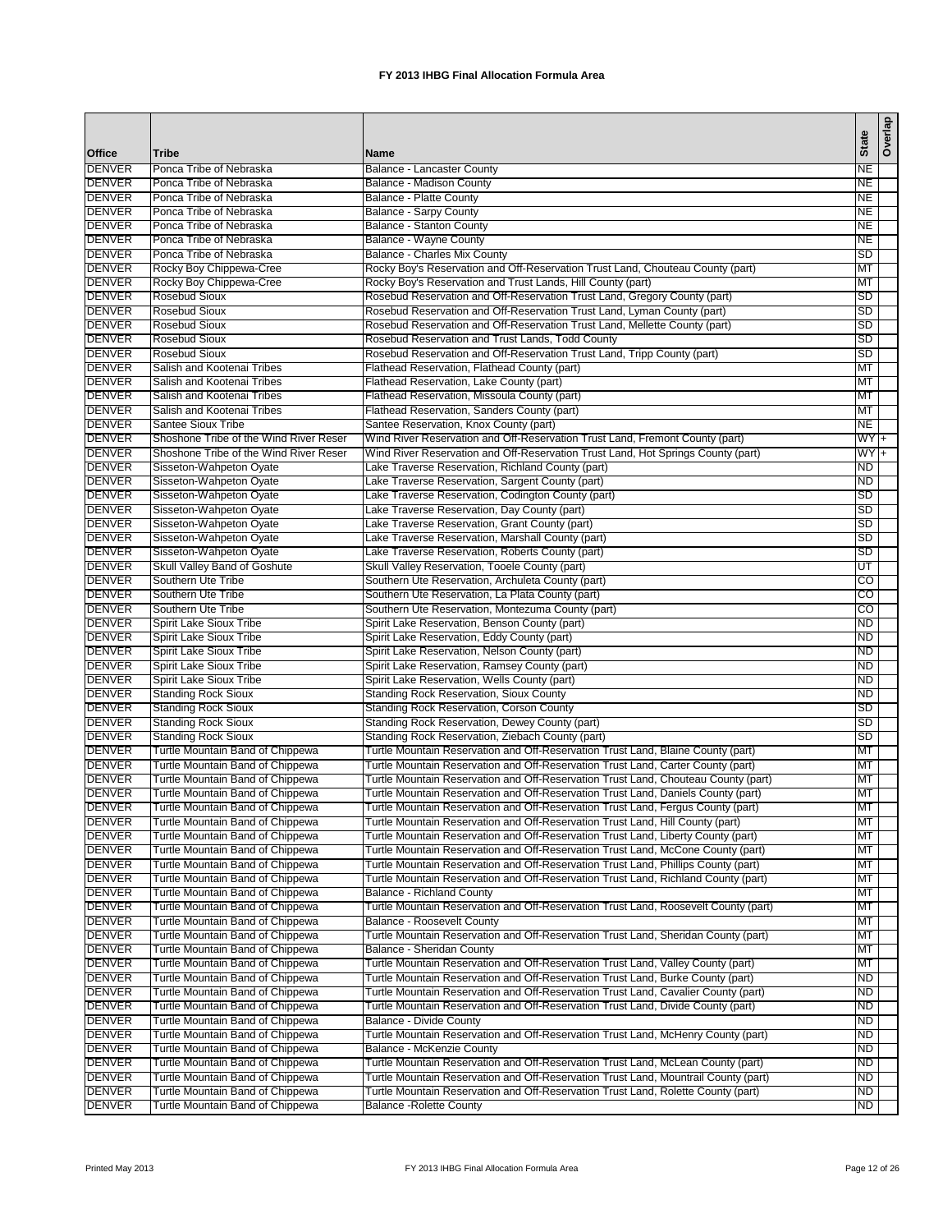| <b>Office</b>                  | <b>Tribe</b>                                                         | <b>Name</b>                                                                                                                                                           | <b>State</b>    | Overlap |
|--------------------------------|----------------------------------------------------------------------|-----------------------------------------------------------------------------------------------------------------------------------------------------------------------|-----------------|---------|
| <b>DENVER</b>                  | Ponca Tribe of Nebraska                                              | <b>Balance - Lancaster County</b>                                                                                                                                     | NE              |         |
| <b>DENVER</b>                  | Ponca Tribe of Nebraska                                              | Balance - Madison County                                                                                                                                              | <b>NE</b>       |         |
| <b>DENVER</b>                  | Ponca Tribe of Nebraska                                              | <b>Balance - Platte County</b>                                                                                                                                        | NE              |         |
| <b>DENVER</b>                  | Ponca Tribe of Nebraska                                              | <b>Balance - Sarpy County</b>                                                                                                                                         | NE              |         |
| <b>DENVER</b>                  | Ponca Tribe of Nebraska                                              | <b>Balance - Stanton County</b>                                                                                                                                       | <b>NE</b>       |         |
| <b>DENVER</b>                  | Ponca Tribe of Nebraska                                              | Balance - Wayne County                                                                                                                                                | NE              |         |
| <b>DENVER</b><br><b>DENVER</b> | Ponca Tribe of Nebraska                                              | Balance - Charles Mix County                                                                                                                                          | SD              |         |
| <b>DENVER</b>                  | Rocky Boy Chippewa-Cree<br>Rocky Boy Chippewa-Cree                   | Rocky Boy's Reservation and Off-Reservation Trust Land, Chouteau County (part)<br>Rocky Boy's Reservation and Trust Lands, Hill County (part)                         | MT<br>МT        |         |
| <b>DENVER</b>                  | <b>Rosebud Sioux</b>                                                 | Rosebud Reservation and Off-Reservation Trust Land, Gregory County (part)                                                                                             | SD              |         |
| <b>DENVER</b>                  | <b>Rosebud Sioux</b>                                                 | Rosebud Reservation and Off-Reservation Trust Land, Lyman County (part)                                                                                               | SD              |         |
| <b>DENVER</b>                  | <b>Rosebud Sioux</b>                                                 | Rosebud Reservation and Off-Reservation Trust Land, Mellette County (part)                                                                                            | SD              |         |
| <b>DENVER</b>                  | <b>Rosebud Sioux</b>                                                 | Rosebud Reservation and Trust Lands, Todd County                                                                                                                      | SD              |         |
| <b>DENVER</b>                  | <b>Rosebud Sioux</b>                                                 | Rosebud Reservation and Off-Reservation Trust Land, Tripp County (part)                                                                                               | SD              |         |
| <b>DENVER</b>                  | Salish and Kootenai Tribes                                           | Flathead Reservation, Flathead County (part)                                                                                                                          | МT              |         |
| <b>DENVER</b>                  | Salish and Kootenai Tribes                                           | Flathead Reservation, Lake County (part)                                                                                                                              | МT              |         |
| <b>DENVER</b>                  | Salish and Kootenai Tribes                                           | Flathead Reservation, Missoula County (part)                                                                                                                          | МT              |         |
| <b>DENVER</b>                  | Salish and Kootenai Tribes                                           | Flathead Reservation, Sanders County (part)                                                                                                                           | MT              |         |
| <b>DENVER</b>                  | <b>Santee Sioux Tribe</b>                                            | Santee Reservation, Knox County (part)                                                                                                                                | NE              |         |
| <b>DENVER</b>                  | Shoshone Tribe of the Wind River Reser                               | Wind River Reservation and Off-Reservation Trust Land, Fremont County (part)                                                                                          | WY <sub>+</sub> |         |
| <b>DENVER</b>                  | Shoshone Tribe of the Wind River Reser                               | Wind River Reservation and Off-Reservation Trust Land, Hot Springs County (part)                                                                                      | WY <sub>+</sub> |         |
| <b>DENVER</b>                  | Sisseton-Wahpeton Oyate                                              | Lake Traverse Reservation, Richland County (part)                                                                                                                     | ND              |         |
| <b>DENVER</b>                  | Sisseton-Wahpeton Oyate                                              | Lake Traverse Reservation, Sargent County (part)                                                                                                                      | ND              |         |
| <b>DENVER</b>                  | Sisseton-Wahpeton Oyate                                              | Lake Traverse Reservation, Codington County (part)                                                                                                                    | SD              |         |
| <b>DENVER</b>                  | Sisseton-Wahpeton Oyate                                              | Lake Traverse Reservation, Day County (part)                                                                                                                          | SD              |         |
| <b>DENVER</b>                  | Sisseton-Wahpeton Oyate                                              | Lake Traverse Reservation, Grant County (part)                                                                                                                        | SD              |         |
| <b>DENVER</b>                  | Sisseton-Wahpeton Oyate                                              | Lake Traverse Reservation, Marshall County (part)                                                                                                                     | <b>SD</b>       |         |
| <b>DENVER</b>                  | Sisseton-Wahpeton Oyate                                              | Lake Traverse Reservation, Roberts County (part)                                                                                                                      | SD              |         |
| <b>DENVER</b>                  | Skull Valley Band of Goshute                                         | Skull Valley Reservation, Tooele County (part)                                                                                                                        | UT              |         |
| <b>DENVER</b>                  | Southern Ute Tribe                                                   | Southern Ute Reservation, Archuleta County (part)                                                                                                                     | $\overline{c}$  |         |
| <b>DENVER</b>                  | Southern Ute Tribe                                                   | Southern Ute Reservation, La Plata County (part)                                                                                                                      | co              |         |
| <b>DENVER</b>                  | Southern Ute Tribe                                                   | Southern Ute Reservation, Montezuma County (part)                                                                                                                     | CO              |         |
| <b>DENVER</b><br><b>DENVER</b> | Spirit Lake Sioux Tribe                                              | Spirit Lake Reservation, Benson County (part)                                                                                                                         | <b>ND</b><br>ND |         |
| <b>DENVER</b>                  | Spirit Lake Sioux Tribe<br>Spirit Lake Sioux Tribe                   | Spirit Lake Reservation, Eddy County (part)<br>Spirit Lake Reservation, Nelson County (part)                                                                          | ND              |         |
| <b>DENVER</b>                  | <b>Spirit Lake Sioux Tribe</b>                                       | Spirit Lake Reservation, Ramsey County (part)                                                                                                                         | <b>ND</b>       |         |
| <b>DENVER</b>                  | Spirit Lake Sioux Tribe                                              | Spirit Lake Reservation, Wells County (part)                                                                                                                          | ND              |         |
| <b>DENVER</b>                  | <b>Standing Rock Sioux</b>                                           | <b>Standing Rock Reservation, Sioux County</b>                                                                                                                        | ND              |         |
| <b>DENVER</b>                  | <b>Standing Rock Sioux</b>                                           | <b>Standing Rock Reservation, Corson County</b>                                                                                                                       | SD              |         |
| <b>DENVER</b>                  | <b>Standing Rock Sioux</b>                                           | Standing Rock Reservation, Dewey County (part)                                                                                                                        | SD              |         |
| <b>DENVER</b>                  | <b>Standing Rock Sioux</b>                                           | Standing Rock Reservation, Ziebach County (part)                                                                                                                      | SD              |         |
| <b>DENVER</b>                  | Turtle Mountain Band of Chippewa                                     | Turtle Mountain Reservation and Off-Reservation Trust Land, Blaine County (part)                                                                                      | MT              |         |
| <b>DENVER</b>                  | Turtle Mountain Band of Chippewa                                     | Turtle Mountain Reservation and Off-Reservation Trust Land, Carter County (part)                                                                                      | МT              |         |
| <b>DENVER</b>                  | Turtle Mountain Band of Chippewa                                     | Turtle Mountain Reservation and Off-Reservation Trust Land, Chouteau County (part)                                                                                    | МT              |         |
| <b>DENVER</b>                  | Turtle Mountain Band of Chippewa                                     | Turtle Mountain Reservation and Off-Reservation Trust Land, Daniels County (part)                                                                                     | МT              |         |
| <b>DENVER</b>                  | Turtle Mountain Band of Chippewa                                     | Turtle Mountain Reservation and Off-Reservation Trust Land, Fergus County (part)                                                                                      | МT              |         |
| <b>DENVER</b>                  | Turtle Mountain Band of Chippewa                                     | Turtle Mountain Reservation and Off-Reservation Trust Land, Hill County (part)                                                                                        | MT              |         |
| <b>DENVER</b>                  | Turtle Mountain Band of Chippewa                                     | Turtle Mountain Reservation and Off-Reservation Trust Land, Liberty County (part)                                                                                     | MT              |         |
| <b>DENVER</b>                  | Turtle Mountain Band of Chippewa                                     | Turtle Mountain Reservation and Off-Reservation Trust Land, McCone County (part)                                                                                      | МT              |         |
| <b>DENVER</b>                  | Turtle Mountain Band of Chippewa                                     | Turtle Mountain Reservation and Off-Reservation Trust Land, Phillips County (part)                                                                                    | МT              |         |
| <b>DENVER</b>                  | Turtle Mountain Band of Chippewa                                     | Turtle Mountain Reservation and Off-Reservation Trust Land, Richland County (part)                                                                                    | MT              |         |
| DENVER                         | Turtle Mountain Band of Chippewa                                     | <b>Balance - Richland County</b>                                                                                                                                      | МT              |         |
| <b>DENVER</b>                  | Turtle Mountain Band of Chippewa                                     | Turtle Mountain Reservation and Off-Reservation Trust Land, Roosevelt County (part)                                                                                   | МT              |         |
| <b>DENVER</b>                  | Turtle Mountain Band of Chippewa                                     | Balance - Roosevelt County                                                                                                                                            | MT              |         |
| <b>DENVER</b>                  | Turtle Mountain Band of Chippewa                                     | Turtle Mountain Reservation and Off-Reservation Trust Land, Sheridan County (part)                                                                                    | МT              |         |
| <b>DENVER</b>                  | Turtle Mountain Band of Chippewa                                     | Balance - Sheridan County                                                                                                                                             | МT              |         |
| <b>DENVER</b>                  | Turtle Mountain Band of Chippewa                                     | Turtle Mountain Reservation and Off-Reservation Trust Land, Valley County (part)                                                                                      | MT              |         |
| <b>DENVER</b>                  | Turtle Mountain Band of Chippewa                                     | Turtle Mountain Reservation and Off-Reservation Trust Land, Burke County (part)<br>Turtle Mountain Reservation and Off-Reservation Trust Land, Cavalier County (part) | ND              |         |
| <b>DENVER</b><br><b>DENVER</b> | Turtle Mountain Band of Chippewa                                     |                                                                                                                                                                       | ND              |         |
|                                | Turtle Mountain Band of Chippewa                                     | Turtle Mountain Reservation and Off-Reservation Trust Land, Divide County (part)                                                                                      | ND              |         |
| <b>DENVER</b><br><b>DENVER</b> | Turtle Mountain Band of Chippewa                                     | Balance - Divide County                                                                                                                                               | <b>ND</b>       |         |
| <b>DENVER</b>                  | Turtle Mountain Band of Chippewa<br>Turtle Mountain Band of Chippewa | Turtle Mountain Reservation and Off-Reservation Trust Land, McHenry County (part)<br>Balance - McKenzie County                                                        | ND<br>ND        |         |
| <b>DENVER</b>                  | Turtle Mountain Band of Chippewa                                     | Turtle Mountain Reservation and Off-Reservation Trust Land, McLean County (part)                                                                                      | ND.             |         |
| <b>DENVER</b>                  | Turtle Mountain Band of Chippewa                                     | Turtle Mountain Reservation and Off-Reservation Trust Land, Mountrail County (part)                                                                                   | ND              |         |
| <b>DENVER</b>                  | Turtle Mountain Band of Chippewa                                     | Turtle Mountain Reservation and Off-Reservation Trust Land, Rolette County (part)                                                                                     | ND              |         |
| <b>DENVER</b>                  | Turtle Mountain Band of Chippewa                                     | <b>Balance - Rolette County</b>                                                                                                                                       | ND              |         |
|                                |                                                                      |                                                                                                                                                                       |                 |         |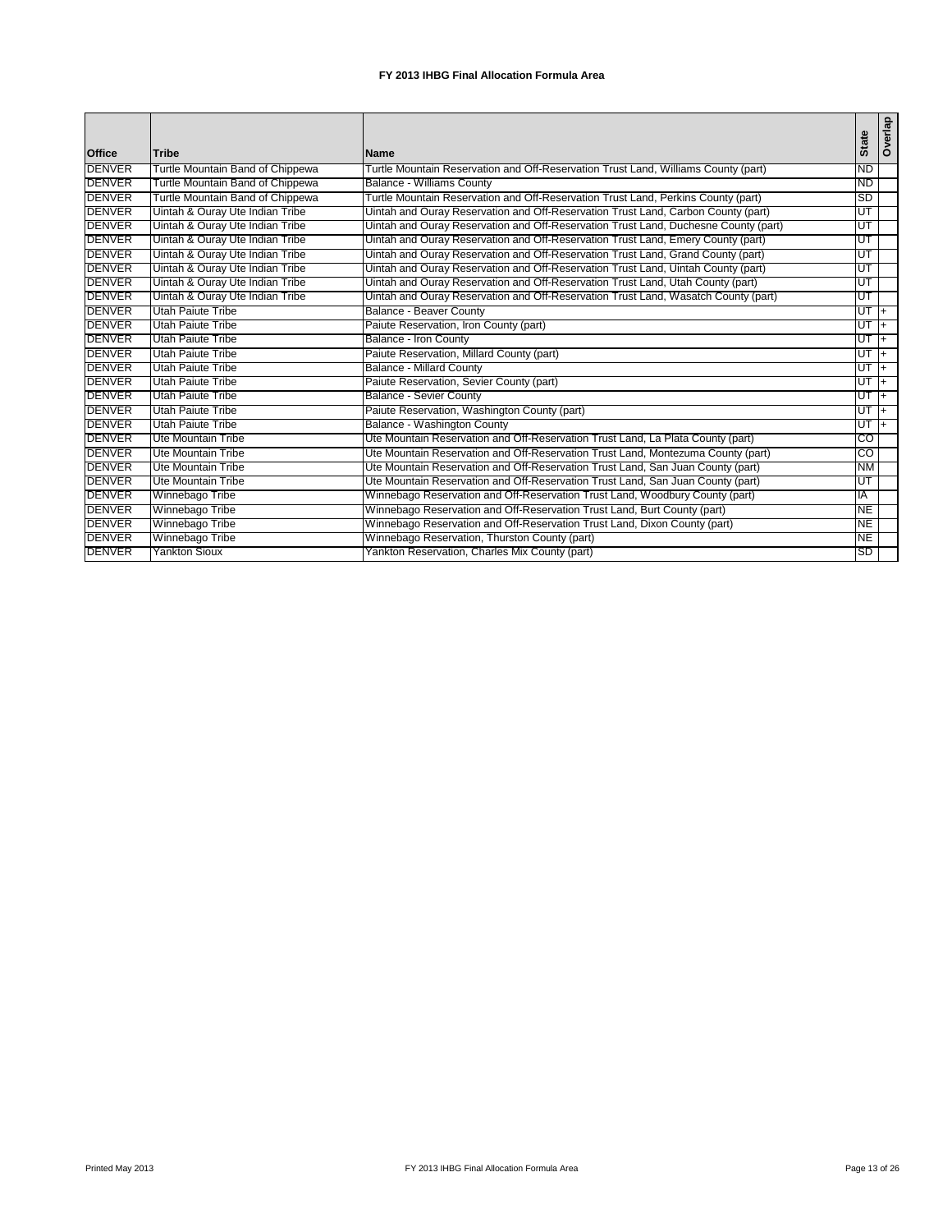|               |                                  |                                                                                     | <b>State</b>    | Overlap        |
|---------------|----------------------------------|-------------------------------------------------------------------------------------|-----------------|----------------|
| <b>Office</b> | <b>Tribe</b>                     | <b>Name</b>                                                                         |                 |                |
| <b>DENVER</b> | Turtle Mountain Band of Chippewa | Turtle Mountain Reservation and Off-Reservation Trust Land, Williams County (part)  | <b>ND</b>       |                |
| <b>DENVER</b> | Turtle Mountain Band of Chippewa | <b>Balance - Williams County</b>                                                    | ND              |                |
| <b>DENVER</b> | Turtle Mountain Band of Chippewa | Turtle Mountain Reservation and Off-Reservation Trust Land, Perkins County (part)   | <b>SD</b>       |                |
| <b>DENVER</b> | Uintah & Ouray Ute Indian Tribe  | Uintah and Ouray Reservation and Off-Reservation Trust Land, Carbon County (part)   | ΙUΤ             |                |
| <b>DENVER</b> | Uintah & Ouray Ute Indian Tribe  | Uintah and Ouray Reservation and Off-Reservation Trust Land, Duchesne County (part) | UT              |                |
| <b>DENVER</b> | Uintah & Ouray Ute Indian Tribe  | Uintah and Ouray Reservation and Off-Reservation Trust Land, Emery County (part)    | ΙUΤ             |                |
| <b>DENVER</b> | Uintah & Ouray Ute Indian Tribe  | Uintah and Ouray Reservation and Off-Reservation Trust Land, Grand County (part)    | ΙUΤ             |                |
| <b>DENVER</b> | Uintah & Ouray Ute Indian Tribe  | Uintah and Ouray Reservation and Off-Reservation Trust Land, Uintah County (part)   | lUТ             |                |
| <b>DENVER</b> | Uintah & Ouray Ute Indian Tribe  | Uintah and Ouray Reservation and Off-Reservation Trust Land, Utah County (part)     | ΙUΤ             |                |
| <b>DENVER</b> | Uintah & Ouray Ute Indian Tribe  | Uintah and Ouray Reservation and Off-Reservation Trust Land, Wasatch County (part)  | ΙUΤ             |                |
| <b>DENVER</b> | <b>Utah Paiute Tribe</b>         | <b>Balance - Beaver County</b>                                                      | <sup>+</sup> LD |                |
| <b>DENVER</b> | Utah Paiute Tribe                | Paiute Reservation, Iron County (part)                                              | $UT +$          |                |
| <b>DENVER</b> | Utah Paiute Tribe                | Balance - Iron County                                                               | $UT +$          |                |
| <b>DENVER</b> | <b>Utah Paiute Tribe</b>         | Paiute Reservation, Millard County (part)                                           | E               | $ + $          |
| <b>DENVER</b> | <b>Utah Paiute Tribe</b>         | <b>Balance - Millard County</b>                                                     | UT              | ाम             |
| <b>DENVER</b> | Utah Paiute Tribe                | Paiute Reservation, Sevier County (part)                                            | $UT +$          |                |
| <b>DENVER</b> | Utah Paiute Tribe                | <b>Balance - Sevier County</b>                                                      | $UT +$          |                |
| <b>DENVER</b> | <b>Utah Paiute Tribe</b>         | Paiute Reservation, Washington County (part)                                        | UT              | $\overline{+}$ |
| <b>DENVER</b> | <b>Utah Paiute Tribe</b>         | Balance - Washington County                                                         | UT I+           |                |
| <b>DENVER</b> | Ute Mountain Tribe               | Ute Mountain Reservation and Off-Reservation Trust Land, La Plata County (part)     | 6               |                |
| <b>DENVER</b> | Ute Mountain Tribe               | Ute Mountain Reservation and Off-Reservation Trust Land, Montezuma County (part)    | CO              |                |
| <b>DENVER</b> | Ute Mountain Tribe               | Ute Mountain Reservation and Off-Reservation Trust Land, San Juan County (part)     | <b>NM</b>       |                |
| <b>DENVER</b> | Ute Mountain Tribe               | Ute Mountain Reservation and Off-Reservation Trust Land, San Juan County (part)     | ΙUΤ             |                |
| <b>DENVER</b> | Winnebago Tribe                  | Winnebago Reservation and Off-Reservation Trust Land, Woodbury County (part)        | IA              |                |
| <b>DENVER</b> | Winnebago Tribe                  | Winnebago Reservation and Off-Reservation Trust Land, Burt County (part)            | NE              |                |
| <b>DENVER</b> | Winnebago Tribe                  | Winnebago Reservation and Off-Reservation Trust Land, Dixon County (part)           | NE              |                |
| <b>DENVER</b> | Winnebago Tribe                  | Winnebago Reservation, Thurston County (part)                                       | NE              |                |
| <b>DENVER</b> | <b>Yankton Sioux</b>             | Yankton Reservation, Charles Mix County (part)                                      | <b>SD</b>       |                |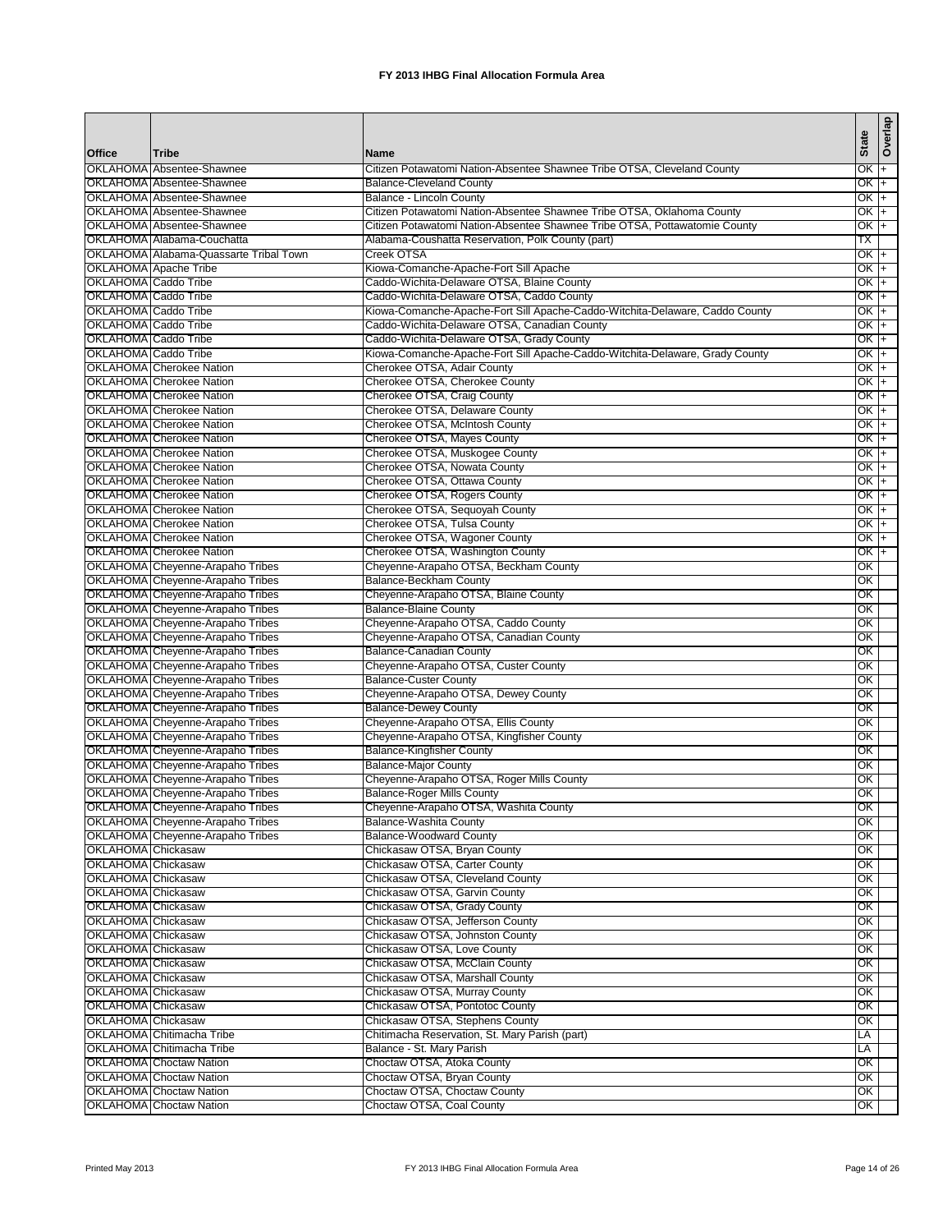|                                                        |                                                                      |                                                                                         |                  | Overlap |
|--------------------------------------------------------|----------------------------------------------------------------------|-----------------------------------------------------------------------------------------|------------------|---------|
| Office                                                 | <b>Tribe</b>                                                         | <b>Name</b>                                                                             | <b>State</b>     |         |
|                                                        | OKLAHOMA Absentee-Shawnee                                            | Citizen Potawatomi Nation-Absentee Shawnee Tribe OTSA, Cleveland County                 | $OK +$           |         |
|                                                        | OKLAHOMA Absentee-Shawnee                                            | <b>Balance-Cleveland County</b>                                                         | OK I+            |         |
|                                                        | OKLAHOMA Absentee-Shawnee                                            | Balance - Lincoln County                                                                | $OK +$           |         |
|                                                        | OKLAHOMA Absentee-Shawnee                                            | Citizen Potawatomi Nation-Absentee Shawnee Tribe OTSA, Oklahoma County                  | OK +             |         |
|                                                        | OKLAHOMA Absentee-Shawnee                                            | Citizen Potawatomi Nation-Absentee Shawnee Tribe OTSA, Pottawatomie County              | OK +             |         |
|                                                        | OKLAHOMA Alabama-Couchatta                                           | Alabama-Coushatta Reservation, Polk County (part)                                       | ТX               |         |
|                                                        | OKLAHOMA Alabama-Quassarte Tribal Town                               | Creek OTSA                                                                              | $OK +$           |         |
|                                                        | OKLAHOMA Apache Tribe                                                | Kiowa-Comanche-Apache-Fort Sill Apache                                                  | $OK +$           |         |
| OKLAHOMA Caddo Tribe<br>OKLAHOMA Caddo Tribe           |                                                                      | Caddo-Wichita-Delaware OTSA, Blaine County<br>Caddo-Wichita-Delaware OTSA, Caddo County | $OK +$<br>$OK +$ |         |
| <b>OKLAHOMA</b> Caddo Tribe                            |                                                                      | Kiowa-Comanche-Apache-Fort Sill Apache-Caddo-Witchita-Delaware, Caddo County            | $OK +$           |         |
| OKLAHOMA Caddo Tribe                                   |                                                                      | Caddo-Wichita-Delaware OTSA, Canadian County                                            | OK  +            |         |
| <b>OKLAHOMA</b> Caddo Tribe                            |                                                                      | Caddo-Wichita-Delaware OTSA, Grady County                                               | $OK +$           |         |
| <b>OKLAHOMA</b> Caddo Tribe                            |                                                                      | Kiowa-Comanche-Apache-Fort Sill Apache-Caddo-Witchita-Delaware, Grady County            | OK +             |         |
|                                                        | <b>OKLAHOMA</b> Cherokee Nation                                      | Cherokee OTSA, Adair County                                                             | OK +             |         |
|                                                        | <b>OKLAHOMA</b> Cherokee Nation                                      | Cherokee OTSA, Cherokee County                                                          | OK  +            |         |
|                                                        | <b>OKLAHOMA</b> Cherokee Nation                                      | Cherokee OTSA, Craig County                                                             | OK  +            |         |
|                                                        | <b>OKLAHOMA</b> Cherokee Nation                                      | Cherokee OTSA, Delaware County                                                          | OK  +            |         |
|                                                        | <b>OKLAHOMA</b> Cherokee Nation<br><b>OKLAHOMA</b> Cherokee Nation   | Cherokee OTSA, McIntosh County<br>Cherokee OTSA, Mayes County                           | OK  +<br>$OK +$  |         |
|                                                        | <b>OKLAHOMA</b> Cherokee Nation                                      | Cherokee OTSA, Muskogee County                                                          | OK I             | $+$     |
|                                                        | <b>OKLAHOMA</b> Cherokee Nation                                      | Cherokee OTSA, Nowata County                                                            | OK +             |         |
|                                                        | <b>OKLAHOMA</b> Cherokee Nation                                      | Cherokee OTSA, Ottawa County                                                            | OK I             | $+$     |
|                                                        | <b>OKLAHOMA</b> Cherokee Nation                                      | Cherokee OTSA, Rogers County                                                            | OK +             |         |
|                                                        | OKLAHOMA Cherokee Nation                                             | Cherokee OTSA, Sequoyah County                                                          | OK +             |         |
|                                                        | <b>OKLAHOMA</b> Cherokee Nation                                      | Cherokee OTSA, Tulsa County                                                             | $OK +$           |         |
|                                                        | OKLAHOMA Cherokee Nation                                             | Cherokee OTSA, Wagoner County                                                           | OK +             |         |
|                                                        | <b>OKLAHOMA</b> Cherokee Nation                                      | Cherokee OTSA, Washington County                                                        | OK +             |         |
|                                                        | OKLAHOMA Cheyenne-Arapaho Tribes                                     | Cheyenne-Arapaho OTSA, Beckham County                                                   | ОК               |         |
|                                                        | OKLAHOMA Cheyenne-Arapaho Tribes                                     | <b>Balance-Beckham County</b>                                                           | ОΚ               |         |
|                                                        | OKLAHOMA Cheyenne-Arapaho Tribes<br>OKLAHOMA Cheyenne-Arapaho Tribes | Cheyenne-Arapaho OTSA, Blaine County<br><b>Balance-Blaine County</b>                    | ОК<br>ОК         |         |
|                                                        | OKLAHOMA Cheyenne-Arapaho Tribes                                     | Cheyenne-Arapaho OTSA, Caddo County                                                     | OK               |         |
|                                                        | OKLAHOMA Cheyenne-Arapaho Tribes                                     | Cheyenne-Arapaho OTSA, Canadian County                                                  | ОК               |         |
|                                                        | OKLAHOMA Cheyenne-Arapaho Tribes                                     | Balance-Canadian County                                                                 | ОΚ               |         |
|                                                        | OKLAHOMA Cheyenne-Arapaho Tribes                                     | Cheyenne-Arapaho OTSA, Custer County                                                    | OK               |         |
|                                                        | OKLAHOMA Cheyenne-Arapaho Tribes                                     | <b>Balance-Custer County</b>                                                            | ОК               |         |
|                                                        | OKLAHOMA Cheyenne-Arapaho Tribes                                     | Cheyenne-Arapaho OTSA, Dewey County                                                     | ОΚ               |         |
|                                                        | OKLAHOMA Cheyenne-Arapaho Tribes                                     | <b>Balance-Dewey County</b>                                                             | ОK               |         |
|                                                        | OKLAHOMA Cheyenne-Arapaho Tribes                                     | Cheyenne-Arapaho OTSA, Ellis County                                                     | ОК               |         |
|                                                        | OKLAHOMA Cheyenne-Arapaho Tribes                                     | Cheyenne-Arapaho OTSA, Kingfisher County                                                | ОК               |         |
|                                                        | OKLAHOMA Cheyenne-Arapaho Tribes<br>OKLAHOMA Cheyenne-Arapaho Tribes | <b>Balance-Kingfisher County</b>                                                        | ОΚ               |         |
|                                                        | OKLAHOMA Cheyenne-Arapaho Tribes                                     | <b>Balance-Major County</b><br>Cheyenne-Arapaho OTSA, Roger Mills County                | ОК<br>ОК         |         |
|                                                        | OKLAHOMA Cheyenne-Arapaho Tribes                                     | <b>Balance-Roger Mills County</b>                                                       | ОΚ               |         |
|                                                        | OKLAHOMA Cheyenne-Arapaho Tribes                                     | Cheyenne-Arapaho OTSA, Washita County                                                   | OK               |         |
|                                                        | OKLAHOMA Cheyenne-Arapaho Tribes                                     | Balance-Washita County                                                                  | ОК               |         |
|                                                        | OKLAHOMA Cheyenne-Arapaho Tribes                                     | <b>Balance-Woodward County</b>                                                          | OK               |         |
| OKLAHOMA Chickasaw                                     |                                                                      | Chickasaw OTSA, Bryan County                                                            | ОК               |         |
| OKLAHOMA Chickasaw                                     |                                                                      | Chickasaw OTSA, Carter County                                                           | ОК               |         |
| OKLAHOMA Chickasaw                                     |                                                                      | Chickasaw OTSA, Cleveland County                                                        | ОK               |         |
| <b>OKLAHOMA</b> Chickasaw                              |                                                                      | Chickasaw OTSA, Garvin County                                                           | ОК               |         |
| OKLAHOMA Chickasaw                                     |                                                                      | Chickasaw OTSA, Grady County<br>Chickasaw OTSA, Jefferson County                        | OK<br>ОK         |         |
| <b>OKLAHOMA</b> Chickasaw<br><b>OKLAHOMA</b> Chickasaw |                                                                      | Chickasaw OTSA, Johnston County                                                         | OK               |         |
| <b>OKLAHOMA</b> Chickasaw                              |                                                                      | Chickasaw OTSA, Love County                                                             | ОК               |         |
| OKLAHOMA Chickasaw                                     |                                                                      | Chickasaw OTSA, McClain County                                                          | ОK               |         |
| <b>OKLAHOMA</b> Chickasaw                              |                                                                      | Chickasaw OTSA, Marshall County                                                         | OK               |         |
| <b>OKLAHOMA Chickasaw</b>                              |                                                                      | Chickasaw OTSA, Murray County                                                           | ОК               |         |
| OKLAHOMA Chickasaw                                     |                                                                      | Chickasaw OTSA, Pontotoc County                                                         | ОК               |         |
| <b>OKLAHOMA</b> Chickasaw                              |                                                                      | Chickasaw OTSA, Stephens County                                                         | ОK               |         |
|                                                        | OKLAHOMA Chitimacha Tribe                                            | Chitimacha Reservation, St. Mary Parish (part)                                          | LA               |         |
|                                                        | OKLAHOMA Chitimacha Tribe                                            | Balance - St. Mary Parish                                                               | LA               |         |
|                                                        | <b>OKLAHOMA</b> Choctaw Nation                                       | Choctaw OTSA, Atoka County                                                              | OK               |         |
|                                                        | <b>OKLAHOMA</b> Choctaw Nation<br><b>OKLAHOMA</b> Choctaw Nation     | Choctaw OTSA, Bryan County<br>Choctaw OTSA, Choctaw County                              | OK<br>OK         |         |
|                                                        | <b>OKLAHOMA</b> Choctaw Nation                                       | Choctaw OTSA, Coal County                                                               | OK               |         |
|                                                        |                                                                      |                                                                                         |                  |         |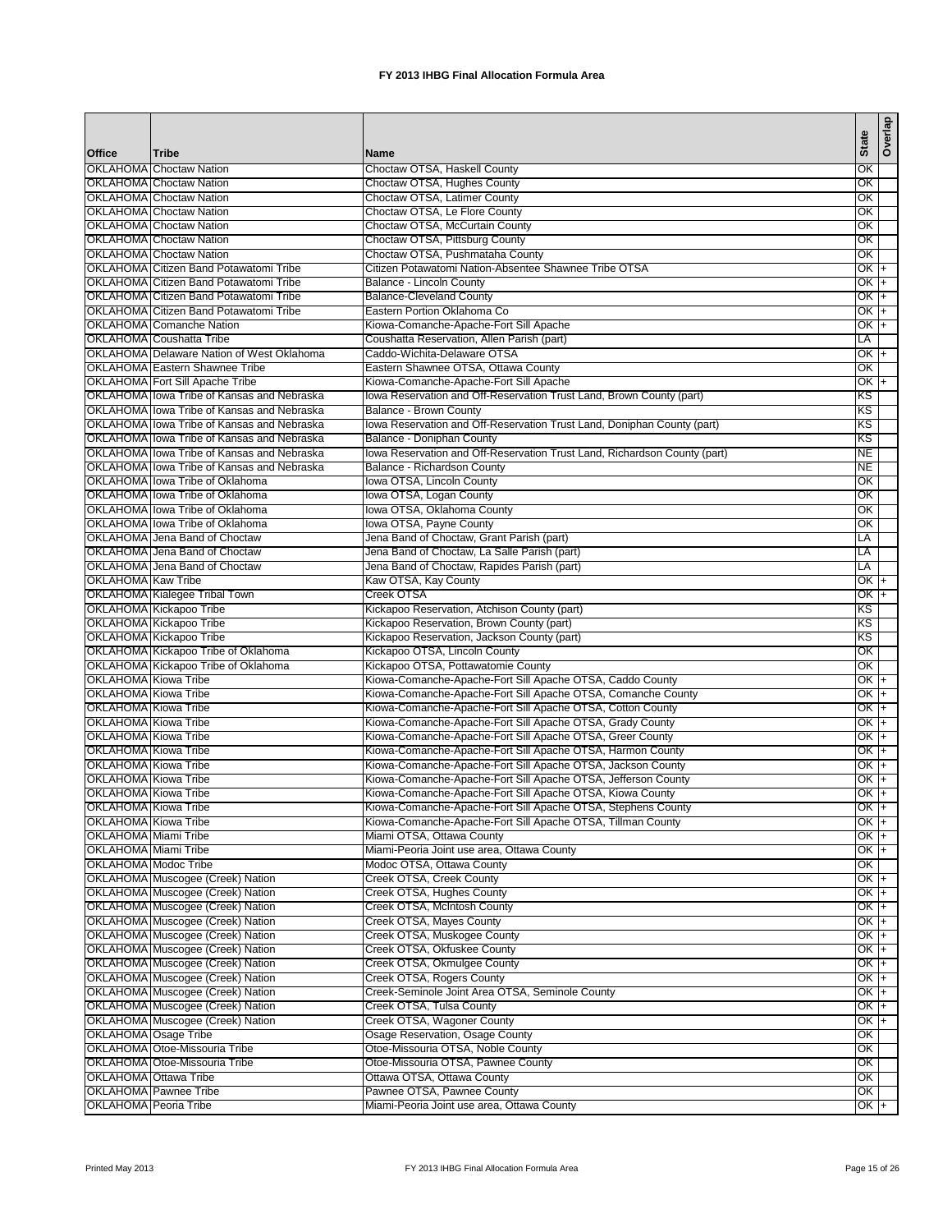|                                              |                                                                  |                                                                           | <b>State</b>    | Overlap |
|----------------------------------------------|------------------------------------------------------------------|---------------------------------------------------------------------------|-----------------|---------|
| Office                                       | <b>Tribe</b>                                                     | Name                                                                      |                 |         |
|                                              | <b>OKLAHOMA Choctaw Nation</b><br><b>OKLAHOMA</b> Choctaw Nation | Choctaw OTSA, Haskell County                                              | ОК<br>OK        |         |
|                                              | <b>OKLAHOMA</b> Choctaw Nation                                   | Choctaw OTSA, Hughes County<br>Choctaw OTSA, Latimer County               | ОК              |         |
|                                              | <b>OKLAHOMA</b> Choctaw Nation                                   | Choctaw OTSA, Le Flore County                                             | ОК              |         |
|                                              | <b>OKLAHOMA</b> Choctaw Nation                                   | Choctaw OTSA, McCurtain County                                            | OK              |         |
|                                              | <b>OKLAHOMA</b> Choctaw Nation                                   | Choctaw OTSA, Pittsburg County                                            | ОК              |         |
|                                              | <b>OKLAHOMA Choctaw Nation</b>                                   | Choctaw OTSA, Pushmataha County                                           | ОК              |         |
|                                              | <b>OKLAHOMA Citizen Band Potawatomi Tribe</b>                    | Citizen Potawatomi Nation-Absentee Shawnee Tribe OTSA                     | OK +            |         |
|                                              | <b>OKLAHOMA Citizen Band Potawatomi Tribe</b>                    | Balance - Lincoln County                                                  | OK +            |         |
|                                              | OKLAHOMA Citizen Band Potawatomi Tribe                           | <b>Balance-Cleveland County</b>                                           | OK I+           |         |
|                                              | <b>OKLAHOMA</b> Citizen Band Potawatomi Tribe                    | Eastern Portion Oklahoma Co                                               | OK 1+           |         |
|                                              | OKLAHOMA Comanche Nation                                         | Kiowa-Comanche-Apache-Fort Sill Apache                                    | $OKT+$          |         |
|                                              | OKLAHOMA Coushatta Tribe                                         | Coushatta Reservation, Allen Parish (part)                                | LA              |         |
|                                              | OKLAHOMA Delaware Nation of West Oklahoma                        | Caddo-Wichita-Delaware OTSA                                               | $OK +$          |         |
|                                              | <b>OKLAHOMA Eastern Shawnee Tribe</b>                            | Eastern Shawnee OTSA, Ottawa County                                       | ОK              |         |
|                                              | <b>OKLAHOMA</b> Fort Sill Apache Tribe                           | Kiowa-Comanche-Apache-Fort Sill Apache                                    | $OK +$          |         |
|                                              | OKLAHOMA lowa Tribe of Kansas and Nebraska                       | lowa Reservation and Off-Reservation Trust Land, Brown County (part)      | κs              |         |
|                                              | OKLAHOMA lowa Tribe of Kansas and Nebraska                       | Balance - Brown County                                                    | ΚS              |         |
|                                              | OKLAHOMA Ilowa Tribe of Kansas and Nebraska                      | lowa Reservation and Off-Reservation Trust Land, Doniphan County (part)   | ΚS              |         |
|                                              | OKLAHOMA lowa Tribe of Kansas and Nebraska                       | Balance - Doniphan County                                                 | ΚS              |         |
|                                              | OKLAHOMA lowa Tribe of Kansas and Nebraska                       | lowa Reservation and Off-Reservation Trust Land, Richardson County (part) | NE.             |         |
|                                              | OKLAHOMA lowa Tribe of Kansas and Nebraska                       | Balance - Richardson County                                               | NE              |         |
|                                              | OKLAHOMA lowa Tribe of Oklahoma                                  | lowa OTSA, Lincoln County                                                 | ОК              |         |
|                                              | OKLAHOMA Ilowa Tribe of Oklahoma                                 | Iowa OTSA, Logan County                                                   | OK              |         |
|                                              | OKLAHOMA lowa Tribe of Oklahoma                                  | lowa OTSA, Oklahoma County                                                | ОК              |         |
|                                              | OKLAHOMA lowa Tribe of Oklahoma                                  | lowa OTSA, Payne County                                                   | ОК              |         |
|                                              | OKLAHOMA Jena Band of Choctaw                                    | Jena Band of Choctaw, Grant Parish (part)                                 | LA              |         |
|                                              | OKLAHOMA IJena Band of Choctaw                                   | Jena Band of Choctaw, La Salle Parish (part)                              | LA              |         |
|                                              | OKLAHOMA Jena Band of Choctaw                                    | Jena Band of Choctaw, Rapides Parish (part)                               | LA              |         |
| <b>OKLAHOMA Kaw Tribe</b>                    |                                                                  | Kaw OTSA, Kay County                                                      | $OKT+$          |         |
|                                              | OKLAHOMA Kialegee Tribal Town                                    | Creek OTSA                                                                | OK  +           |         |
|                                              | OKLAHOMA Kickapoo Tribe                                          | Kickapoo Reservation, Atchison County (part)                              | ΚS              |         |
|                                              | OKLAHOMA Kickapoo Tribe                                          | Kickapoo Reservation, Brown County (part)                                 | KS              |         |
|                                              | OKLAHOMA Kickapoo Tribe                                          | Kickapoo Reservation, Jackson County (part)                               | ΚS              |         |
|                                              | OKLAHOMA Kickapoo Tribe of Oklahoma                              | Kickapoo OTSA, Lincoln County                                             | ОК              |         |
|                                              | OKLAHOMA Kickapoo Tribe of Oklahoma                              | Kickapoo OTSA, Pottawatomie County                                        | ОK              |         |
| OKLAHOMA Kiowa Tribe                         |                                                                  | Kiowa-Comanche-Apache-Fort Sill Apache OTSA, Caddo County                 | OK  +           |         |
| OKLAHOMA Kiowa Tribe                         |                                                                  | Kiowa-Comanche-Apache-Fort Sill Apache OTSA, Comanche County              | OK +            |         |
| OKLAHOMA Kiowa Tribe                         |                                                                  | Kiowa-Comanche-Apache-Fort Sill Apache OTSA, Cotton County                | OK +            |         |
| OKLAHOMA Kiowa Tribe                         |                                                                  | Kiowa-Comanche-Apache-Fort Sill Apache OTSA, Grady County                 | OK +            |         |
| OKLAHOMA Kiowa Tribe                         |                                                                  | Kiowa-Comanche-Apache-Fort Sill Apache OTSA, Greer County                 | OK +            |         |
| <b>OKLAHOMA</b> Kiowa Tribe                  |                                                                  | Kiowa-Comanche-Apache-Fort Sill Apache OTSA, Harmon County                | OK +            |         |
| OKLAHOMA Kiowa Tribe                         |                                                                  | Kiowa-Comanche-Apache-Fort Sill Apache OTSA, Jackson County               | OK  +           |         |
| OKLAHOMA Kiowa Tribe                         |                                                                  | Kiowa-Comanche-Apache-Fort Sill Apache OTSA, Jefferson County             | OK +            |         |
| <b>OKLAHOMA</b> Kiowa Tribe                  |                                                                  | Kiowa-Comanche-Apache-Fort Sill Apache OTSA, Kiowa County                 | $OK +$          |         |
| OKLAHOMA Kiowa Tribe                         |                                                                  | Kiowa-Comanche-Apache-Fort Sill Apache OTSA, Stephens County              | $OK +$          |         |
| OKLAHOMA Kiowa Tribe                         |                                                                  | Kiowa-Comanche-Apache-Fort Sill Apache OTSA, Tillman County               | OK +            |         |
| <b>OKLAHOMA</b> Miami Tribe                  |                                                                  | Miami OTSA, Ottawa County                                                 | $OK +$          |         |
| OKLAHOMA Miami Tribe<br>OKLAHOMA Modoc Tribe |                                                                  | Miami-Peoria Joint use area, Ottawa County                                | OK +            |         |
|                                              | OKLAHOMA Muscogee (Creek) Nation                                 | Modoc OTSA, Ottawa County                                                 | OK              |         |
|                                              | OKLAHOMA Muscogee (Creek) Nation                                 | Creek OTSA, Creek County                                                  | $OK +$          |         |
|                                              | OKLAHOMA Muscogee (Creek) Nation                                 | Creek OTSA, Hughes County<br>Creek OTSA, McIntosh County                  | OK +<br>OK +    |         |
|                                              | OKLAHOMA Muscogee (Creek) Nation                                 | Creek OTSA, Mayes County                                                  | $OK +$          |         |
|                                              | OKLAHOMA Muscogee (Creek) Nation                                 | Creek OTSA, Muskogee County                                               | OK +            |         |
|                                              | OKLAHOMA Muscogee (Creek) Nation                                 | Creek OTSA, Okfuskee County                                               |                 |         |
|                                              | OKLAHOMA Muscogee (Creek) Nation                                 | Creek OTSA, Okmulgee County                                               | OK  +<br>$OK +$ |         |
|                                              | OKLAHOMA Muscogee (Creek) Nation                                 | Creek OTSA, Rogers County                                                 | $OK +$          |         |
|                                              | OKLAHOMA Muscogee (Creek) Nation                                 | Creek-Seminole Joint Area OTSA, Seminole County                           | OK +            |         |
|                                              | OKLAHOMA Muscogee (Creek) Nation                                 | Creek OTSA, Tulsa County                                                  | OK  +           |         |
|                                              | OKLAHOMA Muscogee (Creek) Nation                                 | Creek OTSA, Wagoner County                                                | OK +            |         |
| OKLAHOMA Osage Tribe                         |                                                                  | Osage Reservation, Osage County                                           | ОК              |         |
|                                              | OKLAHOMA Otoe-Missouria Tribe                                    | Otoe-Missouria OTSA, Noble County                                         | ОК              |         |
|                                              | OKLAHOMA Otoe-Missouria Tribe                                    | Otoe-Missouria OTSA, Pawnee County                                        | ОK              |         |
|                                              | OKLAHOMA Ottawa Tribe                                            | Ottawa OTSA, Ottawa County                                                | OK              |         |
|                                              | OKLAHOMA Pawnee Tribe                                            | Pawnee OTSA, Pawnee County                                                | OK              |         |
| <b>OKLAHOMA</b> Peoria Tribe                 |                                                                  | Miami-Peoria Joint use area, Ottawa County                                | $OK +$          |         |
|                                              |                                                                  |                                                                           |                 |         |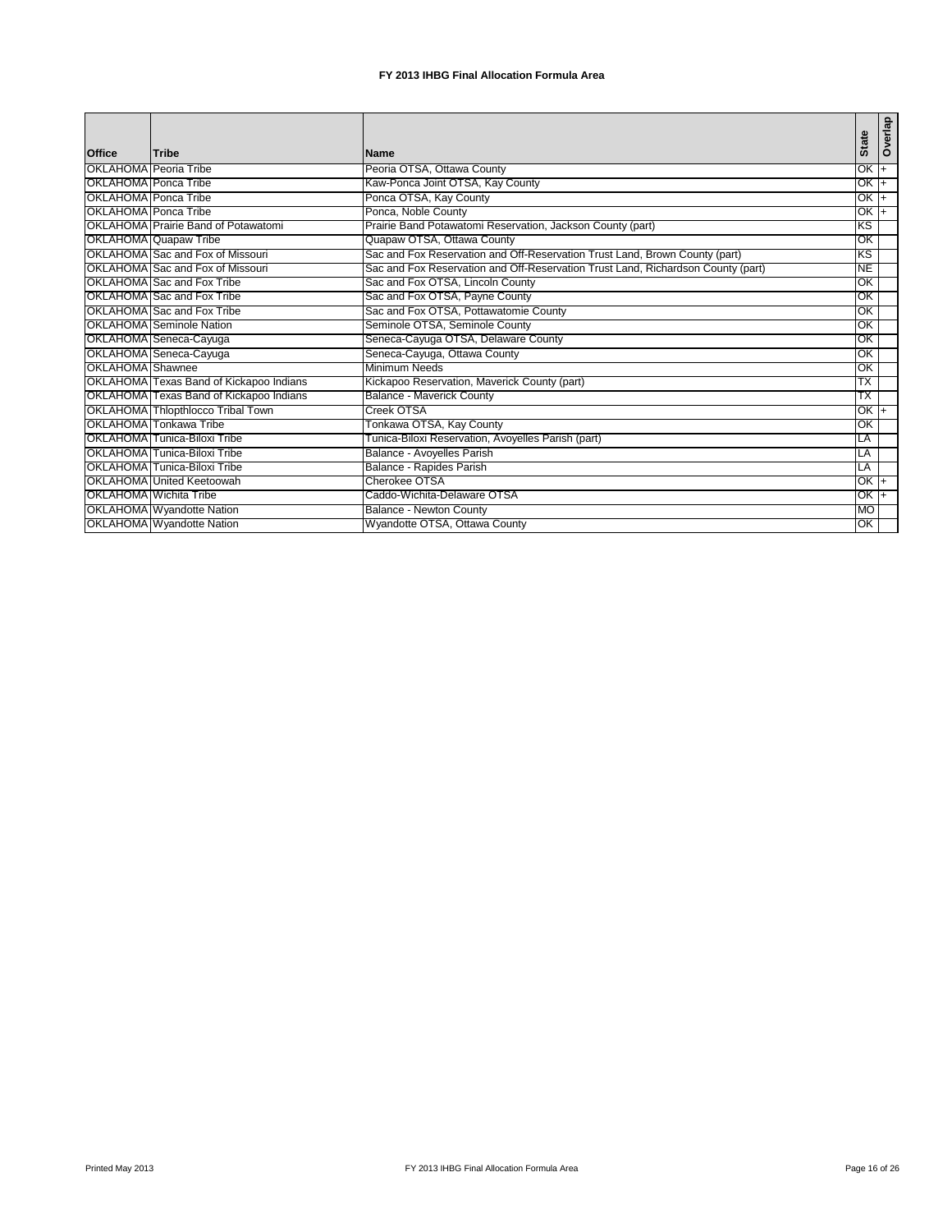|                       |                                         |                                                                                  | <b>State</b>    | Overlap |
|-----------------------|-----------------------------------------|----------------------------------------------------------------------------------|-----------------|---------|
| <b>Office</b>         | Tribe                                   | <b>Name</b>                                                                      |                 |         |
| OKLAHOMA Peoria Tribe |                                         | Peoria OTSA, Ottawa County                                                       | $OK +$          |         |
| OKLAHOMA Ponca Tribe  |                                         | Kaw-Ponca Joint OTSA, Kay County                                                 | $OK +$          |         |
| OKLAHOMA Ponca Tribe  |                                         | Ponca OTSA, Kay County                                                           | OK +            |         |
| OKLAHOMA Ponca Tribe  |                                         | Ponca, Noble County                                                              | OK <sub>+</sub> |         |
|                       | OKLAHOMA Prairie Band of Potawatomi     | Prairie Band Potawatomi Reservation, Jackson County (part)                       | ΚS              |         |
|                       | OKLAHOMA Quapaw Tribe                   | Quapaw OTSA, Ottawa County                                                       | OK              |         |
|                       | OKLAHOMA Sac and Fox of Missouri        | Sac and Fox Reservation and Off-Reservation Trust Land, Brown County (part)      | ΚS              |         |
|                       | OKLAHOMA Sac and Fox of Missouri        | Sac and Fox Reservation and Off-Reservation Trust Land, Richardson County (part) | <b>NE</b>       |         |
|                       | OKLAHOMA Sac and Fox Tribe              | Sac and Fox OTSA, Lincoln County                                                 | OK              |         |
|                       | OKLAHOMA Sac and Fox Tribe              | Sac and Fox OTSA, Payne County                                                   | OK              |         |
|                       | OKLAHOMA Sac and Fox Tribe              | Sac and Fox OTSA, Pottawatomie County                                            | OK              |         |
|                       | OKLAHOMA Seminole Nation                | Seminole OTSA, Seminole County                                                   | OK              |         |
|                       | OKLAHOMA Seneca-Cayuga                  | Seneca-Cayuga OTSA, Delaware County                                              | OK              |         |
|                       | OKLAHOMA Seneca-Cayuga                  | Seneca-Cayuga, Ottawa County                                                     | OK              |         |
| OKLAHOMA Shawnee      |                                         | Minimum Needs                                                                    | OK              |         |
|                       | OKLAHOMA Texas Band of Kickapoo Indians | Kickapoo Reservation, Maverick County (part)                                     | TX              |         |
|                       | OKLAHOMA Texas Band of Kickapoo Indians | <b>Balance - Maverick County</b>                                                 | ТX              |         |
|                       | OKLAHOMA Thlopthlocco Tribal Town       | Creek OTSA                                                                       | OK I+           |         |
|                       | OKLAHOMA Tonkawa Tribe                  | Tonkawa OTSA, Kay County                                                         | OK              |         |
|                       | OKLAHOMA Tunica-Biloxi Tribe            | Tunica-Biloxi Reservation, Avoyelles Parish (part)                               | LA              |         |
|                       | OKLAHOMA Tunica-Biloxi Tribe            | Balance - Avoyelles Parish                                                       | LA              |         |
|                       | OKLAHOMA Tunica-Biloxi Tribe            | Balance - Rapides Parish                                                         | LA              |         |
|                       | OKLAHOMA United Keetoowah               | Cherokee OTSA                                                                    | $OK +$          |         |
|                       | OKLAHOMA Wichita Tribe                  | Caddo-Wichita-Delaware OTSA                                                      | OK I+           |         |
|                       | <b>OKLAHOMA</b> Wyandotte Nation        | Balance - Newton County                                                          | <b>MO</b>       |         |
|                       | OKLAHOMA Wyandotte Nation               | Wyandotte OTSA, Ottawa County                                                    | ОК              |         |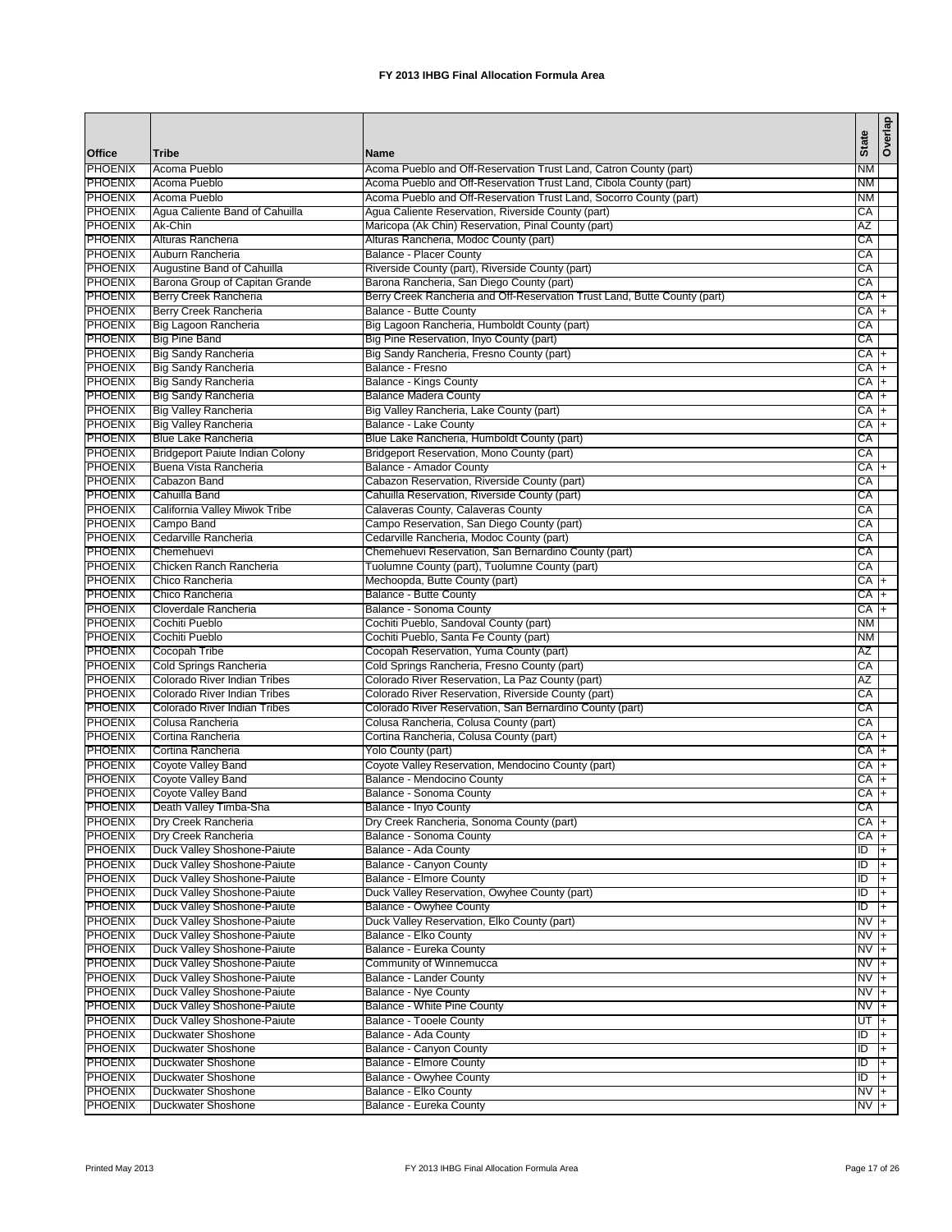| Office                           | Tribe                                            | <b>Name</b>                                                                       | <b>State</b>      | Overlap        |
|----------------------------------|--------------------------------------------------|-----------------------------------------------------------------------------------|-------------------|----------------|
| <b>PHOENIX</b>                   | Acoma Pueblo                                     | Acoma Pueblo and Off-Reservation Trust Land, Catron County (part)                 | NM                |                |
| <b>PHOENIX</b>                   | Acoma Pueblo                                     | Acoma Pueblo and Off-Reservation Trust Land, Cibola County (part)                 | <b>NM</b>         |                |
| <b>PHOENIX</b>                   | Acoma Pueblo                                     | Acoma Pueblo and Off-Reservation Trust Land, Socorro County (part)                | ΝM                |                |
| <b>PHOENIX</b>                   | Agua Caliente Band of Cahuilla                   | Agua Caliente Reservation, Riverside County (part)                                | СA                |                |
| <b>PHOENIX</b>                   | Ak-Chin                                          | Maricopa (Ak Chin) Reservation, Pinal County (part)                               | AZ                |                |
| <b>PHOENIX</b>                   | Alturas Rancheria                                | Alturas Rancheria, Modoc County (part)                                            | СA                |                |
| <b>PHOENIX</b>                   | Auburn Rancheria                                 | Balance - Placer County                                                           | CA                |                |
| <b>PHOENIX</b>                   | Augustine Band of Cahuilla                       | Riverside County (part), Riverside County (part)                                  | CA                |                |
| <b>PHOENIX</b>                   | Barona Group of Capitan Grande                   | Barona Rancheria, San Diego County (part)                                         | CA                |                |
| <b>PHOENIX</b>                   | Berry Creek Rancheria                            | Berry Creek Rancheria and Off-Reservation Trust Land, Butte County (part)         | CA +              |                |
| <b>PHOENIX</b>                   | Berry Creek Rancheria                            | <b>Balance - Butte County</b>                                                     | CA +              |                |
| <b>PHOENIX</b>                   | Big Lagoon Rancheria                             | Big Lagoon Rancheria, Humboldt County (part)                                      | CA                |                |
| <b>PHOENIX</b>                   | <b>Big Pine Band</b>                             | Big Pine Reservation, Inyo County (part)                                          | CA                |                |
| <b>PHOENIX</b><br><b>PHOENIX</b> | Big Sandy Rancheria<br>Big Sandy Rancheria       | Big Sandy Rancheria, Fresno County (part)<br>Balance - Fresno                     | CA +<br>CA +      |                |
| <b>PHOENIX</b>                   | Big Sandy Rancheria                              | <b>Balance - Kings County</b>                                                     | CA +              |                |
| <b>PHOENIX</b>                   | Big Sandy Rancheria                              | <b>Balance Madera County</b>                                                      | CA                | $+$            |
| <b>PHOENIX</b>                   | <b>Big Valley Rancheria</b>                      | Big Valley Rancheria, Lake County (part)                                          | СA                | $+$            |
| <b>PHOENIX</b>                   | <b>Big Valley Rancheria</b>                      | Balance - Lake County                                                             | CA +              |                |
| <b>PHOENIX</b>                   | <b>Blue Lake Rancheria</b>                       | Blue Lake Rancheria, Humboldt County (part)                                       | CА                |                |
| <b>PHOENIX</b>                   | <b>Bridgeport Paiute Indian Colony</b>           | Bridgeport Reservation, Mono County (part)                                        | CA                |                |
| <b>PHOENIX</b>                   | Buena Vista Rancheria                            | <b>Balance - Amador County</b>                                                    | CA +              |                |
| <b>PHOENIX</b>                   | Cabazon Band                                     | Cabazon Reservation, Riverside County (part)                                      | СA                |                |
| <b>PHOENIX</b>                   | Cahuilla Band                                    | Cahuilla Reservation, Riverside County (part)                                     | CA                |                |
| <b>PHOENIX</b>                   | California Valley Miwok Tribe                    | Calaveras County, Calaveras County                                                | CA                |                |
| <b>PHOENIX</b>                   | Campo Band                                       | Campo Reservation, San Diego County (part)                                        | СA                |                |
| <b>PHOENIX</b>                   | Cedarville Rancheria                             | Cedarville Rancheria, Modoc County (part)                                         | СA                |                |
| <b>PHOENIX</b>                   | Chemehuevi                                       | Chemehuevi Reservation, San Bernardino County (part)                              | CA                |                |
| <b>PHOENIX</b>                   | Chicken Ranch Rancheria                          | Tuolumne County (part), Tuolumne County (part)                                    | СA                |                |
| <b>PHOENIX</b>                   | Chico Rancheria                                  | Mechoopda, Butte County (part)                                                    | CA                | $\overline{+}$ |
| <b>PHOENIX</b>                   | Chico Rancheria                                  | Balance - Butte County                                                            | CA                | l+             |
| <b>PHOENIX</b>                   | Cloverdale Rancheria                             | Balance - Sonoma County                                                           | CA                | l+             |
| <b>PHOENIX</b>                   | Cochiti Pueblo                                   | Cochiti Pueblo, Sandoval County (part)                                            | <b>NM</b>         |                |
| <b>PHOENIX</b>                   | Cochiti Pueblo                                   | Cochiti Pueblo, Santa Fe County (part)                                            | <b>NM</b>         |                |
| <b>PHOENIX</b>                   | Cocopah Tribe                                    | Cocopah Reservation, Yuma County (part)                                           | AZ                |                |
| <b>PHOENIX</b>                   | Cold Springs Rancheria                           | Cold Springs Rancheria, Fresno County (part)                                      | CA                |                |
| <b>PHOENIX</b>                   | Colorado River Indian Tribes                     | Colorado River Reservation, La Paz County (part)                                  | ΑZ                |                |
| <b>PHOENIX</b>                   | Colorado River Indian Tribes                     | Colorado River Reservation, Riverside County (part)                               | CA                |                |
| <b>PHOENIX</b>                   | Colorado River Indian Tribes<br>Colusa Rancheria | Colorado River Reservation, San Bernardino County (part)                          | CA                |                |
| <b>PHOENIX</b><br>PHOENIX        | Cortina Rancheria                                | Colusa Rancheria, Colusa County (part)<br>Cortina Rancheria, Colusa County (part) | СA<br>CA +        |                |
| <b>PHOENIX</b>                   | Cortina Rancheria                                | Yolo County (part)                                                                | СA                | $+$            |
| <b>PHOENIX</b>                   | Coyote Valley Band                               | Coyote Valley Reservation, Mendocino County (part)                                | CA I+             |                |
| <b>PHOENIX</b>                   | Coyote Valley Band                               | Balance - Mendocino County                                                        | СA                | $\overline{+}$ |
| <b>PHOENIX</b>                   | Coyote Valley Band                               | Balance - Sonoma County                                                           | СA                | $+$            |
| <b>PHOENIX</b>                   | Death Valley Timba-Sha                           | Balance - Inyo County                                                             | CA                |                |
| <b>PHOENIX</b>                   | Dry Creek Rancheria                              | Dry Creek Rancheria, Sonoma County (part)                                         | $CA +$            |                |
| <b>PHOENIX</b>                   | Dry Creek Rancheria                              | Balance - Sonoma County                                                           | CA +              |                |
| <b>PHOENIX</b>                   | Duck Valley Shoshone-Paiute                      | Balance - Ada County                                                              | ID                | $ + $          |
| <b>PHOENIX</b>                   | Duck Valley Shoshone-Paiute                      | Balance - Canyon County                                                           | ID                | $\overline{+}$ |
| <b>PHOENIX</b>                   | Duck Valley Shoshone-Paiute                      | Balance - Elmore County                                                           | ID                | $ + $          |
| <b>PHOENIX</b>                   | Duck Valley Shoshone-Paiute                      | Duck Valley Reservation, Owyhee County (part)                                     | ID                | l+             |
| <b>PHOENIX</b>                   | Duck Valley Shoshone-Paiute                      | Balance - Owyhee County                                                           | Đ                 | ŀ+             |
| <b>PHOENIX</b>                   | Duck Valley Shoshone-Paiute                      | Duck Valley Reservation, Elko County (part)                                       | $NVI +$           |                |
| <b>PHOENIX</b>                   | Duck Valley Shoshone-Paiute                      | Balance - Elko County                                                             | $NVI +$           |                |
| <b>PHOENIX</b>                   | Duck Valley Shoshone-Paiute                      | Balance - Eureka County                                                           | $NVI +$           |                |
| <b>PHOENIX</b>                   | Duck Valley Shoshone-Paiute                      | Community of Winnemucca                                                           | $N\overline{V}$ + |                |
| <b>PHOENIX</b>                   | Duck Valley Shoshone-Paiute                      | Balance - Lander County                                                           | $NV +$            |                |
| <b>PHOENIX</b>                   | Duck Valley Shoshone-Paiute                      | Balance - Nye County                                                              | NV +              |                |
| <b>PHOENIX</b>                   | Duck Valley Shoshone-Paiute                      | Balance - White Pine County                                                       | NV +              |                |
| <b>PHOENIX</b>                   | Duck Valley Shoshone-Paiute                      | <b>Balance - Tooele County</b>                                                    | UT  +             |                |
| <b>PHOENIX</b>                   | Duckwater Shoshone                               | Balance - Ada County                                                              | ID                | $\overline{+}$ |
| <b>PHOENIX</b>                   | Duckwater Shoshone                               | Balance - Canyon County                                                           | Đ                 | $\overline{+}$ |
| <b>PHOENIX</b>                   | Duckwater Shoshone                               | <b>Balance - Elmore County</b>                                                    | ID                | $ + $          |
| <b>PHOENIX</b>                   | Duckwater Shoshone                               | Balance - Owyhee County                                                           | Đ                 | $ + $          |
| <b>PHOENIX</b>                   | Duckwater Shoshone                               | Balance - Elko County                                                             | $NVI +$           |                |
| <b>PHOENIX</b>                   | Duckwater Shoshone                               | Balance - Eureka County                                                           | $NVI +$           |                |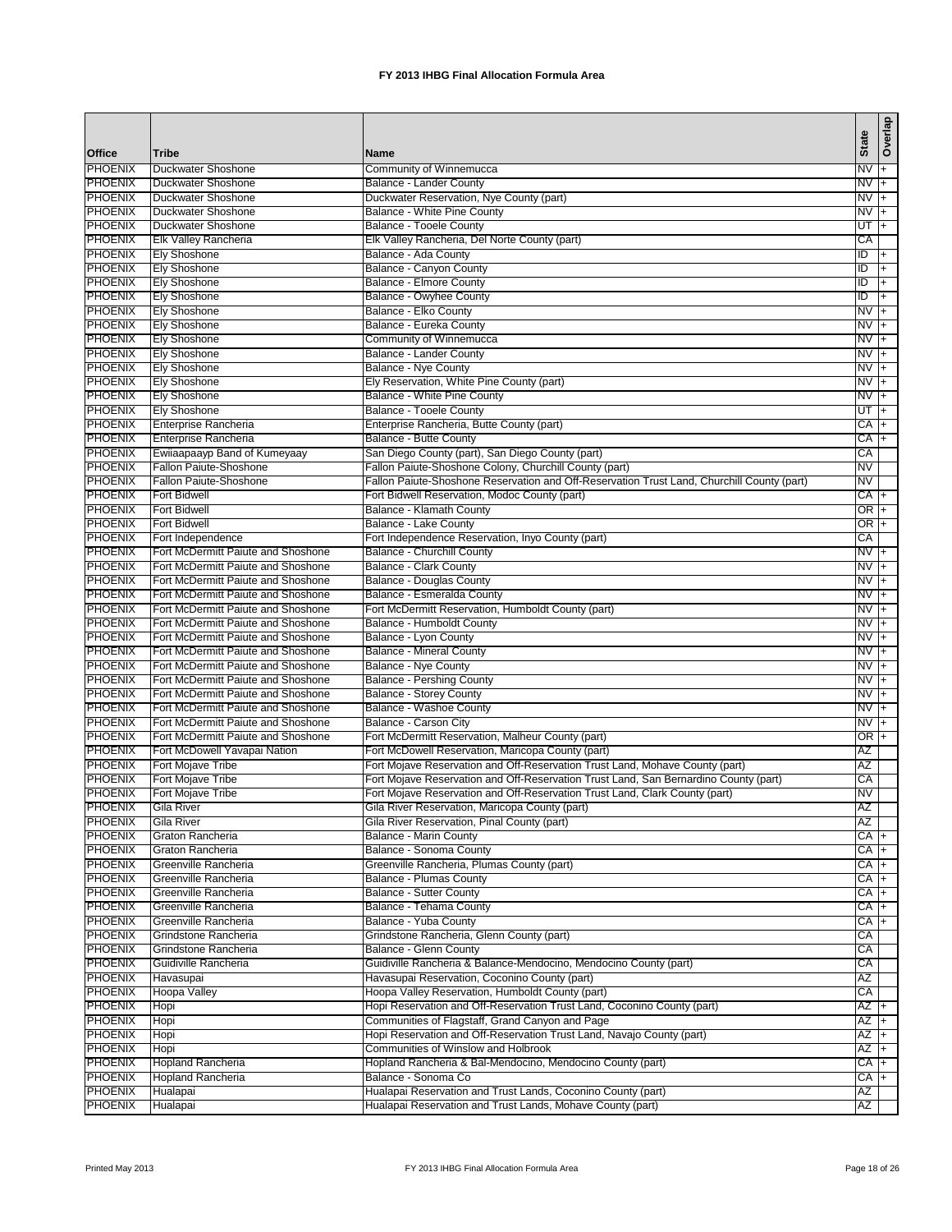|                                  |                                                                          |                                                                                                        |                   | Overlap              |
|----------------------------------|--------------------------------------------------------------------------|--------------------------------------------------------------------------------------------------------|-------------------|----------------------|
| <b>Office</b>                    | <b>Tribe</b>                                                             | <b>Name</b>                                                                                            | <b>State</b>      |                      |
| <b>PHOENIX</b>                   | Duckwater Shoshone                                                       | Community of Winnemucca                                                                                | $NVI +$           |                      |
| <b>PHOENIX</b>                   | <b>Duckwater Shoshone</b>                                                | Balance - Lander County                                                                                | $NV +$            |                      |
| <b>PHOENIX</b>                   | <b>Duckwater Shoshone</b>                                                | Duckwater Reservation, Nye County (part)                                                               | $NVI +$           |                      |
| <b>PHOENIX</b><br><b>PHOENIX</b> | <b>Duckwater Shoshone</b><br><b>Duckwater Shoshone</b>                   | Balance - White Pine County<br>Balance - Tooele County                                                 | NV<br>UT          | ŀ+<br>$+$            |
| <b>PHOENIX</b>                   | Elk Valley Rancheria                                                     | Elk Valley Rancheria, Del Norte County (part)                                                          | СA                |                      |
| <b>PHOENIX</b>                   | <b>Ely Shoshone</b>                                                      | Balance - Ada County                                                                                   | Đ                 | $+$                  |
| <b>PHOENIX</b>                   | <b>Ely Shoshone</b>                                                      | Balance - Canyon County                                                                                | ID                | $+$                  |
| <b>PHOENIX</b>                   | <b>Ely Shoshone</b>                                                      | Balance - Elmore County                                                                                | ID                | $+$                  |
| <b>PHOENIX</b>                   | <b>Ely Shoshone</b>                                                      | <b>Balance - Owyhee County</b>                                                                         | ID                | $+$                  |
| <b>PHOENIX</b>                   | <b>Ely Shoshone</b>                                                      | Balance - Elko County                                                                                  | N <sub>V</sub>    | $\overline{+}$       |
| <b>PHOENIX</b>                   | <b>Ely Shoshone</b>                                                      | Balance - Eureka County                                                                                | $\overline{N}V$ + |                      |
| <b>PHOENIX</b>                   | <b>Ely Shoshone</b>                                                      | Community of Winnemucca                                                                                | NV.               | $ + $                |
| <b>PHOENIX</b>                   | <b>Ely Shoshone</b>                                                      | Balance - Lander County                                                                                | NV.               | I+                   |
| <b>PHOENIX</b>                   | <b>Ely Shoshone</b>                                                      | Balance - Nye County                                                                                   | NV                | l+                   |
| <b>PHOENIX</b><br><b>PHOENIX</b> | <b>Ely Shoshone</b><br><b>Ely Shoshone</b>                               | Ely Reservation, White Pine County (part)<br>Balance - White Pine County                               | NV<br>NV          | l+<br>$\overline{+}$ |
| <b>PHOENIX</b>                   | <b>Ely Shoshone</b>                                                      | Balance - Tooele County                                                                                | UT                | l+                   |
| <b>PHOENIX</b>                   | Enterprise Rancheria                                                     | Enterprise Rancheria, Butte County (part)                                                              | CA +              |                      |
| <b>PHOENIX</b>                   | Enterprise Rancheria                                                     | <b>Balance - Butte County</b>                                                                          | СA                | $+$                  |
| <b>PHOENIX</b>                   | Ewiiaapaayp Band of Kumeyaay                                             | San Diego County (part), San Diego County (part)                                                       | СA                |                      |
| <b>PHOENIX</b>                   | Fallon Paiute-Shoshone                                                   | Fallon Paiute-Shoshone Colony, Churchill County (part)                                                 | NV                |                      |
| <b>PHOENIX</b>                   | Fallon Paiute-Shoshone                                                   | Fallon Paiute-Shoshone Reservation and Off-Reservation Trust Land, Churchill County (part)             | NV                |                      |
| <b>PHOENIX</b>                   | <b>Fort Bidwell</b>                                                      | Fort Bidwell Reservation, Modoc County (part)                                                          | $CA +$            |                      |
| <b>PHOENIX</b>                   | <b>Fort Bidwell</b>                                                      | Balance - Klamath County                                                                               | $OR +$            |                      |
| <b>PHOENIX</b>                   | <b>Fort Bidwell</b>                                                      | Balance - Lake County                                                                                  | OR +              |                      |
| <b>PHOENIX</b>                   | Fort Independence                                                        | Fort Independence Reservation, Inyo County (part)                                                      | СA                |                      |
| <b>PHOENIX</b><br><b>PHOENIX</b> | Fort McDermitt Paiute and Shoshone<br>Fort McDermitt Paiute and Shoshone | <b>Balance - Churchill County</b>                                                                      | $NVI +$           |                      |
| <b>PHOENIX</b>                   | Fort McDermitt Paiute and Shoshone                                       | Balance - Clark County<br><b>Balance - Douglas County</b>                                              | NV<br>NV          | I+<br>$+$            |
| <b>PHOENIX</b>                   | Fort McDermitt Paiute and Shoshone                                       | Balance - Esmeralda County                                                                             | NV                | $ +$                 |
| <b>PHOENIX</b>                   | Fort McDermitt Paiute and Shoshone                                       | Fort McDermitt Reservation, Humboldt County (part)                                                     | NV                | $+$                  |
| <b>PHOENIX</b>                   | Fort McDermitt Paiute and Shoshone                                       | Balance - Humboldt County                                                                              | NV                | l+                   |
| <b>PHOENIX</b>                   | Fort McDermitt Paiute and Shoshone                                       | Balance - Lyon County                                                                                  | NV                | $+$                  |
| <b>PHOENIX</b>                   | Fort McDermitt Paiute and Shoshone                                       | <b>Balance - Mineral County</b>                                                                        | NV                | $\overline{+}$       |
| <b>PHOENIX</b>                   | Fort McDermitt Paiute and Shoshone                                       | Balance - Nye County                                                                                   | N <sub>V</sub>    | $+$                  |
| <b>PHOENIX</b>                   | Fort McDermitt Paiute and Shoshone                                       | <b>Balance - Pershing County</b>                                                                       | $NVI +$           |                      |
| <b>PHOENIX</b>                   | Fort McDermitt Paiute and Shoshone                                       | <b>Balance - Storey County</b>                                                                         | NV                | l+                   |
| <b>PHOENIX</b>                   | Fort McDermitt Paiute and Shoshone                                       | Balance - Washoe County                                                                                | <b>NV</b>         | I+                   |
| <b>PHOENIX</b><br><b>PHOENIX</b> | Fort McDermitt Paiute and Shoshone<br>Fort McDermitt Paiute and Shoshone | Balance - Carson City                                                                                  | NV                | $\overline{+}$       |
| <b>PHOENIX</b>                   | Fort McDowell Yavapai Nation                                             | Fort McDermitt Reservation, Malheur County (part)<br>Fort McDowell Reservation, Maricopa County (part) | OR  +<br>AZ       |                      |
| <b>PHOENIX</b>                   | Fort Mojave Tribe                                                        | Fort Mojave Reservation and Off-Reservation Trust Land, Mohave County (part)                           | ΑZ                |                      |
| <b>PHOENIX</b>                   | Fort Mojave Tribe                                                        | Fort Mojave Reservation and Off-Reservation Trust Land, San Bernardino County (part)                   | СA                |                      |
| <b>PHOENIX</b>                   | Fort Mojave Tribe                                                        | Fort Mojave Reservation and Off-Reservation Trust Land, Clark County (part)                            | ΝV                |                      |
| <b>PHOENIX</b>                   | <b>Gila River</b>                                                        | Gila River Reservation, Maricopa County (part)                                                         | AZ                |                      |
| <b>PHOENIX</b>                   | Gila River                                                               | Gila River Reservation, Pinal County (part)                                                            | ΑZ                |                      |
| <b>PHOENIX</b>                   | Graton Rancheria                                                         | Balance - Marin County                                                                                 | $CA +$            |                      |
| <b>PHOENIX</b>                   | Graton Rancheria                                                         | <b>Balance - Sonoma County</b>                                                                         | $CA +$            |                      |
| <b>PHOENIX</b>                   | Greenville Rancheria                                                     | Greenville Rancheria, Plumas County (part)                                                             | $CA +$            |                      |
| <b>PHOENIX</b><br><b>PHOENIX</b> | Greenville Rancheria                                                     | <b>Balance - Plumas County</b>                                                                         | CA +              |                      |
| <b>PHOENIX</b>                   | Greenville Rancheria<br>Greenville Rancheria                             | <b>Balance - Sutter County</b><br>Balance - Tehama County                                              | CA I+<br>CA +     |                      |
| <b>PHOENIX</b>                   | Greenville Rancheria                                                     | Balance - Yuba County                                                                                  | CA +              |                      |
| <b>PHOENIX</b>                   | Grindstone Rancheria                                                     | Grindstone Rancheria, Glenn County (part)                                                              | СA                |                      |
| <b>PHOENIX</b>                   | Grindstone Rancheria                                                     | Balance - Glenn County                                                                                 | CA                |                      |
| <b>PHOENIX</b>                   | Guidiville Rancheria                                                     | Guidiville Rancheria & Balance-Mendocino, Mendocino County (part)                                      | CA                |                      |
| <b>PHOENIX</b>                   | Havasupai                                                                | Havasupai Reservation, Coconino County (part)                                                          | AZ                |                      |
| <b>PHOENIX</b>                   | <b>Hoopa Valley</b>                                                      | Hoopa Valley Reservation, Humboldt County (part)                                                       | CA                |                      |
| <b>PHOENIX</b>                   | Hopi                                                                     | Hopi Reservation and Off-Reservation Trust Land, Coconino County (part)                                | $AZ +$            |                      |
| <b>PHOENIX</b>                   | Hopi                                                                     | Communities of Flagstaff, Grand Canyon and Page                                                        | AZ                | l+                   |
| <b>PHOENIX</b>                   | Hopi                                                                     | Hopi Reservation and Off-Reservation Trust Land, Navajo County (part)                                  | $AZ +$            |                      |
| <b>PHOENIX</b>                   | Hopi                                                                     | Communities of Winslow and Holbrook                                                                    | $AZ +$            |                      |
| <b>PHOENIX</b><br><b>PHOENIX</b> | <b>Hopland Rancheria</b><br><b>Hopland Rancheria</b>                     | Hopland Rancheria & Bal-Mendocino, Mendocino County (part)<br>Balance - Sonoma Co                      | CA +<br>CA +      |                      |
| <b>PHOENIX</b>                   | Hualapai                                                                 | Hualapai Reservation and Trust Lands, Coconino County (part)                                           | AZ                |                      |
| <b>PHOENIX</b>                   | Hualapai                                                                 | Hualapai Reservation and Trust Lands, Mohave County (part)                                             | AZ                |                      |
|                                  |                                                                          |                                                                                                        |                   |                      |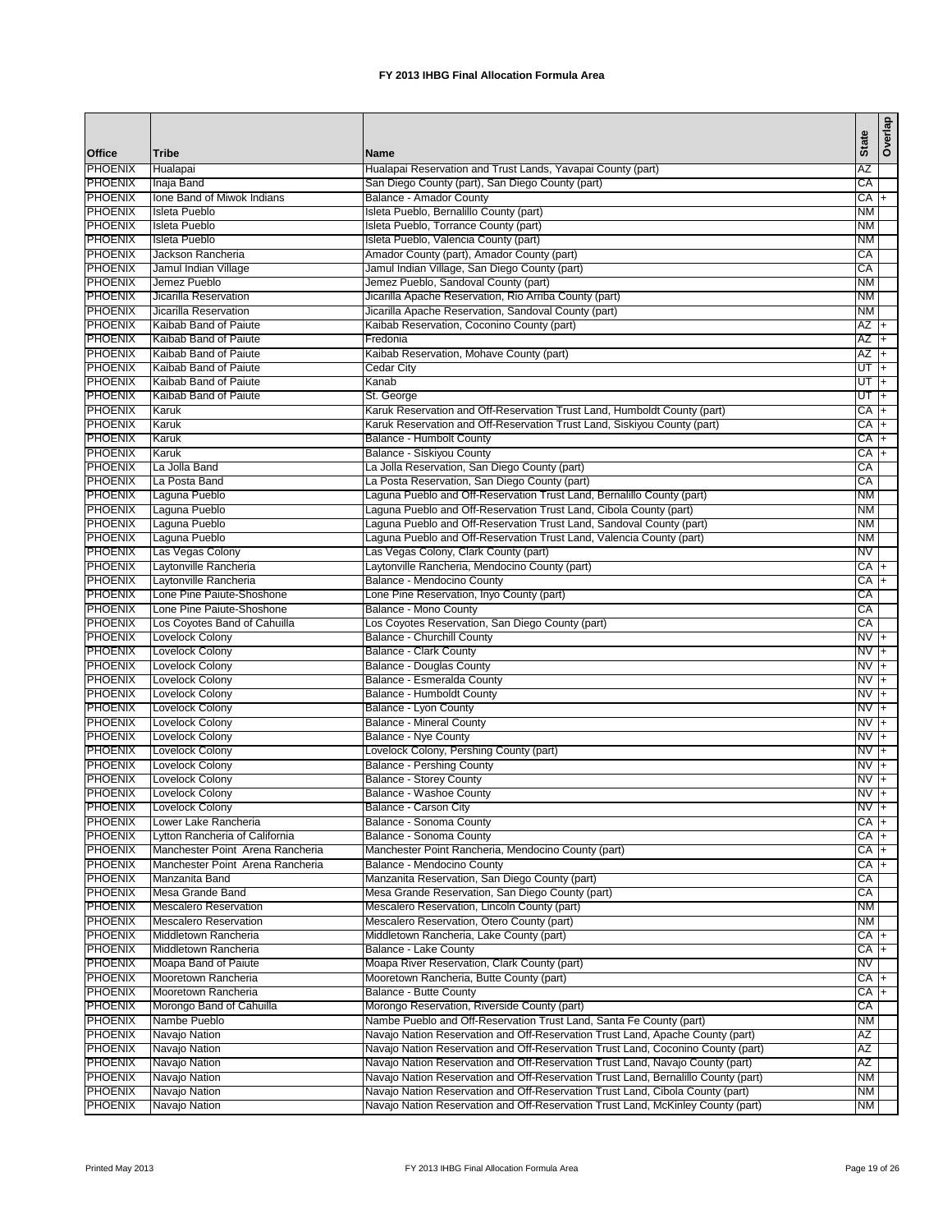|                                  |                                                |                                                                                         | <b>State</b>      | Overlap        |
|----------------------------------|------------------------------------------------|-----------------------------------------------------------------------------------------|-------------------|----------------|
| Office                           | <b>Tribe</b>                                   | Name                                                                                    |                   |                |
| <b>PHOENIX</b>                   | Hualapai                                       | Hualapai Reservation and Trust Lands, Yavapai County (part)                             | ΑZ                |                |
| <b>PHOENIX</b>                   | Inaja Band                                     | San Diego County (part), San Diego County (part)                                        | CA                |                |
| <b>PHOENIX</b>                   | Ione Band of Miwok Indians<br>Isleta Pueblo    | Balance - Amador County                                                                 | CA +              |                |
| <b>PHOENIX</b><br><b>PHOENIX</b> | <b>Isleta Pueblo</b>                           | Isleta Pueblo, Bernalillo County (part)                                                 | NΜ                |                |
| <b>PHOENIX</b>                   | Isleta Pueblo                                  | Isleta Pueblo, Torrance County (part)<br>Isleta Pueblo, Valencia County (part)          | <b>NM</b><br>NM   |                |
| <b>PHOENIX</b>                   | Jackson Rancheria                              | Amador County (part), Amador County (part)                                              | CA                |                |
| <b>PHOENIX</b>                   | Jamul Indian Village                           | Jamul Indian Village, San Diego County (part)                                           | CA                |                |
| <b>PHOENIX</b>                   | Jemez Pueblo                                   | Jemez Pueblo, Sandoval County (part)                                                    | <b>NM</b>         |                |
| <b>PHOENIX</b>                   | Jicarilla Reservation                          | Jicarilla Apache Reservation, Rio Arriba County (part)                                  | NM                |                |
| <b>PHOENIX</b>                   | Jicarilla Reservation                          | Jicarilla Apache Reservation, Sandoval County (part)                                    | <b>NM</b>         |                |
| <b>PHOENIX</b>                   | Kaibab Band of Paiute                          | Kaibab Reservation, Coconino County (part)                                              | AZ +              |                |
| <b>PHOENIX</b>                   | Kaibab Band of Paiute                          | Fredonia                                                                                | AZ                | T+             |
| <b>PHOENIX</b>                   | Kaibab Band of Paiute                          | Kaibab Reservation, Mohave County (part)                                                | AZ                | l+             |
| <b>PHOENIX</b>                   | Kaibab Band of Paiute                          | Cedar City                                                                              | UT                | l+             |
| <b>PHOENIX</b>                   | Kaibab Band of Paiute                          | Kanab                                                                                   | UT                | ŀ+             |
| <b>PHOENIX</b>                   | Kaibab Band of Paiute                          | St. George                                                                              | UT                | Ŧ              |
| <b>PHOENIX</b>                   | Karuk                                          | Karuk Reservation and Off-Reservation Trust Land, Humboldt County (part)                | СA                | l+             |
| <b>PHOENIX</b>                   | Karuk                                          | Karuk Reservation and Off-Reservation Trust Land, Siskiyou County (part)                | CA I+             |                |
| <b>PHOENIX</b>                   | Karuk                                          | Balance - Humbolt County                                                                | CA                | l+             |
| <b>PHOENIX</b>                   | Karuk                                          | Balance - Siskiyou County                                                               | СA                | l+             |
| <b>PHOENIX</b>                   | La Jolla Band                                  | La Jolla Reservation, San Diego County (part)                                           | СA                |                |
| <b>PHOENIX</b>                   | La Posta Band                                  | La Posta Reservation, San Diego County (part)                                           | CA                |                |
| <b>PHOENIX</b>                   | Laguna Pueblo                                  | Laguna Pueblo and Off-Reservation Trust Land, Bernalillo County (part)                  | <b>NM</b>         |                |
| <b>PHOENIX</b>                   | Laguna Pueblo                                  | Laguna Pueblo and Off-Reservation Trust Land, Cibola County (part)                      | <b>NM</b>         |                |
| <b>PHOENIX</b>                   | Laguna Pueblo                                  | Laguna Pueblo and Off-Reservation Trust Land, Sandoval County (part)                    | <b>NM</b>         |                |
| <b>PHOENIX</b><br><b>PHOENIX</b> | Laguna Pueblo<br>Las Vegas Colony              | Laguna Pueblo and Off-Reservation Trust Land, Valencia County (part)                    | <b>NM</b><br>NV   |                |
| <b>PHOENIX</b>                   | Laytonville Rancheria                          | Las Vegas Colony, Clark County (part)<br>Laytonville Rancheria, Mendocino County (part) | CA +              |                |
| <b>PHOENIX</b>                   | Laytonville Rancheria                          | Balance - Mendocino County                                                              | CA +              |                |
| <b>PHOENIX</b>                   | Lone Pine Paiute-Shoshone                      | Lone Pine Reservation, Inyo County (part)                                               | CA                |                |
| <b>PHOENIX</b>                   | Lone Pine Paiute-Shoshone                      | Balance - Mono County                                                                   | CA                |                |
| <b>PHOENIX</b>                   | Los Coyotes Band of Cahuilla                   | Los Coyotes Reservation, San Diego County (part)                                        | CA                |                |
| <b>PHOENIX</b>                   | Lovelock Colony                                | <b>Balance - Churchill County</b>                                                       | $NVI +$           |                |
| <b>PHOENIX</b>                   | Lovelock Colony                                | Balance - Clark County                                                                  | NV                | l+             |
| <b>PHOENIX</b>                   | <b>Lovelock Colony</b>                         | <b>Balance - Douglas County</b>                                                         | NV                | $+$            |
| <b>PHOENIX</b>                   | <b>Lovelock Colony</b>                         | Balance - Esmeralda County                                                              | NV                | ŀ+             |
| <b>PHOENIX</b>                   | <b>Lovelock Colony</b>                         | Balance - Humboldt County                                                               | NV                | $\overline{+}$ |
| <b>PHOENIX</b>                   | <b>Lovelock Colony</b>                         | Balance - Lyon County                                                                   | NV                | l+             |
| <b>PHOENIX</b>                   | Lovelock Colony                                | <b>Balance - Mineral County</b>                                                         | NV                | Ŧ              |
| <b>PHOENIX</b>                   | Lovelock Colony                                | Balance - Nye County                                                                    | NV                | $+$            |
| <b>PHOENIX</b>                   | <b>Lovelock Colony</b>                         | Lovelock Colony, Pershing County (part)                                                 | <b>NV</b>         | $+$            |
| <b>PHOENIX</b>                   | Lovelock Colony                                | <b>Balance - Pershing County</b>                                                        | NV                | I+             |
| <b>PHOENIX</b>                   | <b>Lovelock Colony</b>                         | <b>Balance - Storey County</b>                                                          | NV.               | $+$            |
| <b>PHOENIX</b>                   | Lovelock Colony                                | Balance - Washoe County                                                                 | NV                | I+             |
| <b>PHOENIX</b><br><b>PHOENIX</b> | <b>Lovelock Colony</b><br>Lower Lake Rancheria | Balance - Carson City<br>Balance - Sonoma County                                        | $NVI +$<br>$CA +$ |                |
| <b>PHOENIX</b>                   | Lytton Rancheria of California                 | Balance - Sonoma County                                                                 | $CA +$            |                |
| <b>PHOENIX</b>                   | Manchester Point Arena Rancheria               | Manchester Point Rancheria, Mendocino County (part)                                     | CA <sub>T</sub>   |                |
| <b>PHOENIX</b>                   | Manchester Point Arena Rancheria               | Balance - Mendocino County                                                              | CA <sub>T</sub>   |                |
| <b>PHOENIX</b>                   | Manzanita Band                                 | Manzanita Reservation, San Diego County (part)                                          | СA                |                |
| <b>PHOENIX</b>                   | Mesa Grande Band                               | Mesa Grande Reservation, San Diego County (part)                                        | CA                |                |
| <b>PHOENIX</b>                   | <b>Mescalero Reservation</b>                   | Mescalero Reservation, Lincoln County (part)                                            | NM                |                |
| <b>PHOENIX</b>                   | <b>Mescalero Reservation</b>                   | Mescalero Reservation, Otero County (part)                                              | NM                |                |
| <b>PHOENIX</b>                   | Middletown Rancheria                           | Middletown Rancheria, Lake County (part)                                                | CA +              |                |
| <b>PHOENIX</b>                   | Middletown Rancheria                           | Balance - Lake County                                                                   | $CA +$            |                |
| <b>PHOENIX</b>                   | Moapa Band of Paiute                           | Moapa River Reservation, Clark County (part)                                            | NV                |                |
| <b>PHOENIX</b>                   | Mooretown Rancheria                            | Mooretown Rancheria, Butte County (part)                                                | $CA +$            |                |
| <b>PHOENIX</b>                   | Mooretown Rancheria                            | Balance - Butte County                                                                  | CA +              |                |
| <b>PHOENIX</b>                   | Morongo Band of Cahuilla                       | Morongo Reservation, Riverside County (part)                                            | СA                |                |
| <b>PHOENIX</b>                   | Nambe Pueblo                                   | Nambe Pueblo and Off-Reservation Trust Land, Santa Fe County (part)                     | NM                |                |
| <b>PHOENIX</b>                   | Navajo Nation                                  | Navajo Nation Reservation and Off-Reservation Trust Land, Apache County (part)          | AZ                |                |
| <b>PHOENIX</b>                   | Navajo Nation                                  | Navajo Nation Reservation and Off-Reservation Trust Land, Coconino County (part)        | ΑZ                |                |
| <b>PHOENIX</b>                   | Navajo Nation                                  | Navajo Nation Reservation and Off-Reservation Trust Land, Navajo County (part)          | AZ                |                |
| <b>PHOENIX</b>                   | Navajo Nation                                  | Navajo Nation Reservation and Off-Reservation Trust Land, Bernalillo County (part)      | NM                |                |
| <b>PHOENIX</b>                   | Navajo Nation                                  | Navajo Nation Reservation and Off-Reservation Trust Land, Cibola County (part)          | NM                |                |
| <b>PHOENIX</b>                   | Navajo Nation                                  | Navajo Nation Reservation and Off-Reservation Trust Land, McKinley County (part)        | <b>NM</b>         |                |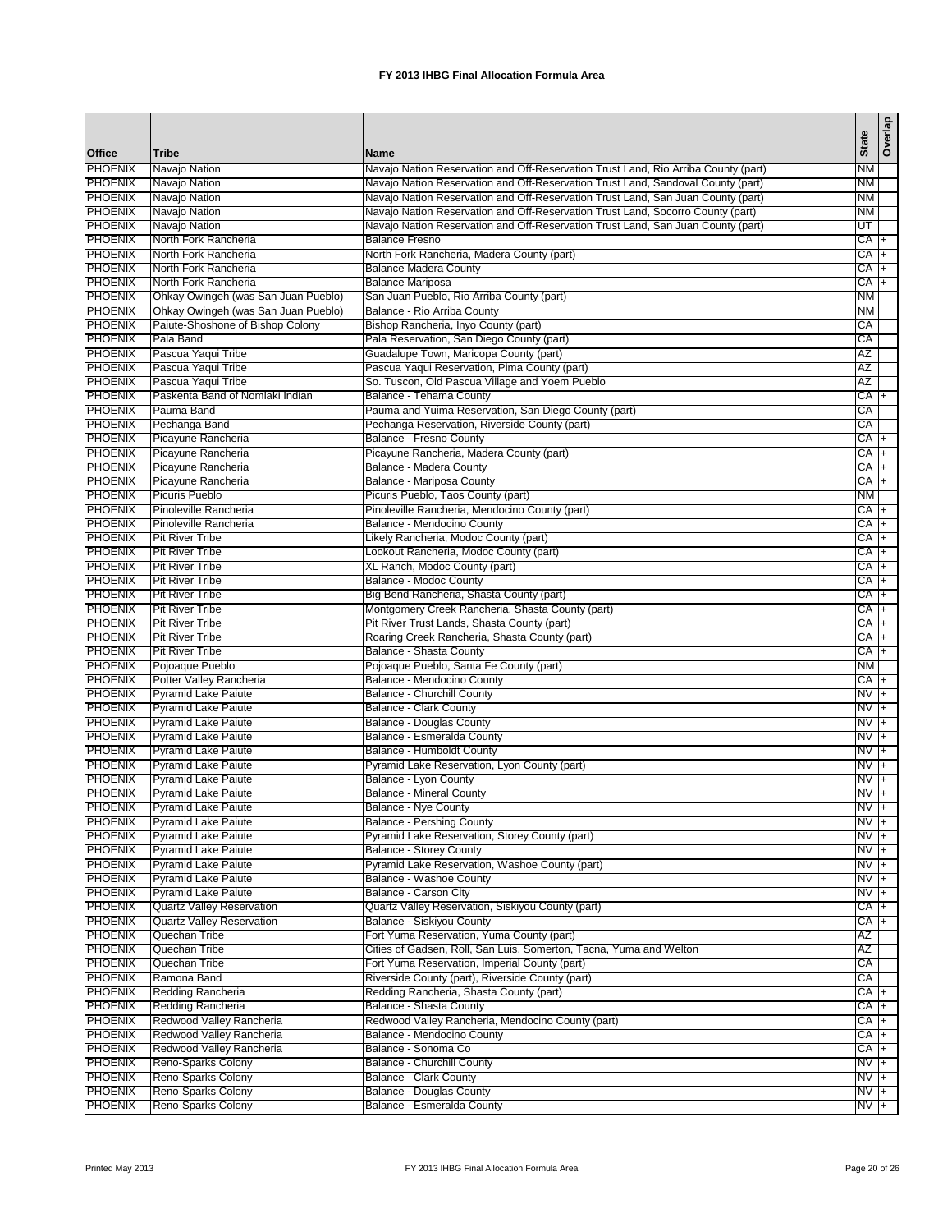|                                  |                                                             |                                                                                    |                   | Overlap        |
|----------------------------------|-------------------------------------------------------------|------------------------------------------------------------------------------------|-------------------|----------------|
| Office                           | <b>Tribe</b>                                                | <b>Name</b>                                                                        | <b>State</b>      |                |
| <b>PHOENIX</b>                   | Navajo Nation                                               | Navajo Nation Reservation and Off-Reservation Trust Land, Rio Arriba County (part) | <b>NM</b>         |                |
| <b>PHOENIX</b>                   | Navajo Nation                                               | Navajo Nation Reservation and Off-Reservation Trust Land, Sandoval County (part)   | <b>NM</b>         |                |
| <b>PHOENIX</b>                   | Navajo Nation                                               | Navajo Nation Reservation and Off-Reservation Trust Land, San Juan County (part)   | NM                |                |
| <b>PHOENIX</b>                   | Navajo Nation                                               | Navajo Nation Reservation and Off-Reservation Trust Land, Socorro County (part)    | NM                |                |
| <b>PHOENIX</b>                   | Navajo Nation                                               | Navajo Nation Reservation and Off-Reservation Trust Land, San Juan County (part)   | UT                |                |
| <b>PHOENIX</b>                   | North Fork Rancheria                                        | <b>Balance Fresno</b>                                                              | $CA +$            |                |
| <b>PHOENIX</b>                   | North Fork Rancheria                                        | North Fork Rancheria, Madera County (part)                                         | CA +              |                |
| <b>PHOENIX</b><br><b>PHOENIX</b> | North Fork Rancheria                                        | <b>Balance Madera County</b><br><b>Balance Mariposa</b>                            | CA +<br>CA +      |                |
| <b>PHOENIX</b>                   | North Fork Rancheria<br>Ohkay Owingeh (was San Juan Pueblo) | San Juan Pueblo, Rio Arriba County (part)                                          | ΝM                |                |
| <b>PHOENIX</b>                   | Ohkay Owingeh (was San Juan Pueblo)                         | Balance - Rio Arriba County                                                        | <b>NM</b>         |                |
| <b>PHOENIX</b>                   | Paiute-Shoshone of Bishop Colony                            | Bishop Rancheria, Inyo County (part)                                               | СA                |                |
| <b>PHOENIX</b>                   | Pala Band                                                   | Pala Reservation, San Diego County (part)                                          | СA                |                |
| <b>PHOENIX</b>                   | Pascua Yaqui Tribe                                          | Guadalupe Town, Maricopa County (part)                                             | ΑZ                |                |
| <b>PHOENIX</b>                   | Pascua Yaqui Tribe                                          | Pascua Yaqui Reservation, Pima County (part)                                       | ΑZ                |                |
| <b>PHOENIX</b>                   | Pascua Yaqui Tribe                                          | So. Tuscon, Old Pascua Village and Yoem Pueblo                                     | AΖ                |                |
| <b>PHOENIX</b>                   | Paskenta Band of Nomlaki Indian                             | Balance - Tehama County                                                            | CA +              |                |
| <b>PHOENIX</b>                   | Pauma Band                                                  | Pauma and Yuima Reservation, San Diego County (part)                               | CA                |                |
| <b>PHOENIX</b>                   | Pechanga Band                                               | Pechanga Reservation, Riverside County (part)                                      | CA                |                |
| <b>PHOENIX</b>                   | Picayune Rancheria                                          | Balance - Fresno County                                                            | $CA +$            |                |
| <b>PHOENIX</b>                   | Picayune Rancheria                                          | Picayune Rancheria, Madera County (part)                                           | СA                | $\overline{+}$ |
| <b>PHOENIX</b>                   | Picayune Rancheria                                          | Balance - Madera County                                                            | CA                | I+             |
| <b>PHOENIX</b>                   | Picayune Rancheria                                          | Balance - Mariposa County                                                          | СA                | $\overline{+}$ |
| PHOENIX                          | <b>Picuris Pueblo</b>                                       | Picuris Pueblo, Taos County (part)                                                 | <b>NM</b>         |                |
| <b>PHOENIX</b>                   | Pinoleville Rancheria                                       | Pinoleville Rancheria, Mendocino County (part)                                     | CA +              |                |
| <b>PHOENIX</b>                   | Pinoleville Rancheria                                       | Balance - Mendocino County                                                         | CA +              |                |
| <b>PHOENIX</b>                   | <b>Pit River Tribe</b>                                      | Likely Rancheria, Modoc County (part)                                              | $CA +$            |                |
| <b>PHOENIX</b><br><b>PHOENIX</b> | <b>Pit River Tribe</b>                                      | Lookout Rancheria, Modoc County (part)                                             | $CA +$            |                |
| <b>PHOENIX</b>                   | <b>Pit River Tribe</b><br><b>Pit River Tribe</b>            | XL Ranch, Modoc County (part)<br>Balance - Modoc County                            | CA +<br>CA +      |                |
| <b>PHOENIX</b>                   | <b>Pit River Tribe</b>                                      | Big Bend Rancheria, Shasta County (part)                                           | $CA +$            |                |
| <b>PHOENIX</b>                   | <b>Pit River Tribe</b>                                      | Montgomery Creek Rancheria, Shasta County (part)                                   | CA  +             |                |
| <b>PHOENIX</b>                   | <b>Pit River Tribe</b>                                      | Pit River Trust Lands, Shasta County (part)                                        | CA +              |                |
| <b>PHOENIX</b>                   | <b>Pit River Tribe</b>                                      | Roaring Creek Rancheria, Shasta County (part)                                      | CA +              |                |
| <b>PHOENIX</b>                   | <b>Pit River Tribe</b>                                      | Balance - Shasta County                                                            | CA I+             |                |
| <b>PHOENIX</b>                   | Pojoaque Pueblo                                             | Pojoaque Pueblo, Santa Fe County (part)                                            | <b>NM</b>         |                |
| <b>PHOENIX</b>                   | Potter Valley Rancheria                                     | Balance - Mendocino County                                                         | CA I+             |                |
| <b>PHOENIX</b>                   | <b>Pyramid Lake Paiute</b>                                  | Balance - Churchill County                                                         | NV                | $\overline{+}$ |
| <b>PHOENIX</b>                   | <b>Pyramid Lake Paiute</b>                                  | <b>Balance - Clark County</b>                                                      | NV                | $ + $          |
| <b>PHOENIX</b>                   | <b>Pyramid Lake Paiute</b>                                  | <b>Balance - Douglas County</b>                                                    | NV                | Ŧ              |
| <b>PHOENIX</b>                   | <b>Pyramid Lake Paiute</b>                                  | Balance - Esmeralda County                                                         | NV                | $+$            |
| <b>PHOENIX</b>                   | <b>Pyramid Lake Paiute</b>                                  | Balance - Humboldt County                                                          | NV                | $+$            |
| <b>PHOENIX</b>                   | <b>Pyramid Lake Paiute</b>                                  | Pyramid Lake Reservation, Lyon County (part)                                       | $NVI +$           |                |
| <b>PHOENIX</b>                   | <b>Pyramid Lake Paiute</b>                                  | Balance - Lyon County                                                              | NV.               | $+$            |
| <b>PHOENIX</b>                   | <b>Pyramid Lake Paiute</b>                                  | <b>Balance - Mineral County</b>                                                    | NV                | ŀ+             |
| <b>PHOENIX</b>                   | <b>Pyramid Lake Paiute</b>                                  | Balance - Nye County                                                               | $NVI +$           |                |
| <b>PHOENIX</b>                   | <b>Pyramid Lake Paiute</b>                                  | <b>Balance - Pershing County</b>                                                   | $NVI +$           |                |
| <b>PHOENIX</b><br><b>PHOENIX</b> | <b>Pyramid Lake Paiute</b><br><b>Pyramid Lake Paiute</b>    | Pyramid Lake Reservation, Storey County (part)<br>Balance - Storey County          | $NV +$<br>$NVI +$ |                |
| <b>PHOENIX</b>                   | <b>Pyramid Lake Paiute</b>                                  | Pyramid Lake Reservation, Washoe County (part)                                     | $NVI +$           |                |
| <b>PHOENIX</b>                   | <b>Pyramid Lake Paiute</b>                                  | Balance - Washoe County                                                            | $N\overline{V}$ + |                |
| <b>PHOENIX</b>                   | <b>Pyramid Lake Paiute</b>                                  | <b>Balance - Carson City</b>                                                       | NV +              |                |
| <b>PHOENIX</b>                   | <b>Quartz Valley Reservation</b>                            | Quartz Valley Reservation, Siskiyou County (part)                                  | CA +              |                |
| <b>PHOENIX</b>                   | <b>Quartz Valley Reservation</b>                            | Balance - Siskiyou County                                                          | CA +              |                |
| <b>PHOENIX</b>                   | Quechan Tribe                                               | Fort Yuma Reservation, Yuma County (part)                                          | AZ                |                |
| <b>PHOENIX</b>                   | Quechan Tribe                                               | Cities of Gadsen, Roll, San Luis, Somerton, Tacna, Yuma and Welton                 | AZ                |                |
| <b>PHOENIX</b>                   | Quechan Tribe                                               | Fort Yuma Reservation, Imperial County (part)                                      | СA                |                |
| <b>PHOENIX</b>                   | Ramona Band                                                 | Riverside County (part), Riverside County (part)                                   | CA                |                |
| <b>PHOENIX</b>                   | Redding Rancheria                                           | Redding Rancheria, Shasta County (part)                                            | CA +              |                |
| <b>PHOENIX</b>                   | Redding Rancheria                                           | <b>Balance - Shasta County</b>                                                     | CA I+             |                |
| <b>PHOENIX</b>                   | Redwood Valley Rancheria                                    | Redwood Valley Rancheria, Mendocino County (part)                                  | CA +              |                |
| <b>PHOENIX</b>                   | Redwood Valley Rancheria                                    | Balance - Mendocino County                                                         | CA +              |                |
| <b>PHOENIX</b>                   | Redwood Valley Rancheria                                    | Balance - Sonoma Co                                                                | CA +              |                |
| <b>PHOENIX</b>                   | Reno-Sparks Colony                                          | <b>Balance - Churchill County</b>                                                  | $NV +$            |                |
| <b>PHOENIX</b>                   | Reno-Sparks Colony                                          | <b>Balance - Clark County</b>                                                      | NV +              |                |
| <b>PHOENIX</b>                   | Reno-Sparks Colony                                          | <b>Balance - Douglas County</b>                                                    | $NVI +$           |                |
| <b>PHOENIX</b>                   | Reno-Sparks Colony                                          | Balance - Esmeralda County                                                         | $NVI +$           |                |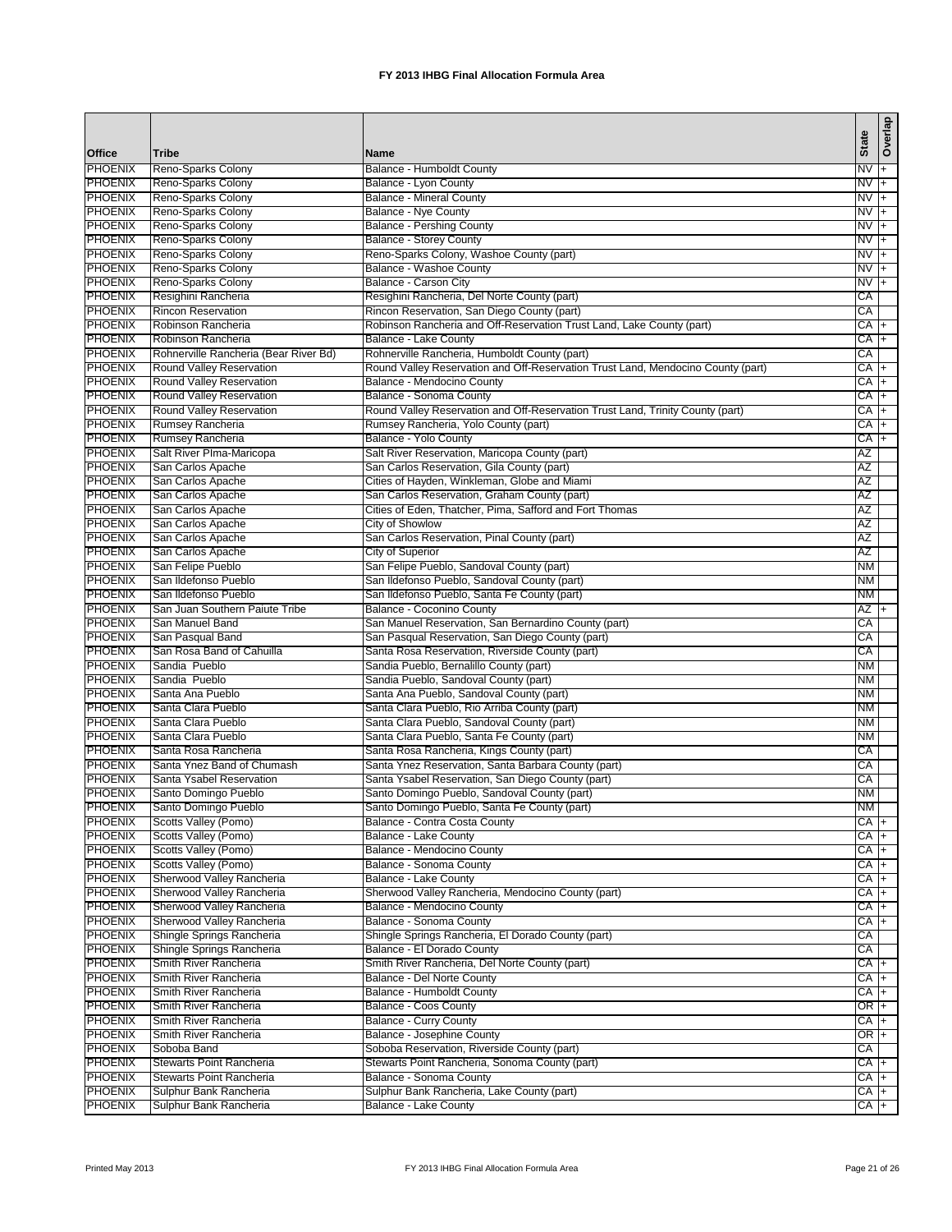|                                  |                                                        |                                                                                                  | <b>State</b>          | Overlap        |
|----------------------------------|--------------------------------------------------------|--------------------------------------------------------------------------------------------------|-----------------------|----------------|
| Office                           | <b>Tribe</b>                                           | <b>Name</b>                                                                                      |                       |                |
| <b>PHOENIX</b>                   | Reno-Sparks Colony                                     | Balance - Humboldt County                                                                        | $NVI +$               |                |
| <b>PHOENIX</b>                   | Reno-Sparks Colony                                     | Balance - Lyon County                                                                            | NV                    | ŀ.             |
| <b>PHOENIX</b><br><b>PHOENIX</b> | Reno-Sparks Colony                                     | <b>Balance - Mineral County</b><br>Balance - Nye County                                          | $NVI +$               |                |
| <b>PHOENIX</b>                   | Reno-Sparks Colony<br>Reno-Sparks Colony               | <b>Balance - Pershing County</b>                                                                 | NV +<br>$\frac{1}{2}$ |                |
| <b>PHOENIX</b>                   | Reno-Sparks Colony                                     | <b>Balance - Storey County</b>                                                                   | NV                    | $ + $          |
| <b>PHOENIX</b>                   | Reno-Sparks Colony                                     | Reno-Sparks Colony, Washoe County (part)                                                         | NV +                  |                |
| <b>PHOENIX</b>                   | Reno-Sparks Colony                                     | Balance - Washoe County                                                                          | NV                    | l+             |
| <b>PHOENIX</b>                   | Reno-Sparks Colony                                     | Balance - Carson City                                                                            | NV +                  |                |
| <b>PHOENIX</b>                   | Resighini Rancheria                                    | Resighini Rancheria, Del Norte County (part)                                                     | СA                    |                |
| <b>PHOENIX</b>                   | <b>Rincon Reservation</b>                              | Rincon Reservation, San Diego County (part)                                                      | CA                    |                |
| <b>PHOENIX</b>                   | Robinson Rancheria                                     | Robinson Rancheria and Off-Reservation Trust Land, Lake County (part)                            | CA +                  |                |
| <b>PHOENIX</b>                   | Robinson Rancheria                                     | Balance - Lake County                                                                            | CA +                  |                |
| <b>PHOENIX</b>                   | Rohnerville Rancheria (Bear River Bd)                  | Rohnerville Rancheria, Humboldt County (part)                                                    | CA                    |                |
| <b>PHOENIX</b>                   | Round Valley Reservation                               | Round Valley Reservation and Off-Reservation Trust Land, Mendocino County (part)                 | СA                    | $+$            |
| <b>PHOENIX</b><br><b>PHOENIX</b> | Round Valley Reservation<br>Round Valley Reservation   | Balance - Mendocino County<br>Balance - Sonoma County                                            | $CA +$<br>CA +        |                |
| <b>PHOENIX</b>                   | Round Valley Reservation                               | Round Valley Reservation and Off-Reservation Trust Land, Trinity County (part)                   | CA                    | I+             |
| <b>PHOENIX</b>                   | Rumsey Rancheria                                       | Rumsey Rancheria, Yolo County (part)                                                             | СA                    | $\overline{+}$ |
| <b>PHOENIX</b>                   | Rumsey Rancheria                                       | Balance - Yolo County                                                                            | СA                    | $\overline{+}$ |
| <b>PHOENIX</b>                   | Salt River Plma-Maricopa                               | Salt River Reservation, Maricopa County (part)                                                   | AZ                    |                |
| <b>PHOENIX</b>                   | San Carlos Apache                                      | San Carlos Reservation, Gila County (part)                                                       | AZ                    |                |
| <b>PHOENIX</b>                   | San Carlos Apache                                      | Cities of Hayden, Winkleman, Globe and Miami                                                     | ΑZ                    |                |
| <b>PHOENIX</b>                   | San Carlos Apache                                      | San Carlos Reservation, Graham County (part)                                                     | ΑZ                    |                |
| <b>PHOENIX</b>                   | San Carlos Apache                                      | Cities of Eden, Thatcher, Pima, Safford and Fort Thomas                                          | ΑZ                    |                |
| <b>PHOENIX</b>                   | San Carlos Apache                                      | City of Showlow                                                                                  | AZ                    |                |
| <b>PHOENIX</b>                   | San Carlos Apache                                      | San Carlos Reservation, Pinal County (part)                                                      | <b>AZ</b>             |                |
| <b>PHOENIX</b>                   | San Carlos Apache                                      | City of Superior                                                                                 | AΖ                    |                |
| <b>PHOENIX</b><br><b>PHOENIX</b> | San Felipe Pueblo                                      | San Felipe Pueblo, Sandoval County (part)                                                        | NM                    |                |
| <b>PHOENIX</b>                   | San Ildefonso Pueblo<br>San Ildefonso Pueblo           | San Ildefonso Pueblo, Sandoval County (part)<br>San Ildefonso Pueblo, Santa Fe County (part)     | NM<br>ΝM              |                |
| <b>PHOENIX</b>                   | San Juan Southern Paiute Tribe                         | Balance - Coconino County                                                                        | AZ +                  |                |
| <b>PHOENIX</b>                   | San Manuel Band                                        | San Manuel Reservation, San Bernardino County (part)                                             | СA                    |                |
| <b>PHOENIX</b>                   | San Pasqual Band                                       | San Pasqual Reservation, San Diego County (part)                                                 | CA                    |                |
| <b>PHOENIX</b>                   | San Rosa Band of Cahuilla                              | Santa Rosa Reservation, Riverside County (part)                                                  | CA                    |                |
| <b>PHOENIX</b>                   | Sandia Pueblo                                          | Sandia Pueblo, Bernalillo County (part)                                                          | <b>NM</b>             |                |
| <b>PHOENIX</b>                   | Sandia Pueblo                                          | Sandia Pueblo, Sandoval County (part)                                                            | ΝM                    |                |
| <b>PHOENIX</b>                   | Santa Ana Pueblo                                       | Santa Ana Pueblo, Sandoval County (part)                                                         | <b>NM</b>             |                |
| <b>PHOENIX</b>                   | Santa Clara Pueblo                                     | Santa Clara Pueblo, Rio Arriba County (part)                                                     | <b>NM</b>             |                |
| <b>PHOENIX</b>                   | Santa Clara Pueblo                                     | Santa Clara Pueblo, Sandoval County (part)                                                       | NM                    |                |
| <b>PHOENIX</b>                   | Santa Clara Pueblo                                     | Santa Clara Pueblo, Santa Fe County (part)                                                       | NM                    |                |
| <b>PHOENIX</b><br><b>PHOENIX</b> | Santa Rosa Rancheria<br>Santa Ynez Band of Chumash     | Santa Rosa Rancheria, Kings County (part)<br>Santa Ynez Reservation, Santa Barbara County (part) | СA                    |                |
| <b>PHOENIX</b>                   | Santa Ysabel Reservation                               | Santa Ysabel Reservation, San Diego County (part)                                                | СA<br>СA              |                |
| <b>PHOENIX</b>                   | Santo Domingo Pueblo                                   | Santo Domingo Pueblo, Sandoval County (part)                                                     | <b>NM</b>             |                |
| <b>PHOENIX</b>                   | Santo Domingo Pueblo                                   | Santo Domingo Pueblo, Santa Fe County (part)                                                     | <b>NM</b>             |                |
| <b>PHOENIX</b>                   | Scotts Valley (Pomo)                                   | Balance - Contra Costa County                                                                    | $CA +$                |                |
| <b>PHOENIX</b>                   | Scotts Valley (Pomo)                                   | Balance - Lake County                                                                            | $CA +$                |                |
| <b>PHOENIX</b>                   | Scotts Valley (Pomo)                                   | Balance - Mendocino County                                                                       | CA +                  |                |
| <b>PHOENIX</b>                   | Scotts Valley (Pomo)                                   | Balance - Sonoma County                                                                          | CA +                  |                |
| <b>PHOENIX</b>                   | Sherwood Valley Rancheria                              | Balance - Lake County                                                                            | $CA +$                |                |
| <b>PHOENIX</b>                   | Sherwood Valley Rancheria                              | Sherwood Valley Rancheria, Mendocino County (part)                                               | $CA +$                |                |
| <b>PHOENIX</b>                   | Sherwood Valley Rancheria                              | Balance - Mendocino County                                                                       | CA +                  |                |
| <b>PHOENIX</b><br><b>PHOENIX</b> | Sherwood Valley Rancheria                              | Balance - Sonoma County                                                                          | CA +                  |                |
| <b>PHOENIX</b>                   | Shingle Springs Rancheria<br>Shingle Springs Rancheria | Shingle Springs Rancheria, El Dorado County (part)<br>Balance - El Dorado County                 | CA<br>CA              |                |
| <b>PHOENIX</b>                   | Smith River Rancheria                                  | Smith River Rancheria, Del Norte County (part)                                                   | $CA +$                |                |
| <b>PHOENIX</b>                   | Smith River Rancheria                                  | Balance - Del Norte County                                                                       | CA +                  |                |
| <b>PHOENIX</b>                   | Smith River Rancheria                                  | Balance - Humboldt County                                                                        | CA  +                 |                |
| <b>PHOENIX</b>                   | Smith River Rancheria                                  | Balance - Coos County                                                                            | OR I+                 |                |
| <b>PHOENIX</b>                   | Smith River Rancheria                                  | <b>Balance - Curry County</b>                                                                    | CA +                  |                |
| <b>PHOENIX</b>                   | Smith River Rancheria                                  | Balance - Josephine County                                                                       | OR +                  |                |
| <b>PHOENIX</b>                   | Soboba Band                                            | Soboba Reservation, Riverside County (part)                                                      | СA                    |                |
| <b>PHOENIX</b>                   | Stewarts Point Rancheria                               | Stewarts Point Rancheria, Sonoma County (part)                                                   | $CA +$                |                |
| <b>PHOENIX</b>                   | Stewarts Point Rancheria                               | Balance - Sonoma County                                                                          | CA +                  |                |
| <b>PHOENIX</b>                   | Sulphur Bank Rancheria                                 | Sulphur Bank Rancheria, Lake County (part)                                                       | CA +                  |                |
| <b>PHOENIX</b>                   | Sulphur Bank Rancheria                                 | <b>Balance - Lake County</b>                                                                     | $CA +$                |                |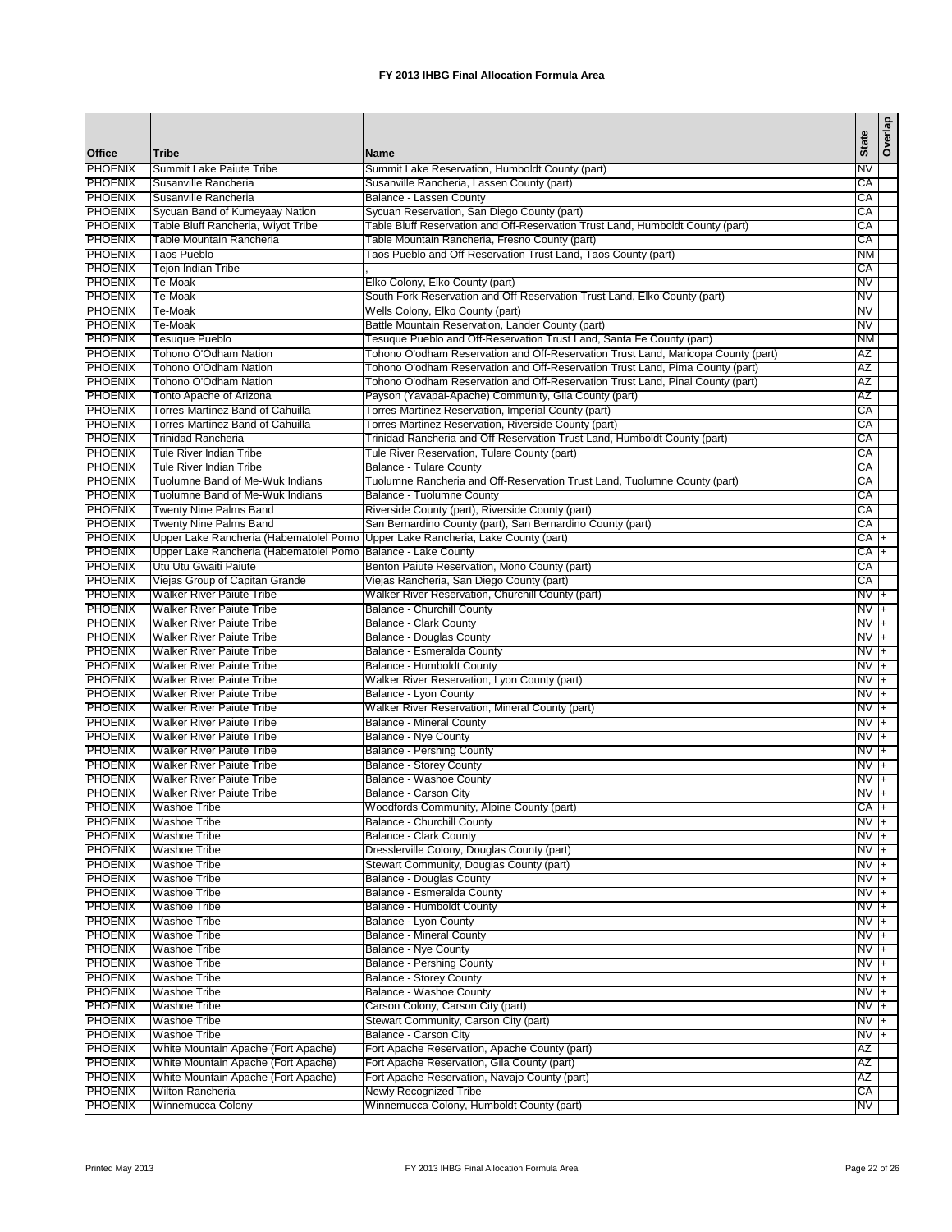| Office                           | <b>Tribe</b>                                                         | <b>Name</b>                                                                                                                       | <b>State</b>      | Overlap        |
|----------------------------------|----------------------------------------------------------------------|-----------------------------------------------------------------------------------------------------------------------------------|-------------------|----------------|
| <b>PHOENIX</b>                   | Summit Lake Paiute Tribe                                             | Summit Lake Reservation, Humboldt County (part)                                                                                   | NV                |                |
| <b>PHOENIX</b>                   | Susanville Rancheria                                                 | Susanville Rancheria, Lassen County (part)                                                                                        | CA                |                |
| <b>PHOENIX</b>                   | Susanville Rancheria                                                 | Balance - Lassen County                                                                                                           | CA                |                |
| <b>PHOENIX</b>                   | Sycuan Band of Kumeyaay Nation                                       | Sycuan Reservation, San Diego County (part)                                                                                       | CA                |                |
| <b>PHOENIX</b>                   | Table Bluff Rancheria, Wiyot Tribe                                   | Table Bluff Reservation and Off-Reservation Trust Land, Humboldt County (part)                                                    | CA                |                |
| <b>PHOENIX</b>                   | Table Mountain Rancheria                                             | Table Mountain Rancheria, Fresno County (part)                                                                                    | CA                |                |
| <b>PHOENIX</b>                   | <b>Taos Pueblo</b>                                                   | Taos Pueblo and Off-Reservation Trust Land, Taos County (part)                                                                    | NΜ                |                |
| <b>PHOENIX</b>                   | <b>Tejon Indian Tribe</b>                                            |                                                                                                                                   | CA                |                |
| <b>PHOENIX</b>                   | Te-Moak                                                              | Elko Colony, Elko County (part)                                                                                                   | NV                |                |
| <b>PHOENIX</b>                   | Te-Moak                                                              | South Fork Reservation and Off-Reservation Trust Land, Elko County (part)                                                         | NV                |                |
| <b>PHOENIX</b>                   | Te-Moak                                                              | Wells Colony, Elko County (part)                                                                                                  | NV                |                |
| <b>PHOENIX</b>                   | Te-Moak                                                              | Battle Mountain Reservation, Lander County (part)                                                                                 | NV                |                |
| <b>PHOENIX</b>                   | <b>Tesuque Pueblo</b>                                                | Tesuque Pueblo and Off-Reservation Trust Land, Santa Fe County (part)                                                             | <b>NM</b>         |                |
| <b>PHOENIX</b>                   | Tohono O'Odham Nation                                                | Tohono O'odham Reservation and Off-Reservation Trust Land, Maricopa County (part)                                                 | AZ                |                |
| <b>PHOENIX</b>                   | Tohono O'Odham Nation                                                | Tohono O'odham Reservation and Off-Reservation Trust Land, Pima County (part)                                                     | <b>AZ</b>         |                |
| <b>PHOENIX</b>                   | Tohono O'Odham Nation                                                | Tohono O'odham Reservation and Off-Reservation Trust Land, Pinal County (part)                                                    | ΑZ                |                |
| <b>PHOENIX</b>                   | Tonto Apache of Arizona                                              | Payson (Yavapai-Apache) Community, Gila County (part)                                                                             | AΖ                |                |
| <b>PHOENIX</b><br><b>PHOENIX</b> | Torres-Martinez Band of Cahuilla<br>Torres-Martinez Band of Cahuilla | Torres-Martinez Reservation, Imperial County (part)                                                                               | CA<br>СA          |                |
| <b>PHOENIX</b>                   | <b>Trinidad Rancheria</b>                                            | Torres-Martinez Reservation, Riverside County (part)<br>Trinidad Rancheria and Off-Reservation Trust Land, Humboldt County (part) | CA                |                |
| <b>PHOENIX</b>                   | Tule River Indian Tribe                                              | Tule River Reservation, Tulare County (part)                                                                                      | CA                |                |
| <b>PHOENIX</b>                   | Tule River Indian Tribe                                              | <b>Balance - Tulare County</b>                                                                                                    | СA                |                |
| <b>PHOENIX</b>                   | Tuolumne Band of Me-Wuk Indians                                      | Tuolumne Rancheria and Off-Reservation Trust Land, Tuolumne County (part)                                                         | CA                |                |
| <b>PHOENIX</b>                   | Tuolumne Band of Me-Wuk Indians                                      | Balance - Tuolumne County                                                                                                         | СA                |                |
| <b>PHOENIX</b>                   | <b>Twenty Nine Palms Band</b>                                        | Riverside County (part), Riverside County (part)                                                                                  | CA                |                |
| <b>PHOENIX</b>                   | <b>Twenty Nine Palms Band</b>                                        | San Bernardino County (part), San Bernardino County (part)                                                                        | CA                |                |
| <b>PHOENIX</b>                   | Upper Lake Rancheria (Habematolel Pomo                               | Upper Lake Rancheria, Lake County (part)                                                                                          | СA                | $\overline{+}$ |
| <b>PHOENIX</b>                   | Upper Lake Rancheria (Habematolel Pomo                               | Balance - Lake County                                                                                                             | CA +              |                |
| <b>PHOENIX</b>                   | Utu Utu Gwaiti Paiute                                                | Benton Paiute Reservation, Mono County (part)                                                                                     | CA                |                |
| <b>PHOENIX</b>                   | Viejas Group of Capitan Grande                                       | Viejas Rancheria, San Diego County (part)                                                                                         | CA                |                |
| <b>PHOENIX</b>                   | <b>Walker River Paiute Tribe</b>                                     | Walker River Reservation, Churchill County (part)                                                                                 | $NVI +$           |                |
| <b>PHOENIX</b>                   | <b>Walker River Paiute Tribe</b>                                     | Balance - Churchill County                                                                                                        | NV +              |                |
| <b>PHOENIX</b>                   | <b>Walker River Paiute Tribe</b>                                     | <b>Balance - Clark County</b>                                                                                                     | $NVI +$           |                |
| <b>PHOENIX</b>                   | <b>Walker River Paiute Tribe</b>                                     | <b>Balance - Douglas County</b>                                                                                                   | $NVI +$           |                |
| <b>PHOENIX</b>                   | <b>Walker River Paiute Tribe</b>                                     | Balance - Esmeralda County                                                                                                        | N <sub>V</sub>    |                |
| <b>PHOENIX</b>                   | <b>Walker River Paiute Tribe</b>                                     | Balance - Humboldt County                                                                                                         | $NVI +$           |                |
| <b>PHOENIX</b>                   | <b>Walker River Paiute Tribe</b>                                     | Walker River Reservation, Lyon County (part)                                                                                      | NV                | ŀ+             |
| <b>PHOENIX</b>                   | <b>Walker River Paiute Tribe</b>                                     | Balance - Lyon County                                                                                                             | NV                | l+             |
| <b>PHOENIX</b>                   | <b>Walker River Paiute Tribe</b>                                     | Walker River Reservation, Mineral County (part)                                                                                   | NV                | $+$            |
| <b>PHOENIX</b>                   | <b>Walker River Paiute Tribe</b>                                     | <b>Balance - Mineral County</b>                                                                                                   | NV                | T+             |
| <b>PHOENIX</b>                   | <b>Walker River Paiute Tribe</b>                                     | <b>Balance - Nye County</b>                                                                                                       | NV                | $ + $          |
| <b>PHOENIX</b>                   | <b>Walker River Paiute Tribe</b>                                     | <b>Balance - Pershing County</b>                                                                                                  | NV                | l+             |
| <b>PHOENIX</b><br><b>PHOENIX</b> | <b>Walker River Paiute Tribe</b>                                     | <b>Balance - Storey County</b>                                                                                                    | NV                | l+             |
| <b>PHOENIX</b>                   | <b>Walker River Paiute Tribe</b><br><b>Walker River Paiute Tribe</b> | Balance - Washoe County                                                                                                           | NV                | $+$            |
| PHOENIX                          |                                                                      | Balance - Carson City                                                                                                             | NV                | $+$            |
| <b>PHOENIX</b>                   | <b>Washoe Tribe</b><br><b>Washoe Tribe</b>                           | Woodfords Community, Alpine County (part)<br><b>Balance - Churchill County</b>                                                    | $CA +$<br>$NVI +$ |                |
| <b>PHOENIX</b>                   | <b>Washoe Tribe</b>                                                  | Balance - Clark County                                                                                                            | $NVI +$           |                |
| <b>PHOENIX</b>                   | <b>Washoe Tribe</b>                                                  | Dresslerville Colony, Douglas County (part)                                                                                       | $NVI +$           |                |
| <b>PHOENIX</b>                   | <b>Washoe Tribe</b>                                                  | Stewart Community, Douglas County (part)                                                                                          | $NVI +$           |                |
| <b>PHOENIX</b>                   | <b>Washoe Tribe</b>                                                  | Balance - Douglas County                                                                                                          | $N\bar{V}$ +      |                |
| <b>PHOENIX</b>                   | <b>Washoe Tribe</b>                                                  | Balance - Esmeralda County                                                                                                        | $NVI +$           |                |
| <b>PHOENIX</b>                   | <b>Washoe Tribe</b>                                                  | Balance - Humboldt County                                                                                                         | $NVI +$           |                |
| <b>PHOENIX</b>                   | <b>Washoe Tribe</b>                                                  | Balance - Lyon County                                                                                                             | $NV +$            |                |
| <b>PHOENIX</b>                   | <b>Washoe Tribe</b>                                                  | <b>Balance - Mineral County</b>                                                                                                   | $NVI +$           |                |
| <b>PHOENIX</b>                   | <b>Washoe Tribe</b>                                                  | <b>Balance - Nye County</b>                                                                                                       | $NVI +$           |                |
| <b>PHOENIX</b>                   | <b>Washoe Tribe</b>                                                  | <b>Balance - Pershing County</b>                                                                                                  | $NVI +$           |                |
| <b>PHOENIX</b>                   | <b>Washoe Tribe</b>                                                  | <b>Balance - Storey County</b>                                                                                                    | $NVI +$           |                |
| <b>PHOENIX</b>                   | <b>Washoe Tribe</b>                                                  | Balance - Washoe County                                                                                                           | $NVI +$           |                |
| <b>PHOENIX</b>                   | <b>Washoe Tribe</b>                                                  | Carson Colony, Carson City (part)                                                                                                 | $NVI +$           |                |
| <b>PHOENIX</b>                   | <b>Washoe Tribe</b>                                                  | Stewart Community, Carson City (part)                                                                                             | $NV +$            |                |
| <b>PHOENIX</b>                   | <b>Washoe Tribe</b>                                                  | Balance - Carson City                                                                                                             | NV +              |                |
| <b>PHOENIX</b>                   | White Mountain Apache (Fort Apache)                                  | Fort Apache Reservation, Apache County (part)                                                                                     | ΑZ                |                |
| <b>PHOENIX</b>                   | White Mountain Apache (Fort Apache)                                  | Fort Apache Reservation, Gila County (part)                                                                                       | ΑZ                |                |
| <b>PHOENIX</b>                   | White Mountain Apache (Fort Apache)                                  | Fort Apache Reservation, Navajo County (part)                                                                                     | AΖ                |                |
| <b>PHOENIX</b>                   | Wilton Rancheria                                                     | <b>Newly Recognized Tribe</b>                                                                                                     | CA                |                |
| <b>PHOENIX</b>                   | Winnemucca Colony                                                    | Winnemucca Colony, Humboldt County (part)                                                                                         | NV                |                |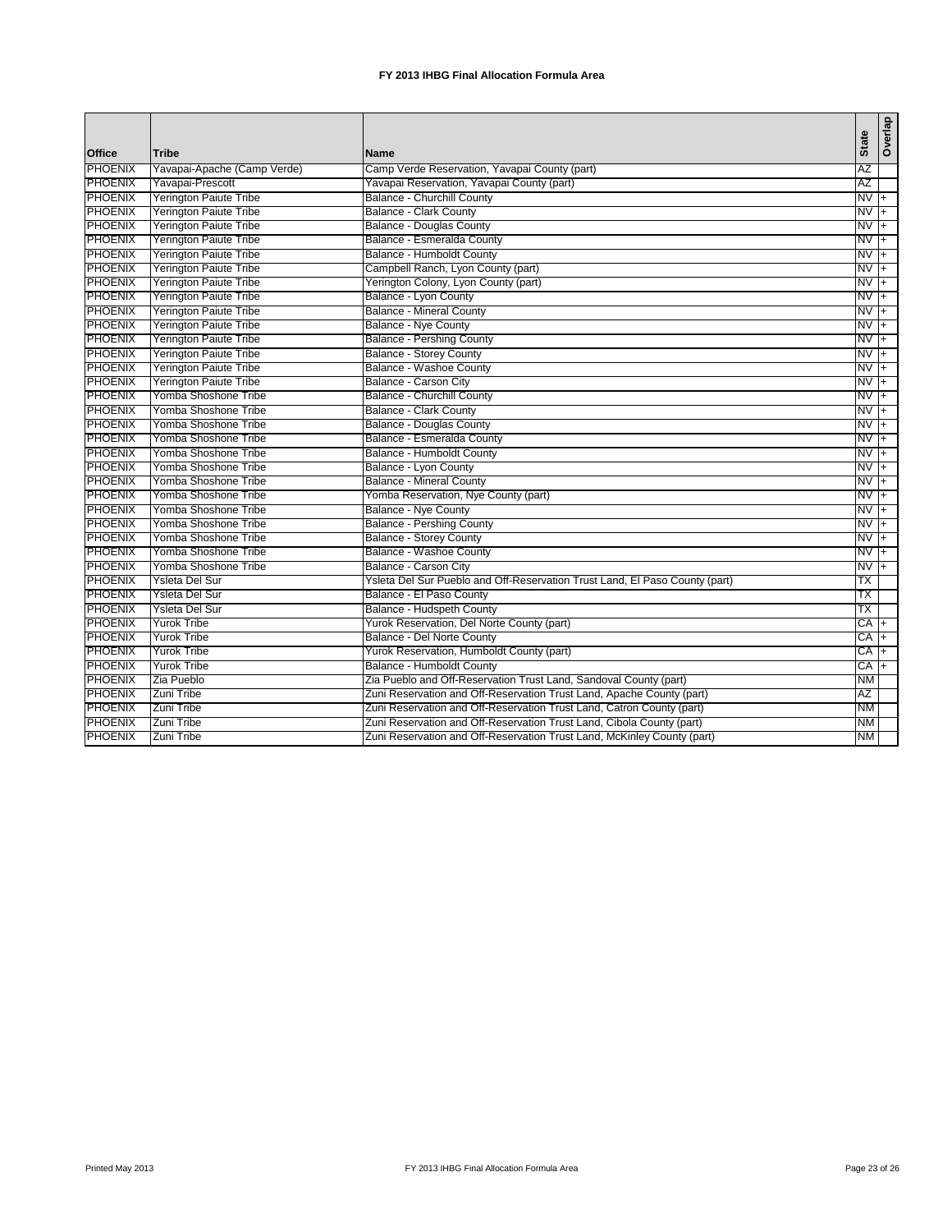|                |                               |                                                                             | <b>State</b> |           | Overlap        |
|----------------|-------------------------------|-----------------------------------------------------------------------------|--------------|-----------|----------------|
| Office         | Tribe                         | <b>Name</b>                                                                 |              |           |                |
| <b>PHOENIX</b> | Yavapai-Apache (Camp Verde)   | Camp Verde Reservation, Yavapai County (part)                               | AZ           |           |                |
| <b>PHOENIX</b> | Yavapai-Prescott              | Yavapai Reservation, Yavapai County (part)                                  | AZ           |           |                |
| <b>PHOENIX</b> | Yerington Paiute Tribe        | <b>Balance - Churchill County</b>                                           |              | $NVI +$   |                |
| <b>PHOENIX</b> | <b>Yerington Paiute Tribe</b> | <b>Balance - Clark County</b>                                               |              | NV        | $+$            |
| <b>PHOENIX</b> | <b>Yerington Paiute Tribe</b> | <b>Balance - Douglas County</b>                                             | NV           |           |                |
| <b>PHOENIX</b> | <b>Yerington Paiute Tribe</b> | Balance - Esmeralda County                                                  |              | NV        | $+$            |
| <b>PHOENIX</b> | <b>Yerington Paiute Tribe</b> | Balance - Humboldt County                                                   | NV           |           | $\overline{+}$ |
| PHOENIX        | <b>Yerington Paiute Tribe</b> | Campbell Ranch, Lyon County (part)                                          | NV           |           | $\ddot{}$      |
| <b>PHOENIX</b> | <b>Yerington Paiute Tribe</b> | Yerington Colony, Lyon County (part)                                        |              | NV        | $\ddot{}$      |
| <b>PHOENIX</b> | <b>Yerington Paiute Tribe</b> | <b>Balance - Lyon County</b>                                                | NV           |           | $\overline{+}$ |
| <b>PHOENIX</b> | <b>Yerington Paiute Tribe</b> | <b>Balance - Mineral County</b>                                             | NV           |           |                |
| <b>PHOENIX</b> | <b>Yerington Paiute Tribe</b> | <b>Balance - Nye County</b>                                                 |              | NV        | $+$            |
| <b>PHOENIX</b> | <b>Yerington Paiute Tribe</b> | <b>Balance - Pershing County</b>                                            | NV           |           | $\overline{+}$ |
| <b>PHOENIX</b> | <b>Yerington Paiute Tribe</b> | <b>Balance - Storey County</b>                                              | NV           |           |                |
| <b>PHOENIX</b> | <b>Yerington Paiute Tribe</b> | <b>Balance - Washoe County</b>                                              | NV           |           | $\ddot{}$      |
| <b>PHOENIX</b> | <b>Yerington Paiute Tribe</b> | Balance - Carson City                                                       | NV           |           | $\overline{+}$ |
| <b>PHOENIX</b> | Yomba Shoshone Tribe          | Balance - Churchill County                                                  | NV           |           | $+$            |
| <b>PHOENIX</b> | Yomba Shoshone Tribe          | <b>Balance - Clark County</b>                                               | NV           |           | $\ddot{}$      |
| <b>PHOENIX</b> | Yomba Shoshone Tribe          | <b>Balance - Douglas County</b>                                             | NV           |           | $\overline{+}$ |
| PHOENIX        | Yomba Shoshone Tribe          | Balance - Esmeralda County                                                  | NV           |           |                |
| <b>PHOENIX</b> | Yomba Shoshone Tribe          | Balance - Humboldt County                                                   | NV           |           | $+$            |
| <b>PHOENIX</b> | Yomba Shoshone Tribe          | <b>Balance - Lyon County</b>                                                | NV           |           | $\overline{+}$ |
| <b>PHOENIX</b> | Yomba Shoshone Tribe          | <b>Balance - Mineral County</b>                                             | NV           |           | $+$            |
| <b>PHOENIX</b> | Yomba Shoshone Tribe          | Yomba Reservation, Nye County (part)                                        | NV           |           | $\ddot{}$      |
| <b>PHOENIX</b> | Yomba Shoshone Tribe          | <b>Balance - Nye County</b>                                                 | NV           |           | $\overline{+}$ |
| <b>PHOENIX</b> | Yomba Shoshone Tribe          | <b>Balance - Pershing County</b>                                            | NV           |           | $+$            |
| <b>PHOENIX</b> | Yomba Shoshone Tribe          | <b>Balance - Storey County</b>                                              | NV           |           | $\ddot{}$      |
| <b>PHOENIX</b> | Yomba Shoshone Tribe          | Balance - Washoe County                                                     | NV           |           | $\overline{+}$ |
| <b>PHOENIX</b> | Yomba Shoshone Tribe          | Balance - Carson City                                                       | NV           |           | $+$            |
| <b>PHOENIX</b> | Ysleta Del Sur                | Ysleta Del Sur Pueblo and Off-Reservation Trust Land, El Paso County (part) | ТX           |           |                |
| <b>PHOENIX</b> | Ysleta Del Sur                | Balance - El Paso County                                                    | ТX           |           |                |
| <b>PHOENIX</b> | Ysleta Del Sur                | <b>Balance - Hudspeth County</b>                                            | ТX           |           |                |
| <b>PHOENIX</b> | <b>Yurok Tribe</b>            | Yurok Reservation, Del Norte County (part)                                  |              | CA        | $+$            |
| <b>PHOENIX</b> | Yurok Tribe                   | Balance - Del Norte County                                                  |              | CA        | $+$            |
| <b>PHOENIX</b> | Yurok Tribe                   | Yurok Reservation, Humboldt County (part)                                   | СA           |           | $\overline{+}$ |
| <b>PHOENIX</b> | <b>Yurok Tribe</b>            | Balance - Humboldt County                                                   | СA           |           |                |
| <b>PHOENIX</b> | Zia Pueblo                    | Zia Pueblo and Off-Reservation Trust Land, Sandoval County (part)           |              | ΝM        |                |
| <b>PHOENIX</b> | Zuni Tribe                    | Zuni Reservation and Off-Reservation Trust Land, Apache County (part)       | ΑZ           |           |                |
| <b>PHOENIX</b> | Zuni Tribe                    | Zuni Reservation and Off-Reservation Trust Land, Catron County (part)       |              | <b>NM</b> |                |
| <b>PHOENIX</b> | Zuni Tribe                    | Zuni Reservation and Off-Reservation Trust Land, Cibola County (part)       |              | ΝM        |                |
| <b>PHOENIX</b> | Zuni Tribe                    | Zuni Reservation and Off-Reservation Trust Land, McKinley County (part)     |              | NΜ        |                |
|                |                               |                                                                             |              |           |                |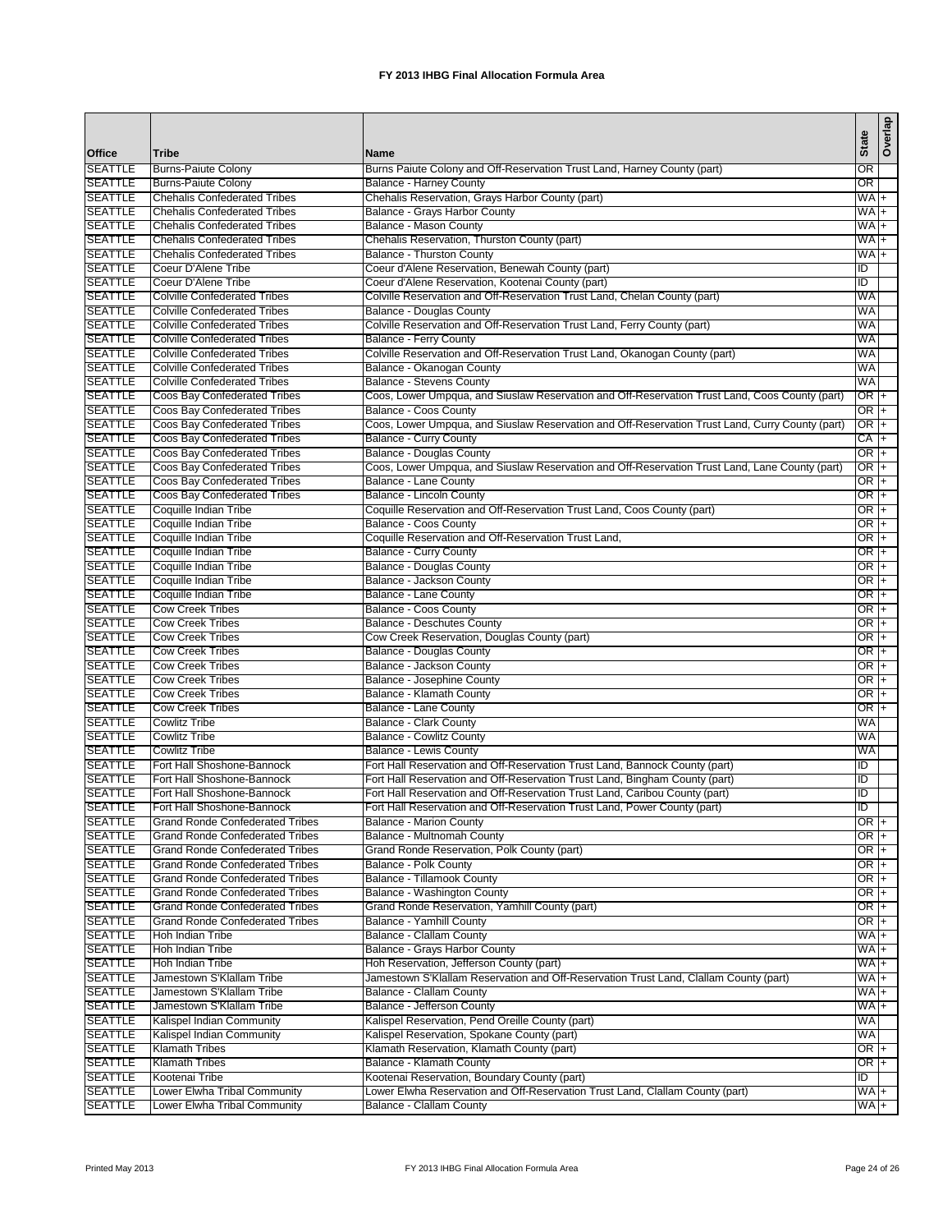|                                  |                                                                                  |                                                                                                                         | <b>State</b>    | Overlap   |
|----------------------------------|----------------------------------------------------------------------------------|-------------------------------------------------------------------------------------------------------------------------|-----------------|-----------|
| Office                           | Tribe                                                                            | Name                                                                                                                    |                 |           |
| <b>SEATTLE</b>                   | <b>Burns-Paiute Colony</b>                                                       | Burns Paiute Colony and Off-Reservation Trust Land, Harney County (part)                                                | OR              |           |
| <b>SEATTLE</b><br><b>SEATTLE</b> | <b>Burns-Paiute Colony</b><br><b>Chehalis Confederated Tribes</b>                | <b>Balance - Harney County</b><br>Chehalis Reservation, Grays Harbor County (part)                                      | OR<br>WA        |           |
| <b>SEATTLE</b>                   | <b>Chehalis Confederated Tribes</b>                                              | Balance - Grays Harbor County                                                                                           | WA              | $\ddot{}$ |
| <b>SEATTLE</b>                   | <b>Chehalis Confederated Tribes</b>                                              | Balance - Mason County                                                                                                  | WA              | $\ddot{}$ |
| <b>SEATTLE</b>                   | <b>Chehalis Confederated Tribes</b>                                              | Chehalis Reservation, Thurston County (part)                                                                            | WA +            |           |
| <b>SEATTLE</b>                   | <b>Chehalis Confederated Tribes</b>                                              | <b>Balance - Thurston County</b>                                                                                        | WA +            |           |
| <b>SEATTLE</b>                   | Coeur D'Alene Tribe                                                              | Coeur d'Alene Reservation, Benewah County (part)                                                                        | ID              |           |
| <b>SEATTLE</b>                   | Coeur D'Alene Tribe                                                              | Coeur d'Alene Reservation, Kootenai County (part)                                                                       | ID              |           |
| <b>SEATTLE</b>                   | <b>Colville Confederated Tribes</b>                                              | Colville Reservation and Off-Reservation Trust Land, Chelan County (part)                                               | WA              |           |
| <b>SEATTLE</b>                   | <b>Colville Confederated Tribes</b>                                              | Balance - Douglas County                                                                                                | WA              |           |
| <b>SEATTLE</b><br><b>SEATTLE</b> | <b>Colville Confederated Tribes</b><br><b>Colville Confederated Tribes</b>       | Colville Reservation and Off-Reservation Trust Land, Ferry County (part)<br>Balance - Ferry County                      | WA<br>WA        |           |
| <b>SEATTLE</b>                   | <b>Colville Confederated Tribes</b>                                              | Colville Reservation and Off-Reservation Trust Land, Okanogan County (part)                                             | WA              |           |
| <b>SEATTLE</b>                   | <b>Colville Confederated Tribes</b>                                              | Balance - Okanogan County                                                                                               | <b>WA</b>       |           |
| <b>SEATTLE</b>                   | <b>Colville Confederated Tribes</b>                                              | <b>Balance - Stevens County</b>                                                                                         | WA              |           |
| <b>SEATTLE</b>                   | Coos Bay Confederated Tribes                                                     | Coos, Lower Umpqua, and Siuslaw Reservation and Off-Reservation Trust Land, Coos County (part)                          | OR              |           |
| <b>SEATTLE</b>                   | Coos Bay Confederated Tribes                                                     | Balance - Coos County                                                                                                   | OR              |           |
| <b>SEATTLE</b>                   | Coos Bay Confederated Tribes                                                     | Coos, Lower Umpqua, and Siuslaw Reservation and Off-Reservation Trust Land, Curry County (part)                         | OR I            | $+$       |
| <b>SEATTLE</b>                   | Coos Bay Confederated Tribes                                                     | <b>Balance - Curry County</b>                                                                                           | CA +            |           |
| <b>SEATTLE</b>                   | Coos Bay Confederated Tribes                                                     | <b>Balance - Douglas County</b>                                                                                         | $OR +$          |           |
| <b>SEATTLE</b><br><b>SEATTLE</b> | Coos Bay Confederated Tribes<br>Coos Bay Confederated Tribes                     | Coos, Lower Umpqua, and Siuslaw Reservation and Off-Reservation Trust Land, Lane County (part)<br>Balance - Lane County | $OR +$<br>OR I+ |           |
| <b>SEATTLE</b>                   | Coos Bay Confederated Tribes                                                     | Balance - Lincoln County                                                                                                | OR I            | $\ddot{}$ |
| <b>SEATTLE</b>                   | Coquille Indian Tribe                                                            | Coquille Reservation and Off-Reservation Trust Land, Coos County (part)                                                 | OR I            | $+$       |
| <b>SEATTLE</b>                   | Coquille Indian Tribe                                                            | Balance - Coos County                                                                                                   | OR I+           |           |
| <b>SEATTLE</b>                   | Coquille Indian Tribe                                                            | Coquille Reservation and Off-Reservation Trust Land,                                                                    | OR +            |           |
| <b>SEATTLE</b>                   | Coquille Indian Tribe                                                            | <b>Balance - Curry County</b>                                                                                           | OR I+           |           |
| <b>SEATTLE</b>                   | Coquille Indian Tribe                                                            | Balance - Douglas County                                                                                                | $OR +$          |           |
| <b>SEATTLE</b>                   | Coquille Indian Tribe                                                            | Balance - Jackson County                                                                                                | $OR +$          |           |
| <b>SEATTLE</b><br><b>SEATTLE</b> | Coquille Indian Tribe                                                            | Balance - Lane County                                                                                                   | $OR +$<br>OR +  |           |
| <b>SEATTLE</b>                   | <b>Cow Creek Tribes</b><br><b>Cow Creek Tribes</b>                               | Balance - Coos County<br><b>Balance - Deschutes County</b>                                                              | $OR +$          |           |
| <b>SEATTLE</b>                   | <b>Cow Creek Tribes</b>                                                          | Cow Creek Reservation, Douglas County (part)                                                                            | OR  +           |           |
| <b>SEATTLE</b>                   | <b>Cow Creek Tribes</b>                                                          | Balance - Douglas County                                                                                                | OR I+           |           |
| <b>SEATTLE</b>                   | <b>Cow Creek Tribes</b>                                                          | Balance - Jackson County                                                                                                | OR  +           |           |
| <b>SEATTLE</b>                   | <b>Cow Creek Tribes</b>                                                          | Balance - Josephine County                                                                                              | OR I+           |           |
| <b>SEATTLE</b>                   | <b>Cow Creek Tribes</b>                                                          | Balance - Klamath County                                                                                                | OR I+           |           |
| <b>SEATTLE</b>                   | <b>Cow Creek Tribes</b>                                                          | Balance - Lane County                                                                                                   | OR I            | $\ddot{}$ |
| <b>SEATTLE</b>                   | <b>Cowlitz Tribe</b>                                                             | Balance - Clark County                                                                                                  | WA              |           |
| <b>SEATTLE</b>                   | <b>Cowlitz Tribe</b>                                                             | <b>Balance - Cowlitz County</b>                                                                                         | WA              |           |
| <b>SEATTLE</b><br><b>SEATTLE</b> | <b>Cowlitz Tribe</b><br>Fort Hall Shoshone-Bannock                               | <b>Balance - Lewis County</b><br>Fort Hall Reservation and Off-Reservation Trust Land, Bannock County (part)            | WA<br>ID        |           |
| <b>SEATTLE</b>                   | Fort Hall Shoshone-Bannock                                                       | Fort Hall Reservation and Off-Reservation Trust Land, Bingham County (part)                                             | ID              |           |
| <b>SEATTLE</b>                   | Fort Hall Shoshone-Bannock                                                       | Fort Hall Reservation and Off-Reservation Trust Land, Caribou County (part)                                             | ID              |           |
| <b>SEATTLE</b>                   | Fort Hall Shoshone-Bannock                                                       | Fort Hall Reservation and Off-Reservation Trust Land, Power County (part)                                               | ID              |           |
| <b>SEATTLE</b>                   | <b>Grand Ronde Confederated Tribes</b>                                           | <b>Balance - Marion County</b>                                                                                          | $OR +$          |           |
| <b>SEATTLE</b>                   | <b>Grand Ronde Confederated Tribes</b>                                           | Balance - Multnomah County                                                                                              | OR +            |           |
| <b>SEATTLE</b>                   | <b>Grand Ronde Confederated Tribes</b>                                           | Grand Ronde Reservation, Polk County (part)                                                                             | $OR +$          |           |
| <b>SEATTLE</b>                   | <b>Grand Ronde Confederated Tribes</b>                                           | Balance - Polk County                                                                                                   | OR  +           |           |
| <b>SEATTLE</b>                   | <b>Grand Ronde Confederated Tribes</b>                                           | Balance - Tillamook County                                                                                              | $OR +$          |           |
| <b>SEATTLE</b><br><b>SEATTLE</b> | <b>Grand Ronde Confederated Tribes</b><br><b>Grand Ronde Confederated Tribes</b> | <b>Balance - Washington County</b><br>Grand Ronde Reservation, Yamhill County (part)                                    | OR  +<br>$OR +$ |           |
| <b>SEATTLE</b>                   | <b>Grand Ronde Confederated Tribes</b>                                           | Balance - Yamhill County                                                                                                | $OR +$          |           |
| <b>SEATTLE</b>                   | Hoh Indian Tribe                                                                 | <b>Balance - Clallam County</b>                                                                                         | $WA +$          |           |
| <b>SEATTLE</b>                   | Hoh Indian Tribe                                                                 | Balance - Grays Harbor County                                                                                           | WA +            |           |
| <b>SEATTLE</b>                   | Hoh Indian Tribe                                                                 | Hoh Reservation, Jefferson County (part)                                                                                | $WA +$          |           |
| <b>SEATTLE</b>                   | Jamestown S'Klallam Tribe                                                        | Jamestown S'Klallam Reservation and Off-Reservation Trust Land, Clallam County (part)                                   | $WA +$          |           |
| <b>SEATTLE</b>                   | Jamestown S'Klallam Tribe                                                        | <b>Balance - Clallam County</b>                                                                                         | WA +            |           |
| <b>SEATTLE</b>                   | Jamestown S'Klallam Tribe                                                        | Balance - Jefferson County                                                                                              | WA +            |           |
| <b>SEATTLE</b>                   | Kalispel Indian Community                                                        | Kalispel Reservation, Pend Oreille County (part)                                                                        | <b>WA</b>       |           |
| <b>SEATTLE</b>                   | Kalispel Indian Community                                                        | Kalispel Reservation, Spokane County (part)                                                                             | WA              |           |
| <b>SEATTLE</b><br><b>SEATTLE</b> | <b>Klamath Tribes</b><br><b>Klamath Tribes</b>                                   | Klamath Reservation, Klamath County (part)<br>Balance - Klamath County                                                  | OR +<br>OR +    |           |
| <b>SEATTLE</b>                   | Kootenai Tribe                                                                   | Kootenai Reservation, Boundary County (part)                                                                            | ĪD              |           |
| <b>SEATTLE</b>                   | Lower Elwha Tribal Community                                                     | Lower Elwha Reservation and Off-Reservation Trust Land, Clallam County (part)                                           | WA +            |           |
| <b>SEATTLE</b>                   | Lower Elwha Tribal Community                                                     | <b>Balance - Clallam County</b>                                                                                         | WA +            |           |
|                                  |                                                                                  |                                                                                                                         |                 |           |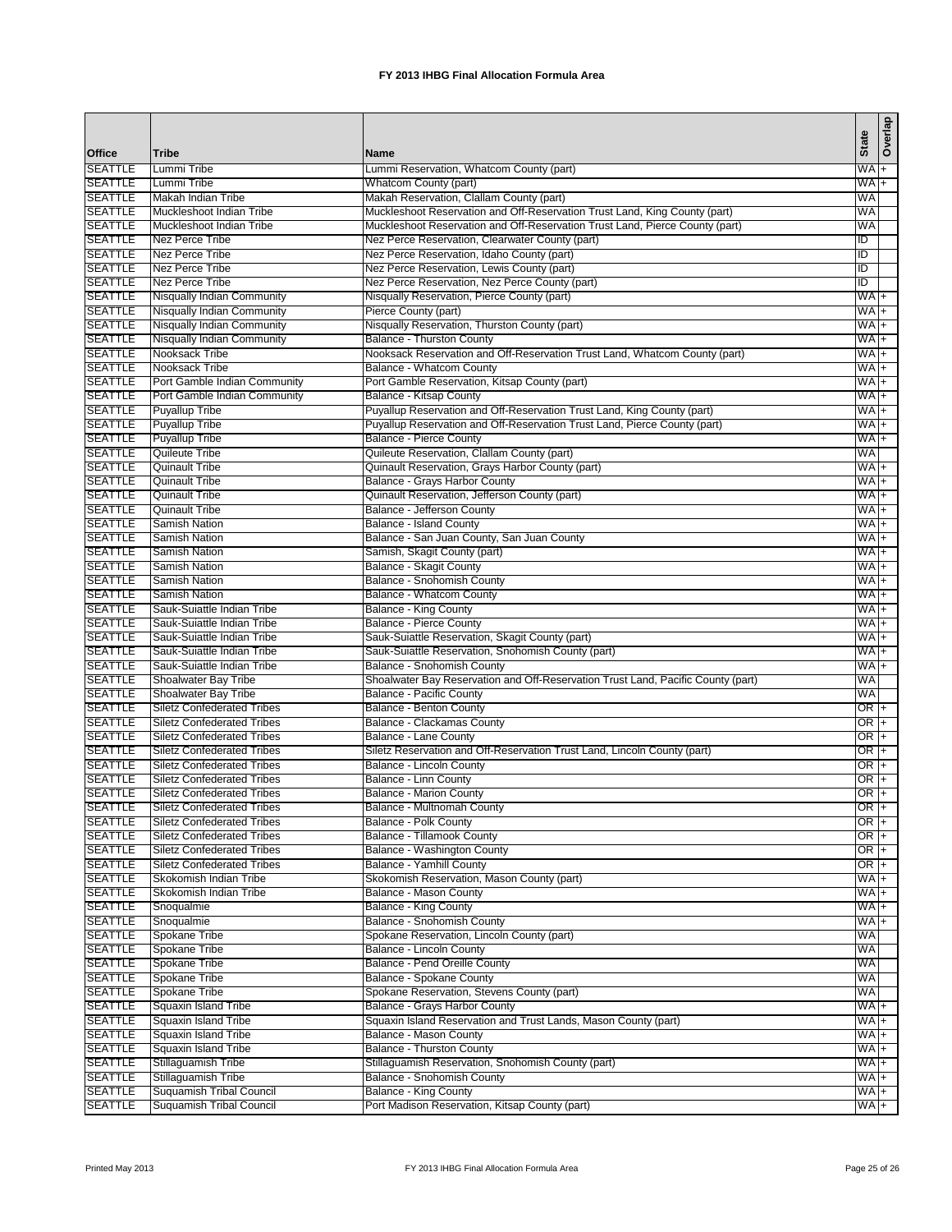|                                  |                                                                        |                                                                                                        | State                              | Overlap |
|----------------------------------|------------------------------------------------------------------------|--------------------------------------------------------------------------------------------------------|------------------------------------|---------|
| Office                           | <b>Tribe</b>                                                           | <b>Name</b>                                                                                            |                                    |         |
| <b>SEATTLE</b>                   | Lummi Tribe                                                            | Lummi Reservation, Whatcom County (part)                                                               | WA +                               |         |
| <b>SEATTLE</b><br><b>SEATTLE</b> | Lummi Tribe<br>Makah Indian Tribe                                      | Whatcom County (part)<br>Makah Reservation, Clallam County (part)                                      | $WA +$<br>WA                       |         |
| <b>SEATTLE</b>                   | Muckleshoot Indian Tribe                                               | Muckleshoot Reservation and Off-Reservation Trust Land, King County (part)                             | WA                                 |         |
| <b>SEATTLE</b>                   | Muckleshoot Indian Tribe                                               | Muckleshoot Reservation and Off-Reservation Trust Land, Pierce County (part)                           | WA                                 |         |
| <b>SEATTLE</b>                   | Nez Perce Tribe                                                        | Nez Perce Reservation, Clearwater County (part)                                                        | ΙD                                 |         |
| <b>SEATTLE</b>                   | Nez Perce Tribe                                                        | Nez Perce Reservation, Idaho County (part)                                                             | ΙD                                 |         |
| <b>SEATTLE</b>                   | Nez Perce Tribe                                                        | Nez Perce Reservation, Lewis County (part)                                                             | ĪD                                 |         |
| <b>SEATTLE</b>                   | Nez Perce Tribe                                                        | Nez Perce Reservation, Nez Perce County (part)                                                         | ID                                 |         |
| <b>SEATTLE</b>                   | Nisqually Indian Community                                             | Nisqually Reservation, Pierce County (part)                                                            | $WA$ +                             |         |
| <b>SEATTLE</b>                   | Nisqually Indian Community                                             | Pierce County (part)                                                                                   | $WA$ +                             |         |
| <b>SEATTLE</b>                   | <b>Nisqually Indian Community</b>                                      | Nisqually Reservation, Thurston County (part)                                                          | WA +                               |         |
| <b>SEATTLE</b>                   | <b>Nisqually Indian Community</b>                                      | <b>Balance - Thurston County</b>                                                                       | WA +                               |         |
| <b>SEATTLE</b><br><b>SEATTLE</b> | Nooksack Tribe<br>Nooksack Tribe                                       | Nooksack Reservation and Off-Reservation Trust Land, Whatcom County (part)<br>Balance - Whatcom County | WA <sub>+</sub><br>WA <sub>+</sub> |         |
| <b>SEATTLE</b>                   | Port Gamble Indian Community                                           | Port Gamble Reservation, Kitsap County (part)                                                          | WA <sub>+</sub>                    |         |
| <b>SEATTLE</b>                   | Port Gamble Indian Community                                           | Balance - Kitsap County                                                                                | WA +                               |         |
| <b>SEATTLE</b>                   | <b>Puyallup Tribe</b>                                                  | Puyallup Reservation and Off-Reservation Trust Land, King County (part)                                | $WA +$                             |         |
| <b>SEATTLE</b>                   | <b>Puyallup Tribe</b>                                                  | Puyallup Reservation and Off-Reservation Trust Land, Pierce County (part)                              | WA +                               |         |
| <b>SEATTLE</b>                   | <b>Puyallup Tribe</b>                                                  | Balance - Pierce County                                                                                | $WA +$                             |         |
| <b>SEATTLE</b>                   | <b>Quileute Tribe</b>                                                  | Quileute Reservation, Clallam County (part)                                                            | <b>WA</b>                          |         |
| <b>SEATTLE</b>                   | <b>Quinault Tribe</b>                                                  | Quinault Reservation, Grays Harbor County (part)                                                       | $WA +$                             |         |
| <b>SEATTLE</b>                   | <b>Quinault Tribe</b>                                                  | Balance - Grays Harbor County                                                                          | WA +                               |         |
| <b>SEATTLE</b>                   | <b>Quinault Tribe</b>                                                  | Quinault Reservation, Jefferson County (part)                                                          | $WA +$                             |         |
| <b>SEATTLE</b>                   | <b>Quinault Tribe</b>                                                  | Balance - Jefferson County                                                                             | WA +                               |         |
| <b>SEATTLE</b>                   | <b>Samish Nation</b>                                                   | <b>Balance - Island County</b>                                                                         | WA +                               |         |
| <b>SEATTLE</b>                   | <b>Samish Nation</b>                                                   | Balance - San Juan County, San Juan County                                                             | $WA +$                             |         |
| <b>SEATTLE</b><br><b>SEATTLE</b> | <b>Samish Nation</b><br><b>Samish Nation</b>                           | Samish, Skagit County (part)<br>Balance - Skagit County                                                | WA +                               |         |
| <b>SEATTLE</b>                   | <b>Samish Nation</b>                                                   | Balance - Snohomish County                                                                             | WA +<br>$WA +$                     |         |
| <b>SEATTLE</b>                   | <b>Samish Nation</b>                                                   | Balance - Whatcom County                                                                               | WA <sub>+</sub>                    |         |
| <b>SEATTLE</b>                   | Sauk-Suiattle Indian Tribe                                             | Balance - King County                                                                                  | WA <sub>+</sub>                    |         |
| <b>SEATTLE</b>                   | Sauk-Suiattle Indian Tribe                                             | <b>Balance - Pierce County</b>                                                                         | $WA +$                             |         |
| <b>SEATTLE</b>                   | Sauk-Suiattle Indian Tribe                                             | Sauk-Suiattle Reservation, Skagit County (part)                                                        | $WA +$                             |         |
| <b>SEATTLE</b>                   | Sauk-Suiattle Indian Tribe                                             | Sauk-Suiattle Reservation, Snohomish County (part)                                                     | WA +                               |         |
| <b>SEATTLE</b>                   | Sauk-Suiattle Indian Tribe                                             | Balance - Snohomish County                                                                             | $WA +$                             |         |
| <b>SEATTLE</b>                   | <b>Shoalwater Bay Tribe</b>                                            | Shoalwater Bay Reservation and Off-Reservation Trust Land, Pacific County (part)                       | WA                                 |         |
| <b>SEATTLE</b>                   | Shoalwater Bay Tribe                                                   | <b>Balance - Pacific County</b>                                                                        | WA                                 |         |
| <b>SEATTLE</b>                   | <b>Siletz Confederated Tribes</b>                                      | <b>Balance - Benton County</b>                                                                         | OR +                               |         |
| <b>SEATTLE</b><br><b>SEATTLE</b> | <b>Siletz Confederated Tribes</b><br><b>Siletz Confederated Tribes</b> | Balance - Clackamas County                                                                             | OR +                               |         |
| <b>SEATTLE</b>                   | <b>Siletz Confederated Tribes</b>                                      | Balance - Lane County<br>Siletz Reservation and Off-Reservation Trust Land, Lincoln County (part)      | OR  +<br>OR  +                     |         |
| <b>SEATTLE</b>                   | <b>Siletz Confederated Tribes</b>                                      | Balance - Lincoln County                                                                               | $OR +$                             |         |
| <b>SEATTLE</b>                   | <b>Siletz Confederated Tribes</b>                                      | Balance - Linn County                                                                                  | OR I+                              |         |
| <b>SEATTLE</b>                   | <b>Siletz Confederated Tribes</b>                                      | <b>Balance - Marion County</b>                                                                         | OR                                 | $+$     |
| <b>SEATTLE</b>                   | <b>Siletz Confederated Tribes</b>                                      | Balance - Multnomah County                                                                             | $OR +$                             |         |
| <b>SEATTLE</b>                   | <b>Siletz Confederated Tribes</b>                                      | <b>Balance - Polk County</b>                                                                           | $OR +$                             |         |
| <b>SEATTLE</b>                   | <b>Siletz Confederated Tribes</b>                                      | Balance - Tillamook County                                                                             | $OR +$                             |         |
| <b>SEATTLE</b>                   | <b>Siletz Confederated Tribes</b>                                      | Balance - Washington County                                                                            | $OR +$                             |         |
| <b>SEATTLE</b>                   | <b>Siletz Confederated Tribes</b>                                      | Balance - Yamhill County                                                                               | $OR +$                             |         |
| <b>SEATTLE</b>                   | Skokomish Indian Tribe                                                 | Skokomish Reservation, Mason County (part)                                                             | WA <sub>+</sub>                    |         |
| <b>SEATTLE</b>                   | Skokomish Indian Tribe                                                 | Balance - Mason County                                                                                 | WA <sub>+</sub>                    |         |
| <b>SEATTLE</b>                   | Snoqualmie                                                             | Balance - King County<br>Balance - Snohomish County                                                    | WA +                               |         |
| <b>SEATTLE</b><br><b>SEATTLE</b> | Snoqualmie<br>Spokane Tribe                                            | Spokane Reservation, Lincoln County (part)                                                             | $WA +$<br>WA                       |         |
| <b>SEATTLE</b>                   | <b>Spokane Tribe</b>                                                   | Balance - Lincoln County                                                                               | WA                                 |         |
| <b>SEATTLE</b>                   | Spokane Tribe                                                          | Balance - Pend Oreille County                                                                          | WA                                 |         |
| <b>SEATTLE</b>                   | Spokane Tribe                                                          | Balance - Spokane County                                                                               | WA                                 |         |
| <b>SEATTLE</b>                   | Spokane Tribe                                                          | Spokane Reservation, Stevens County (part)                                                             | WA                                 |         |
| <b>SEATTLE</b>                   | Squaxin Island Tribe                                                   | Balance - Grays Harbor County                                                                          | $WA +$                             |         |
| <b>SEATTLE</b>                   | Squaxin Island Tribe                                                   | Squaxin Island Reservation and Trust Lands, Mason County (part)                                        | WA <sup>+</sup>                    |         |
| <b>SEATTLE</b>                   | Squaxin Island Tribe                                                   | Balance - Mason County                                                                                 | WA +                               |         |
| <b>SEATTLE</b>                   | Squaxin Island Tribe                                                   | <b>Balance - Thurston County</b>                                                                       | $WA +$                             |         |
| <b>SEATTLE</b>                   | Stillaguamish Tribe                                                    | Stillaguamish Reservation, Snohomish County (part)                                                     | WA <sub>+</sub>                    |         |
| <b>SEATTLE</b>                   | Stillaguamish Tribe                                                    | Balance - Snohomish County                                                                             | WA <sub>+</sub>                    |         |
| <b>SEATTLE</b><br><b>SEATTLE</b> | <b>Suquamish Tribal Council</b><br><b>Suquamish Tribal Council</b>     | <b>Balance - King County</b>                                                                           | $WA +$<br>$WA +$                   |         |
|                                  |                                                                        | Port Madison Reservation, Kitsap County (part)                                                         |                                    |         |